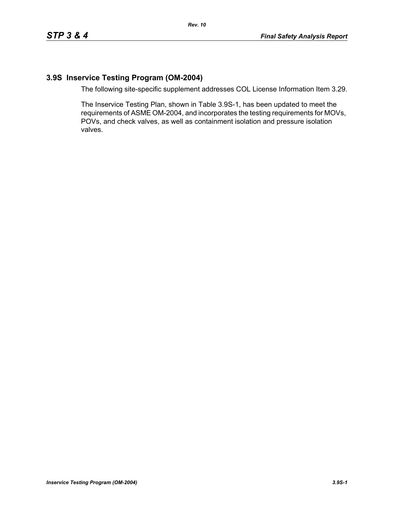# **3.9S Inservice Testing Program (OM-2004)**

The following site-specific supplement addresses COL License Information Item 3.29.

The Inservice Testing Plan, shown in Table 3.9S-1, has been updated to meet the requirements of ASME OM-2004, and incorporates the testing requirements for MOVs, POVs, and check valves, as well as containment isolation and pressure isolation valves.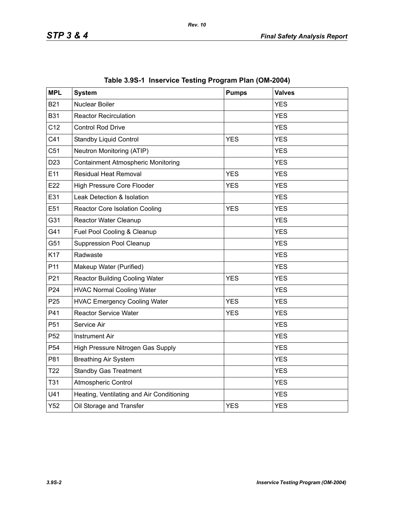| <b>MPL</b>      | <b>System</b>                             | <b>Pumps</b> | <b>Valves</b> |
|-----------------|-------------------------------------------|--------------|---------------|
| <b>B21</b>      | Nuclear Boiler                            |              | <b>YES</b>    |
| <b>B31</b>      | <b>Reactor Recirculation</b>              |              | <b>YES</b>    |
| C12             | <b>Control Rod Drive</b>                  |              | <b>YES</b>    |
| C41             | <b>Standby Liquid Control</b>             | <b>YES</b>   | <b>YES</b>    |
| C51             | Neutron Monitoring (ATIP)                 |              | <b>YES</b>    |
| D <sub>23</sub> | <b>Containment Atmospheric Monitoring</b> |              | <b>YES</b>    |
| E11             | <b>Residual Heat Removal</b>              | <b>YES</b>   | <b>YES</b>    |
| E22             | High Pressure Core Flooder                | <b>YES</b>   | <b>YES</b>    |
| E31             | Leak Detection & Isolation                |              | <b>YES</b>    |
| E51             | <b>Reactor Core Isolation Cooling</b>     | <b>YES</b>   | <b>YES</b>    |
| G31             | <b>Reactor Water Cleanup</b>              |              | <b>YES</b>    |
| G41             | Fuel Pool Cooling & Cleanup               |              | <b>YES</b>    |
| G51             | <b>Suppression Pool Cleanup</b>           |              | <b>YES</b>    |
| K17             | Radwaste                                  |              | <b>YES</b>    |
| P11             | Makeup Water (Purified)                   |              | <b>YES</b>    |
| P21             | <b>Reactor Building Cooling Water</b>     | <b>YES</b>   | <b>YES</b>    |
| P24             | <b>HVAC Normal Cooling Water</b>          |              | <b>YES</b>    |
| P <sub>25</sub> | <b>HVAC Emergency Cooling Water</b>       | <b>YES</b>   | <b>YES</b>    |
| P41             | <b>Reactor Service Water</b>              | <b>YES</b>   | <b>YES</b>    |
| P <sub>51</sub> | Service Air                               |              | <b>YES</b>    |
| P <sub>52</sub> | <b>Instrument Air</b>                     |              | <b>YES</b>    |
| P <sub>54</sub> | High Pressure Nitrogen Gas Supply         |              | <b>YES</b>    |
| P81             | <b>Breathing Air System</b>               |              | <b>YES</b>    |
| T <sub>22</sub> | <b>Standby Gas Treatment</b>              |              | <b>YES</b>    |
| <b>T31</b>      | Atmospheric Control                       |              | <b>YES</b>    |
| U41             | Heating, Ventilating and Air Conditioning |              | <b>YES</b>    |
| Y52             | Oil Storage and Transfer                  | <b>YES</b>   | <b>YES</b>    |

|  |  | Table 3.9S-1 Inservice Testing Program Plan (OM-2004) |  |  |
|--|--|-------------------------------------------------------|--|--|
|--|--|-------------------------------------------------------|--|--|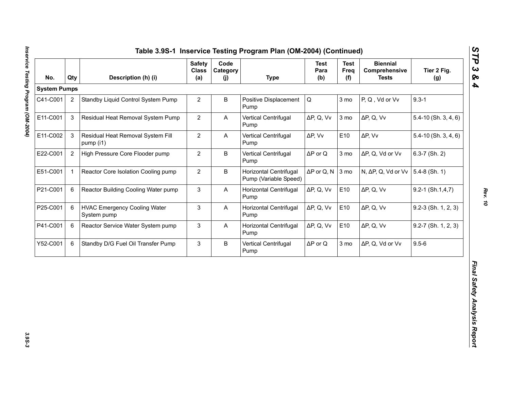| <b>System Pumps</b><br>$9.3 - 1$<br>$\overline{2}$<br>$\overline{2}$<br>B<br>$\mathsf Q$<br>3 mo<br>P, Q, Vd or Vv<br>Standby Liquid Control System Pump<br>Positive Displacement<br>Pump<br>$\mathfrak{S}$<br>$\overline{2}$<br>Residual Heat Removal System Pump<br>ΔP, Q, Vv<br>3 mo<br>$\Delta P$ , Q, Vv<br>A<br>Vertical Centrifugal<br>Pump<br>3<br>$\overline{2}$<br>E10<br>Residual Heat Removal System Fill<br>$\mathsf{A}$<br>Vertical Centrifugal<br>ΔP, Vv<br>$\Delta P$ , Vv<br>pump (i1)<br>Pump<br>$\overline{2}$<br>$\overline{2}$<br>B<br>$\Delta P$ or Q<br>High Pressure Core Flooder pump<br>Vertical Centrifugal<br>3 mo<br>ΔP, Q, Vd or Vv<br>Pump<br>$\overline{2}$<br>$\mathbf{1}$<br>B<br>Horizontal Centrifugal<br>$\Delta P$ or Q, N<br>3 mo<br>N, ΔP, Q, Vd or Vv<br>Reactor Core Isolation Cooling pump<br>Pump (Variable Speed)<br>6<br>3<br>E10<br>Reactor Building Cooling Water pump<br>$\boldsymbol{\mathsf{A}}$<br>Horizontal Centrifugal<br>ΔP, Q, Vv<br>$\Delta P$ , Q, Vv<br>Pump<br>6<br><b>HVAC Emergency Cooling Water</b><br>3<br>Horizontal Centrifugal<br>ΔP, Q, Vv<br>E10<br>$\Delta P$ , Q, Vv<br>A<br>System pump<br>Pump | $5.4 - 10$ (Sh. 3, 4, 6)<br>$5.4 - 10$ (Sh. $3, 4, 6$ )<br>$6.3 - 7$ (Sh. 2) |
|---------------------------------------------------------------------------------------------------------------------------------------------------------------------------------------------------------------------------------------------------------------------------------------------------------------------------------------------------------------------------------------------------------------------------------------------------------------------------------------------------------------------------------------------------------------------------------------------------------------------------------------------------------------------------------------------------------------------------------------------------------------------------------------------------------------------------------------------------------------------------------------------------------------------------------------------------------------------------------------------------------------------------------------------------------------------------------------------------------------------------------------------------------------------------|------------------------------------------------------------------------------|
| C41-C001                                                                                                                                                                                                                                                                                                                                                                                                                                                                                                                                                                                                                                                                                                                                                                                                                                                                                                                                                                                                                                                                                                                                                                  |                                                                              |
| E11-C001<br>E11-C002<br>E22-C001<br>E51-C001<br>P21-C001<br>P25-C001                                                                                                                                                                                                                                                                                                                                                                                                                                                                                                                                                                                                                                                                                                                                                                                                                                                                                                                                                                                                                                                                                                      |                                                                              |
|                                                                                                                                                                                                                                                                                                                                                                                                                                                                                                                                                                                                                                                                                                                                                                                                                                                                                                                                                                                                                                                                                                                                                                           |                                                                              |
|                                                                                                                                                                                                                                                                                                                                                                                                                                                                                                                                                                                                                                                                                                                                                                                                                                                                                                                                                                                                                                                                                                                                                                           |                                                                              |
|                                                                                                                                                                                                                                                                                                                                                                                                                                                                                                                                                                                                                                                                                                                                                                                                                                                                                                                                                                                                                                                                                                                                                                           |                                                                              |
|                                                                                                                                                                                                                                                                                                                                                                                                                                                                                                                                                                                                                                                                                                                                                                                                                                                                                                                                                                                                                                                                                                                                                                           | $5.4-8$ (Sh. 1)                                                              |
|                                                                                                                                                                                                                                                                                                                                                                                                                                                                                                                                                                                                                                                                                                                                                                                                                                                                                                                                                                                                                                                                                                                                                                           | $9.2 - 1$ (Sh.1,4,7)                                                         |
|                                                                                                                                                                                                                                                                                                                                                                                                                                                                                                                                                                                                                                                                                                                                                                                                                                                                                                                                                                                                                                                                                                                                                                           | $9.2-3$ (Sh. 1, 2, 3)                                                        |
| 3<br>E10<br>P41-C001<br>6<br>Reactor Service Water System pump<br><b>Horizontal Centrifugal</b><br>ΔP, Q, Vv<br>$\Delta P$ , Q, Vv<br>A<br>Pump                                                                                                                                                                                                                                                                                                                                                                                                                                                                                                                                                                                                                                                                                                                                                                                                                                                                                                                                                                                                                           | $9.2 - 7$ (Sh. 1, 2, 3)                                                      |
| $9.5 - 6$<br>3<br>B<br>3 mo<br>Y52-C001<br>6<br>Standby D/G Fuel Oil Transfer Pump<br>Vertical Centrifugal<br>$\Delta P$ or Q<br>ΔP, Q, Vd or Vv<br>Pump                                                                                                                                                                                                                                                                                                                                                                                                                                                                                                                                                                                                                                                                                                                                                                                                                                                                                                                                                                                                                  |                                                                              |

*STP 3 & 4*

3.9S-3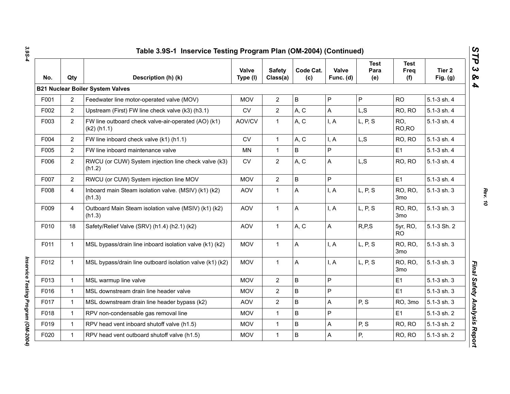| No.  | Qty            | Description (h) (k)                                                  | Valve<br>Type (I) | <b>Safety</b><br>Class(a) | Code Cat.<br>(c) | Valve<br>Func. (d) | <b>Test</b><br>Para<br>(e) | <b>Test</b><br>Freq<br>(f) | Tier 2<br>Fig. $(g)$ |
|------|----------------|----------------------------------------------------------------------|-------------------|---------------------------|------------------|--------------------|----------------------------|----------------------------|----------------------|
|      |                | <b>B21 Nuclear Boiler System Valves</b>                              |                   |                           |                  |                    |                            |                            |                      |
| F001 | $\overline{2}$ | Feedwater line motor-operated valve (MOV)                            | <b>MOV</b>        | $\mathbf{2}$              | $\sf B$          | P                  | P                          | <b>RO</b>                  | 5.1-3 sh. 4          |
| F002 | $\overline{2}$ | Upstream (First) FW line check valve (k3) (h3.1)                     | <b>CV</b>         | $\overline{2}$            | A, C             | A                  | L, S                       | RO, RO                     | 5.1-3 sh. 4          |
| F003 | $\overline{2}$ | FW line outboard check valve-air-operated (AO) (k1)<br>$(k2)$ (h1.1) | AOV/CV            | $\mathbf{1}$              | A, C             | I, A               | L, P, S                    | RO.<br>RO, RO              | 5.1-3 sh. 4          |
| F004 | $\overline{2}$ | FW line inboard check valve (k1) (h1.1)                              | <b>CV</b>         | $\mathbf{1}$              | A, C             | I, A               | L, S                       | RO, RO                     | 5.1-3 sh. 4          |
| F005 | $\overline{2}$ | FW line inboard maintenance valve                                    | <b>MN</b>         | $\mathbf{1}$              | B                | P                  |                            | E <sub>1</sub>             | 5.1-3 sh. 4          |
| F006 | 2              | RWCU (or CUW) System injection line check valve (k3)<br>(h1.2)       | CV                | $\overline{2}$            | A, C             | A                  | L, S                       | RO, RO                     | 5.1-3 sh. 4          |
| F007 | $\overline{2}$ | RWCU (or CUW) System injection line MOV                              | <b>MOV</b>        | $\overline{2}$            | $\sf B$          | P                  |                            | E <sub>1</sub>             | 5.1-3 sh. 4          |
| F008 | $\overline{4}$ | Inboard main Steam isolation valve. (MSIV) (k1) (k2)<br>(h1.3)       | <b>AOV</b>        | $\mathbf{1}$              | A                | I, A               | L, P, S                    | <b>RO, RO,</b><br>3mo      | 5.1-3 sh. 3          |
| F009 | $\overline{4}$ | Outboard Main Steam isolation valve (MSIV) (k1) (k2)<br>(h1.3)       | <b>AOV</b>        | $\mathbf{1}$              | A                | I, A               | L, P, S                    | RO, RO,<br>3mo             | 5.1-3 sh. 3          |
| F010 | 18             | Safety/Relief Valve (SRV) (h1.4) (h2.1) (k2)                         | <b>AOV</b>        | $\mathbf{1}$              | A, C             | A                  | R, P, S                    | 5yr, RO,<br><b>RO</b>      | 5.1-3 Sh. 2          |
| F011 | $\mathbf{1}$   | MSL bypass/drain line inboard isolation valve (k1) (k2)              | <b>MOV</b>        | $\mathbf{1}$              | A                | I, A               | L, P, S                    | RO, RO,<br>3 <sub>mo</sub> | 5.1-3 sh. 3          |
| F012 | 1              | MSL bypass/drain line outboard isolation valve (k1) (k2)             | <b>MOV</b>        | $\mathbf{1}$              | A                | I, A               | L, P, S                    | RO, RO,<br>3mo             | 5.1-3 sh. 3          |
| F013 | $\mathbf{1}$   | MSL warmup line valve                                                | <b>MOV</b>        | $\mathbf{2}$              | $\sf B$          | P                  |                            | E <sub>1</sub>             | 5.1-3 sh. 3          |
| F016 | $\mathbf{1}$   | MSL downstream drain line header valve                               | <b>MOV</b>        | $\overline{2}$            | B                | P                  |                            | E1                         | 5.1-3 sh. 3          |
| F017 | $\mathbf{1}$   | MSL downstream drain line header bypass (k2)                         | <b>AOV</b>        | $\overline{2}$            | B                | A                  | P, S                       | RO, 3mo                    | 5.1-3 sh. 3          |
| F018 | $\mathbf{1}$   | RPV non-condensable gas removal line                                 | <b>MOV</b>        | $\mathbf{1}$              | $\mathsf B$      | P                  |                            | E <sub>1</sub>             | 5.1-3 sh. 2          |
| F019 | $\mathbf{1}$   | RPV head vent inboard shutoff valve (h1.5)                           | <b>MOV</b>        | $\mathbf{1}$              | $\sf B$          | A                  | P, S                       | RO, RO                     | 5.1-3 sh. 2          |
| F020 | $\mathbf 1$    | RPV head vent outboard shutoff valve (h1.5)                          | <b>MOV</b>        | $\mathbf{1}$              | $\sf B$          | A                  | P,                         | RO, RO                     | 5.1-3 sh. 2          |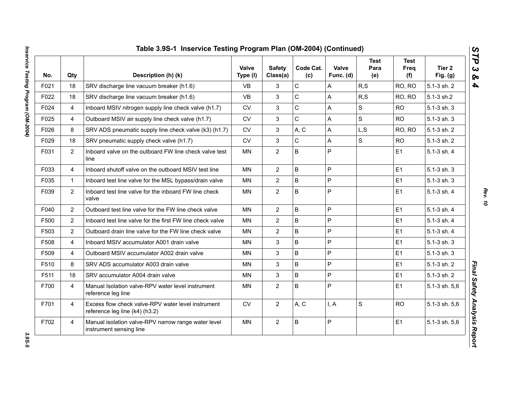| No.  | Qty            | Description (h) (k)                                                                  | <b>Valve</b><br>Type (I) | <b>Safety</b><br>Class(a) | Code Cat.<br>(c) | Valve<br>Func. (d) | <b>Test</b><br>Para<br>(e) | <b>Test</b><br>Freq<br>(f) | Tier 2<br>Fig. $(g)$ |
|------|----------------|--------------------------------------------------------------------------------------|--------------------------|---------------------------|------------------|--------------------|----------------------------|----------------------------|----------------------|
| F021 | 18             | SRV discharge line vacuum breaker (h1.6)                                             | <b>VB</b>                | 3                         | C                | Α                  | R, S                       | RO, RO                     | 5.1-3 sh. 2          |
| F022 | 18             | SRV discharge line vacuum breaker (h1.6)                                             | <b>VB</b>                | 3                         | $\mathsf{C}$     | A                  | R, S                       | RO, RO                     | 5.1-3 sh.2           |
| F024 | $\overline{4}$ | Inboard MSIV nitrogen supply line check valve (h1.7)                                 | <b>CV</b>                | 3                         | C                | A                  | S                          | <b>RO</b>                  | 5.1-3 sh. 3          |
| F025 | 4              | Outboard MSIV air supply line check valve (h1.7)                                     | CV                       | 3                         | C                | A                  | $\mathbf S$                | <b>RO</b>                  | 5.1-3 sh. 3          |
| F026 | 8              | SRV ADS pneumatic supply line check valve (k3) (h1.7)                                | <b>CV</b>                | 3                         | A, C             | A                  | L, S                       | RO, RO                     | 5.1-3 sh. 2          |
| F029 | 18             | SRV pneumatic supply check valve (h1.7)                                              | <b>CV</b>                | 3                         | C                | A                  | S                          | <b>RO</b>                  | 5.1-3 sh. 2          |
| F031 | $\overline{2}$ | Inboard valve on the outboard FW line check valve test<br>line                       | ΜN                       | $\overline{2}$            | B                | P                  |                            | E1                         | 5.1-3 sh. 4          |
| F033 | $\overline{4}$ | Inboard shutoff valve on the outboard MSIV test line                                 | <b>MN</b>                | $\overline{2}$            | B                | P                  |                            | E1                         | 5.1-3 sh. 3          |
| F035 | $\mathbf{1}$   | Inboard test line valve for the MSL bypass/drain valve                               | <b>MN</b>                | $\overline{2}$            | $\sf B$          | P                  |                            | E1                         | 5.1-3 sh. 3          |
| F039 | $\overline{2}$ | Inboard test line valve for the inboard FW line check<br>valve                       | <b>MN</b>                | $\overline{2}$            | B                | P                  |                            | E1                         | 5.1-3 sh. 4          |
| F040 | $\overline{2}$ | Outboard test line valve for the FW line check valve                                 | <b>MN</b>                | $\overline{2}$            | B                | P                  |                            | E1                         | 5.1-3 sh. 4          |
| F500 | $\overline{2}$ | Inboard test line valve for the first FW line check valve                            | <b>MN</b>                | $\overline{2}$            | $\sf B$          | P                  |                            | E1                         | 5.1-3 sh. 4          |
| F503 | $\overline{2}$ | Outboard drain line valve for the FW line check valve                                | <b>MN</b>                | $\overline{2}$            | B                | P                  |                            | E1                         | 5.1-3 sh. 4          |
| F508 | $\overline{4}$ | Inboard MSIV accumulator A001 drain valve                                            | <b>MN</b>                | 3                         | $\sf B$          | P                  |                            | E <sub>1</sub>             | 5.1-3 sh. 3          |
| F509 | $\overline{4}$ | Outboard MSIV accumulator A002 drain valve                                           | <b>MN</b>                | 3                         | $\sf B$          | P                  |                            | E1                         | 5.1-3 sh. 3          |
| F510 | 8              | SRV ADS accumulator A003 drain valve                                                 | MN.                      | 3                         | $\sf B$          | P                  |                            | E1                         | 5.1-3 sh. 2          |
| F511 | 18             | SRV accumulator A004 drain valve                                                     | <b>MN</b>                | 3                         | $\mathsf{B}$     | P                  |                            | E1                         | 5.1-3 sh. 2          |
| F700 | $\overline{4}$ | Manual Isolation valve-RPV water level instrument<br>reference leg line              | <b>MN</b>                | $\overline{2}$            | $\sf B$          | P                  |                            | E1                         | 5.1-3 sh. 5,6        |
| F701 | $\overline{4}$ | Excess flow check valve-RPV water level instrument<br>reference leg line (k4) (h3.2) | CV                       | $\overline{2}$            | A, C             | I, A               | $\mathbf S$                | <b>RO</b>                  | 5.1-3 sh. 5,6        |
| F702 | $\overline{4}$ | Manual isolation valve-RPV narrow range water level<br>instrument sensing line       | <b>MN</b>                | $\overline{2}$            | B                | P                  |                            | E1                         | 5.1-3 sh. 5,6        |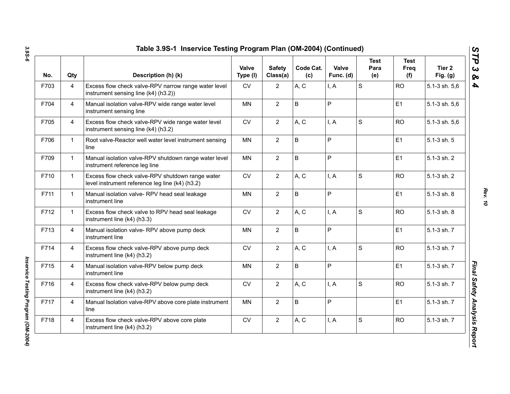| No.  | Qty            | Description (h) (k)                                                                                 | <b>Valve</b><br>Type (I) | <b>Safety</b><br>Class(a) | Code Cat.<br>(c) | Valve<br>Func. (d) | <b>Test</b><br>Para<br>(e) | <b>Test</b><br>Freq<br>(f) | Tier 2<br>Fig. $(g)$ |
|------|----------------|-----------------------------------------------------------------------------------------------------|--------------------------|---------------------------|------------------|--------------------|----------------------------|----------------------------|----------------------|
| F703 | $\overline{4}$ | Excess flow check valve-RPV narrow range water level<br>instrument sensing line (k4) (h3.2))        | CV                       | $\overline{2}$            | A, C             | I, A               | S                          | <b>RO</b>                  | 5.1-3 sh. 5,6        |
| F704 | $\overline{4}$ | Manual isolation valve-RPV wide range water level<br>instrument sensing line                        | <b>MN</b>                | $\overline{2}$            | B                | P                  |                            | E1                         | 5.1-3 sh. 5,6        |
| F705 | $\overline{4}$ | Excess flow check valve-RPV wide range water level<br>instrument sensing line (k4) (h3.2)           | CV                       | $\overline{2}$            | A, C             | I, A               | S                          | <b>RO</b>                  | 5.1-3 sh. 5,6        |
| F706 | $\mathbf{1}$   | Root valve-Reactor well water level instrument sensing<br>line                                      | <b>MN</b>                | $\overline{2}$            | $\mathsf B$      | P                  |                            | E1                         | 5.1-3 sh. 5          |
| F709 | $\mathbf{1}$   | Manual isolation valve-RPV shutdown range water level<br>instrument reference leg line              | <b>MN</b>                | $\mathbf{2}$              | $\sf B$          | P                  |                            | E1                         | 5.1-3 sh. 2          |
| F710 | $\mathbf{1}$   | Excess flow check valve-RPV shutdown range water<br>level instrument reference leg line (k4) (h3.2) | <b>CV</b>                | $\overline{2}$            | A, C             | I, A               | S                          | <b>RO</b>                  | 5.1-3 sh. 2          |
| F711 | $\mathbf{1}$   | Manual isolation valve-RPV head seal leakage<br>instrument line                                     | <b>MN</b>                | $\overline{2}$            | $\sf B$          | P                  |                            | E1                         | 5.1-3 sh. 8          |
| F712 | $\mathbf{1}$   | Excess flow check valve to RPV head seal leakage<br>instrument line (k4) (h3.3)                     | <b>CV</b>                | $\overline{2}$            | A, C             | I, A               | S                          | <b>RO</b>                  | 5.1-3 sh. 8          |
| F713 | $\overline{4}$ | Manual isolation valve- RPV above pump deck<br>instrument line                                      | <b>MN</b>                | $\mathbf{2}$              | $\sf B$          | P                  |                            | E1                         | 5.1-3 sh. 7          |
| F714 | $\overline{4}$ | Excess flow check valve-RPV above pump deck<br>instrument line (k4) (h3.2)                          | CV                       | $\mathbf{2}$              | A, C             | I, A               | S                          | <b>RO</b>                  | 5.1-3 sh. 7          |
| F715 | $\overline{4}$ | Manual isolation valve-RPV below pump deck<br>instrument line                                       | MN                       | $\overline{2}$            | $\sf B$          | P                  |                            | E1                         | 5.1-3 sh. 7          |
| F716 | $\overline{4}$ | Excess flow check valve-RPV below pump deck<br>instrument line (k4) (h3.2)                          | <b>CV</b>                | $\overline{2}$            | A, C             | I, A               | S                          | <b>RO</b>                  | 5.1-3 sh. 7          |
| F717 | $\overline{4}$ | Manual Isolation valve-RPV above core plate instrument<br>line                                      | <b>MN</b>                | $\overline{2}$            | B                | P                  |                            | E1                         | 5.1-3 sh. 7          |
| F718 | $\overline{4}$ | Excess flow check valve-RPV above core plate<br>instrument line (k4) (h3.2)                         | CV                       | $\mathbf{2}$              | A, C             | I, A               | $\mathbf S$                | <b>RO</b>                  | 5.1-3 sh. 7          |

*Rev. 10*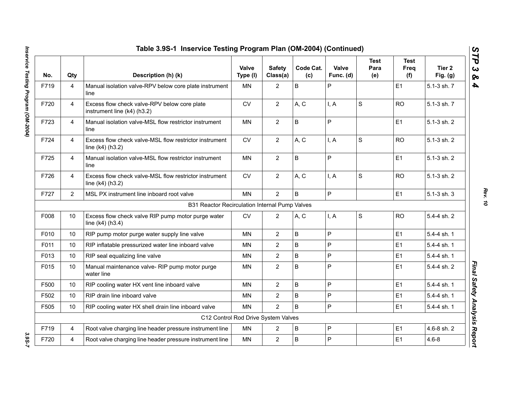|      |                | Table 3.9S-1 Inservice Testing Program Plan (OM-2004) (Continued)              |                   |                           |                  |                    |                            |                     |                      |
|------|----------------|--------------------------------------------------------------------------------|-------------------|---------------------------|------------------|--------------------|----------------------------|---------------------|----------------------|
| No.  | Qty            | Description (h) (k)                                                            | Valve<br>Type (I) | <b>Safety</b><br>Class(a) | Code Cat.<br>(c) | Valve<br>Func. (d) | <b>Test</b><br>Para<br>(e) | Test<br>Freq<br>(f) | Tier 2<br>Fig. $(g)$ |
| F719 | 4              | Manual isolation valve-RPV below core plate instrument<br>line                 | <b>MN</b>         | $\overline{2}$            | $\sf B$          | P                  |                            | E1                  | 5.1-3 sh. 7          |
| F720 | $\overline{4}$ | Excess flow check valve-RPV below core plate<br>instrument line (k4) (h3.2)    | <b>CV</b>         | $\overline{2}$            | A, C             | I, A               | S                          | <b>RO</b>           | 5.1-3 sh. 7          |
| F723 | $\overline{4}$ | Manual isolation valve-MSL flow restrictor instrument<br>line                  | <b>MN</b>         | $\overline{2}$            | $\mathsf B$      | $\overline{P}$     |                            | E1                  | 5.1-3 sh. 2          |
| F724 | 4              | Excess flow check valve-MSL flow restrictor instrument<br>line $(k4)$ $(h3.2)$ | CV                | $\overline{2}$            | A, C             | I, A               | S                          | <b>RO</b>           | 5.1-3 sh. 2          |
| F725 | $\overline{4}$ | Manual isolation valve-MSL flow restrictor instrument<br>line                  | <b>MN</b>         | $\overline{2}$            | $\sf B$          | P                  |                            | E1                  | 5.1-3 sh. 2          |
| F726 | 4              | Excess flow check valve-MSL flow restrictor instrument<br>line $(k4)$ (h3.2)   | <b>CV</b>         | $\overline{2}$            | A, C             | I, A               | $\mathbf S$                | <b>RO</b>           | 5.1-3 sh. 2          |
| F727 | $\overline{2}$ | MSL PX instrument line inboard root valve                                      | <b>MN</b>         | $\overline{2}$            | $\sf B$          | P                  |                            | E1                  | 5.1-3 sh. 3          |
|      |                | B31 Reactor Recirculation Internal Pump Valves                                 |                   |                           |                  |                    |                            |                     |                      |
| F008 | 10             | Excess flow check valve RIP pump motor purge water<br>line $(k4)$ $(h3.4)$     | <b>CV</b>         | $\overline{2}$            | A, C             | I, A               | S                          | <b>RO</b>           | 5.4-4 sh. 2          |
| F010 | 10             | RIP pump motor purge water supply line valve                                   | <b>MN</b>         | $\overline{2}$            | B                | P                  |                            | E1                  | 5.4-4 sh. 1          |
| F011 | 10             | RIP inflatable pressurized water line inboard valve                            | ΜN                | $\overline{2}$            | B                | ${\sf P}$          |                            | E1                  | 5.4-4 sh. 1          |
| F013 | 10             | RIP seal equalizing line valve                                                 | <b>MN</b>         | $\overline{2}$            | $\sf B$          | P                  |                            | E1                  | 5.4-4 sh. 1          |
| F015 | 10             | Manual maintenance valve- RIP pump motor purge<br>water line                   | MN                | $\overline{2}$            | B                | P                  |                            | E1                  | 5.4-4 sh. 2          |
| F500 | 10             | RIP cooling water HX vent line inboard valve                                   | <b>MN</b>         | $\overline{2}$            | $\sf B$          | P                  |                            | E1                  | 5.4-4 sh. 1          |
| F502 | 10             | RIP drain line inboard valve                                                   | <b>MN</b>         | $\overline{2}$            | $\mathsf B$      | P                  |                            | E1                  | 5.4-4 sh. 1          |
| F505 | 10             | RIP cooling water HX shell drain line inboard valve                            | <b>MN</b>         | $\overline{2}$            | B                | P                  |                            | E1                  | 5.4-4 sh. 1          |
|      |                | C12 Control Rod Drive System Valves                                            |                   |                           |                  |                    |                            |                     |                      |
| F719 | $\overline{4}$ | Root valve charging line header pressure instrument line                       | <b>MN</b>         | $\overline{2}$            | B                | P                  |                            | E1                  | 4.6-8 sh. 2          |
| F720 | 4              | Root valve charging line header pressure instrument line                       | <b>MN</b>         | $\overline{2}$            | B                | P                  |                            | E1                  | $4.6 - 8$            |

*Rev. 10*

3.9S-7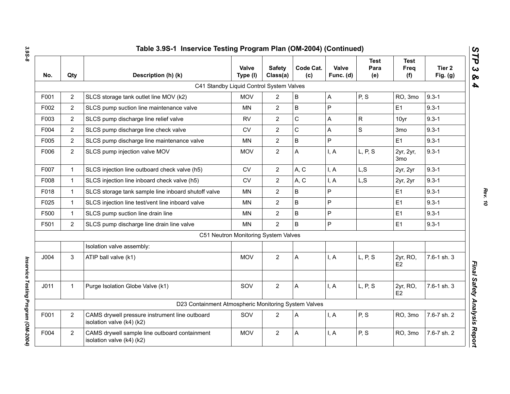| Qty            | Description (h) (k)                                                         | <b>Valve</b><br>Type (I) | <b>Safety</b><br>Class(a) | Code Cat.<br>(c) | Valve<br>Func. (d)                                                                                                                       | <b>Test</b><br>Para<br>(e) | Test<br>Freq<br>(f)          | Tier <sub>2</sub><br>Fig. $(g)$ |
|----------------|-----------------------------------------------------------------------------|--------------------------|---------------------------|------------------|------------------------------------------------------------------------------------------------------------------------------------------|----------------------------|------------------------------|---------------------------------|
|                |                                                                             |                          |                           |                  |                                                                                                                                          |                            |                              |                                 |
| $\overline{2}$ | SLCS storage tank outlet line MOV (k2)                                      | <b>MOV</b>               | $\overline{2}$            | $\sf B$          | Α                                                                                                                                        | P, S                       | RO, 3mo                      | $9.3 - 1$                       |
| $\overline{2}$ | SLCS pump suction line maintenance valve                                    | <b>MN</b>                | $\overline{2}$            | $\sf B$          | $\mathsf{P}$                                                                                                                             |                            | E <sub>1</sub>               | $9.3 - 1$                       |
| $\overline{2}$ | SLCS pump discharge line relief valve                                       | <b>RV</b>                | $\overline{2}$            | $\mathbf C$      | A                                                                                                                                        | R                          | 10yr                         | $9.3 - 1$                       |
| $\overline{2}$ | SLCS pump discharge line check valve                                        | CV                       | $\overline{2}$            | $\mathsf C$      | A                                                                                                                                        | S                          | 3 <sub>mo</sub>              | $9.3 - 1$                       |
| $\overline{2}$ | SLCS pump discharge line maintenance valve                                  | <b>MN</b>                | $\overline{2}$            | $\sf B$          | P                                                                                                                                        |                            | E <sub>1</sub>               | $9.3 - 1$                       |
| $\overline{2}$ | SLCS pump injection valve MOV                                               | <b>MOV</b>               | $\overline{2}$            | Α                | I, A                                                                                                                                     | L, P, S                    | 2yr, 2yr,<br>3 <sub>mo</sub> | $9.3 - 1$                       |
| $\mathbf{1}$   | SLCS injection line outboard check valve (h5)                               | <b>CV</b>                | $\overline{2}$            | A, C             | I, A                                                                                                                                     | L, S                       | 2yr, 2yr                     | $9.3 - 1$                       |
| $\mathbf{1}$   | SLCS injection line inboard check valve (h5)                                | CV                       | $\overline{2}$            | A, C             | I, A                                                                                                                                     | L, S                       | 2yr, 2yr                     | $9.3 - 1$                       |
| $\mathbf{1}$   | SLCS storage tank sample line inboard shutoff valve                         | <b>MN</b>                | $\overline{2}$            | B                | P                                                                                                                                        |                            | E1                           | $9.3 - 1$                       |
| $\mathbf{1}$   | SLCS injection line test/vent line inboard valve                            | <b>MN</b>                | $\overline{2}$            | B                | P                                                                                                                                        |                            | E1                           | $9.3 - 1$                       |
| $\mathbf{1}$   | SLCS pump suction line drain line                                           | <b>MN</b>                | $\overline{2}$            | $\mathsf B$      | P                                                                                                                                        |                            | E <sub>1</sub>               | $9.3 - 1$                       |
| $\overline{2}$ | SLCS pump discharge line drain line valve                                   | <b>MN</b>                | $\overline{2}$            | $\mathsf B$      | P                                                                                                                                        |                            | E1                           | $9.3 - 1$                       |
|                |                                                                             |                          |                           |                  |                                                                                                                                          |                            |                              |                                 |
|                | Isolation valve assembly:                                                   |                          |                           |                  |                                                                                                                                          |                            |                              |                                 |
| 3              | ATIP ball valve (k1)                                                        | <b>MOV</b>               | $\overline{2}$            | A                | I, A                                                                                                                                     | L, P, S                    | 2yr, RO,<br>E <sub>2</sub>   | 7.6-1 sh. 3                     |
| $\mathbf{1}$   | Purge Isolation Globe Valve (k1)                                            | SOV                      | $\overline{2}$            | Α                | I, A                                                                                                                                     | L, P, S                    | 2yr, RO,<br>E <sub>2</sub>   | 7.6-1 sh. 3                     |
|                |                                                                             |                          |                           |                  |                                                                                                                                          |                            |                              |                                 |
| $\overline{2}$ | CAMS drywell pressure instrument line outboard<br>isolation valve (k4) (k2) | SOV                      | $\overline{2}$            | Α                | I, A                                                                                                                                     | P, S                       | RO, 3mo                      | 7.6-7 sh. 2                     |
| $\overline{2}$ | CAMS drywell sample line outboard containment<br>isolation valve (k4) (k2)  | <b>MOV</b>               | $\overline{2}$            | Α                | I, A                                                                                                                                     | P, S                       | RO, 3mo                      | 7.6-7 sh. 2                     |
|                |                                                                             |                          |                           |                  | C41 Standby Liquid Control System Valves<br>C51 Neutron Monitoring System Valves<br>D23 Containment Atmospheric Monitoring System Valves |                            |                              |                                 |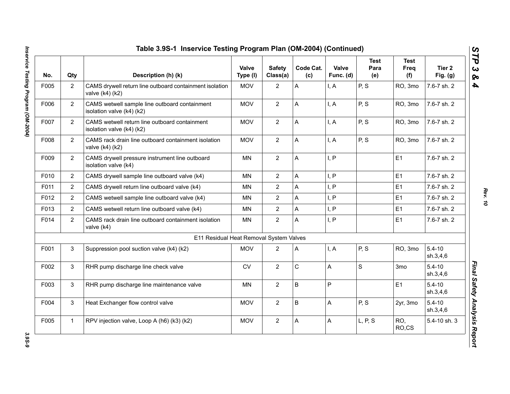| No.  | Qty            | Description (h) (k)                                                        | Valve<br>Type (I) | <b>Safety</b><br>Class(a) | Code Cat.<br>(c) | Valve<br>Func. (d) | <b>Test</b><br>Para<br>(e) | <b>Test</b><br>Freq<br>(f) | Tier 2<br>Fig. $(g)$   |
|------|----------------|----------------------------------------------------------------------------|-------------------|---------------------------|------------------|--------------------|----------------------------|----------------------------|------------------------|
| F005 | $\overline{2}$ | CAMS drywell return line outboard containment isolation<br>valve (k4) (k2) | <b>MOV</b>        | $\overline{2}$            | A                | I, A               | P, S                       | RO, 3mo                    | 7.6-7 sh. 2            |
| F006 | $\overline{2}$ | CAMS wetwell sample line outboard containment<br>isolation valve (k4) (k2) | <b>MOV</b>        | $\overline{2}$            | A                | I, A               | P, S                       | RO, 3mo                    | 7.6-7 sh. 2            |
| F007 | $\overline{2}$ | CAMS wetwell return line outboard containment<br>isolation valve (k4) (k2) | <b>MOV</b>        | $\overline{2}$            | A                | I, A               | P, S                       | RO, 3mo                    | 7.6-7 sh. 2            |
| F008 | $\overline{2}$ | CAMS rack drain line outboard containment isolation<br>valve (k4) (k2)     | <b>MOV</b>        | $\overline{2}$            | A                | I, A               | P, S                       | RO, 3mo                    | 7.6-7 sh. 2            |
| F009 | $\overline{2}$ | CAMS drywell pressure instrument line outboard<br>isolation valve (k4)     | <b>MN</b>         | $\overline{2}$            | A                | I, P               |                            | E1                         | 7.6-7 sh. 2            |
| F010 | $\overline{2}$ | CAMS drywell sample line outboard valve (k4)                               | <b>MN</b>         | $\overline{2}$            | A                | I, P               |                            | E <sub>1</sub>             | 7.6-7 sh. 2            |
| F011 | $\overline{2}$ | CAMS drywell return line outboard valve (k4)                               | <b>MN</b>         | $\overline{2}$            | A                | I, P               |                            | E1                         | 7.6-7 sh. 2            |
| F012 | $\overline{2}$ | CAMS wetwell sample line outboard valve (k4)                               | <b>MN</b>         | $\overline{2}$            | A                | I, P               |                            | E1                         | 7.6-7 sh. 2            |
| F013 | $\overline{2}$ | CAMS wetwell return line outboard valve (k4)                               | MN                | $\overline{2}$            | A                | I, P               |                            | E1                         | 7.6-7 sh. 2            |
| F014 | $\overline{2}$ | CAMS rack drain line outboard containment isolation<br>valve (k4)          | <b>MN</b>         | $\overline{2}$            | A                | I, P               |                            | E1                         | 7.6-7 sh. 2            |
|      |                | E11 Residual Heat Removal System Valves                                    |                   |                           |                  |                    |                            |                            |                        |
| F001 | 3              | Suppression pool suction valve (k4) (k2)                                   | <b>MOV</b>        | $\overline{2}$            | A                | I, A               | P, S                       | RO, 3mo                    | $5.4 - 10$<br>sh.3,4,6 |
| F002 | 3              | RHR pump discharge line check valve                                        | ${\sf CV}$        | $\overline{2}$            | $\mathsf C$      | A                  | $\mathsf S$                | 3mo                        | $5.4 - 10$<br>sh.3,4,6 |
| F003 | 3              | RHR pump discharge line maintenance valve                                  | <b>MN</b>         | $\overline{2}$            | B                | P                  |                            | E1                         | $5.4 - 10$<br>sh.3,4,6 |
| F004 | 3              | Heat Exchanger flow control valve                                          | <b>MOV</b>        | $\overline{2}$            | B                | A                  | P, S                       | 2yr, 3mo                   | $5.4 - 10$<br>sh.3,4,6 |
| F005 | $\mathbf{1}$   | RPV injection valve, Loop A (h6) (k3) (k2)                                 | <b>MOV</b>        | $\overline{2}$            | A                | A                  | L, P, S                    | RO,<br>RO,CS               | 5.4-10 sh. 3           |

*Rev. 10*

3.9S-9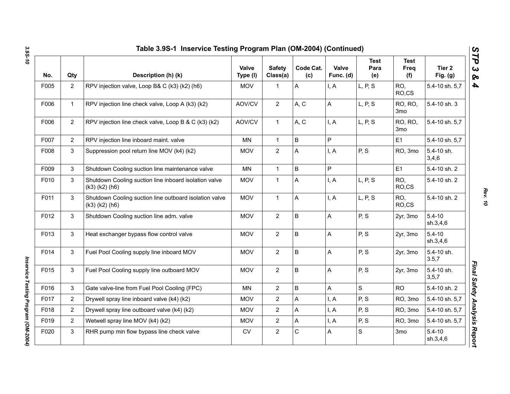| No.  | Qty            | Description (h) (k)                                                            | Valve<br>Type (I) | <b>Safety</b><br>Class(a) | Code Cat.<br>(c) | Valve<br>Func. (d) | <b>Test</b><br>Para<br>(e) | <b>Test</b><br><b>Freq</b><br>(f) | Tier <sub>2</sub><br>Fig. $(g)$ |
|------|----------------|--------------------------------------------------------------------------------|-------------------|---------------------------|------------------|--------------------|----------------------------|-----------------------------------|---------------------------------|
| F005 | $\overline{2}$ | RPV injection valve, Loop B& C (k3) (k2) (h6)                                  | <b>MOV</b>        | $\mathbf{1}$              | A                | I, A               | L, P, S                    | RO,<br>RO,CS                      | 5.4-10 sh. 5,7                  |
| F006 | $\mathbf{1}$   | RPV injection line check valve, Loop A (k3) (k2)                               | AOV/CV            | $\overline{2}$            | A, C             | $\mathsf A$        | L, P, S                    | RO, RO,<br>3mo                    | 5.4-10 sh. 3                    |
| F006 | $\overline{2}$ | RPV injection line check valve, Loop B & C (k3) (k2)                           | AOV/CV            | $\mathbf{1}$              | A, C             | I, A               | L, P, S                    | RO, RO,<br>3 <sub>mo</sub>        | 5.4-10 sh. 5,7                  |
| F007 | $\overline{2}$ | RPV injection line inboard maint. valve                                        | <b>MN</b>         | $\mathbf{1}$              | B                | P                  |                            | E <sub>1</sub>                    | 5.4-10 sh. 5,7                  |
| F008 | 3              | Suppression pool return line MOV (k4) (k2)                                     | MOV               | $\overline{2}$            | A                | I, A               | P, S                       | RO, 3mo                           | 5.4-10 sh.<br>3,4,6             |
| F009 | 3              | Shutdown Cooling suction line maintenance valve                                | MN                | $\mathbf 1$               | B                | P                  |                            | E1                                | 5.4-10 sh. 2                    |
| F010 | 3              | Shutdown Cooling suction line inboard isolation valve<br>$(k3)$ $(k2)$ $(h6)$  | <b>MOV</b>        | 1                         | A                | I, A               | L, P, S                    | RO,<br>RO,CS                      | 5.4-10 sh. 2                    |
| F011 | 3              | Shutdown Cooling suction line outboard isolation valve<br>$(k3)$ $(k2)$ $(h6)$ | <b>MOV</b>        | $\mathbf{1}$              | A                | I, A               | L, P, S                    | RO,<br>RO,CS                      | 5.4-10 sh. 2                    |
| F012 | 3              | Shutdown Cooling suction line adm. valve                                       | <b>MOV</b>        | $\overline{2}$            | B                | A                  | P, S                       | 2yr, 3mo                          | $5.4 - 10$<br>sh.3,4,6          |
| F013 | 3              | Heat exchanger bypass flow control valve                                       | <b>MOV</b>        | 2 <sup>1</sup>            | B                | A                  | P, S                       | 2yr, 3mo                          | $5.4 - 10$<br>sh.3,4,6          |
| F014 | 3              | Fuel Pool Cooling supply line inboard MOV                                      | <b>MOV</b>        | $\overline{2}$            | B                | A                  | P, S                       | 2yr, 3mo                          | 5.4-10 sh.<br>3.5,7             |
| F015 | 3              | Fuel Pool Cooling supply line outboard MOV                                     | <b>MOV</b>        | $\overline{2}$            | B                | A                  | P, S                       | 2yr, 3mo                          | 5.4-10 sh.<br>3, 5, 7           |
| F016 | 3              | Gate valve-line from Fuel Pool Cooling (FPC)                                   | <b>MN</b>         | $\overline{2}$            | B                | A                  | $\mathsf S$                | <b>RO</b>                         | 5.4-10 sh. 2                    |
| F017 | $\overline{2}$ | Drywell spray line inboard valve (k4) (k2)                                     | <b>MOV</b>        | $\overline{2}$            | Α                | I, A               | P, S                       | RO, 3mo                           | 5.4-10 sh. 5,7                  |
| F018 | $\overline{2}$ | Drywell spray line outboard valve (k4) (k2)                                    | <b>MOV</b>        | $\overline{2}$            | A                | I, A               | P, S                       | RO, 3mo                           | 5.4-10 sh. 5,7                  |
| F019 | $\overline{2}$ | Wetwell spray line MOV (k4) (k2)                                               | <b>MOV</b>        | $\overline{a}$            | A                | I, A               | P, S                       | RO, 3mo                           | 5.4-10 sh. 5,7                  |
| F020 | 3              | RHR pump min flow bypass line check valve                                      | CV                | $\overline{2}$            | C                | A                  | $\mathbf S$                | 3 <sub>mo</sub>                   | $5.4 - 10$<br>sh.3,4,6          |

*Rev. 10*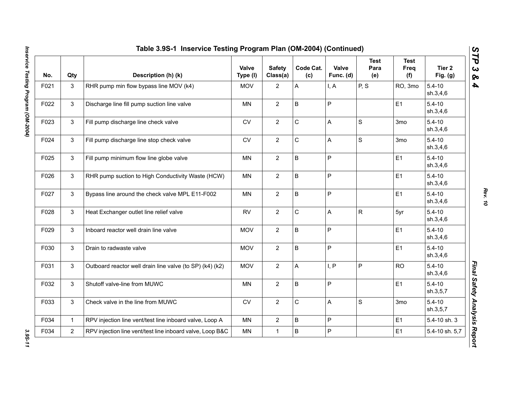| No.  | Qty            | Description (h) (k)                                       | Valve<br>Type (I) | <b>Safety</b><br>Class(a) | Code Cat.<br>(c) | Valve<br>Func. (d) | <b>Test</b><br>Para<br>(e) | <b>Test</b><br>Freq<br>(f) | Tier 2<br>Fig. $(g)$   |
|------|----------------|-----------------------------------------------------------|-------------------|---------------------------|------------------|--------------------|----------------------------|----------------------------|------------------------|
| F021 | 3              | RHR pump min flow bypass line MOV (k4)                    | <b>MOV</b>        | $\overline{2}$            | A                | I, A               | P, S                       | RO, 3mo                    | $5.4 - 10$<br>sh.3,4,6 |
| F022 | 3              | Discharge line fill pump suction line valve               | <b>MN</b>         | $\overline{2}$            | B                | $\sf P$            |                            | E1                         | $5.4 - 10$<br>sh.3,4,6 |
| F023 | 3              | Fill pump discharge line check valve                      | ${\sf CV}$        | $\overline{2}$            | $\mathsf C$      | A                  | S                          | 3mo                        | $5.4 - 10$<br>sh.3,4,6 |
| F024 | 3              | Fill pump discharge line stop check valve                 | <b>CV</b>         | $\overline{2}$            | $\mathsf C$      | $\mathsf{A}$       | S                          | 3 <sub>mo</sub>            | $5.4 - 10$<br>sh.3,4,6 |
| F025 | 3              | Fill pump minimum flow line globe valve                   | <b>MN</b>         | $\overline{2}$            | B                | $\mathsf{P}$       |                            | E <sub>1</sub>             | $5.4 - 10$<br>sh.3,4,6 |
| F026 | 3              | RHR pump suction to High Conductivity Waste (HCW)         | MN                | $\overline{2}$            | B                | $\mathsf P$        |                            | E <sub>1</sub>             | $5.4 - 10$<br>sh.3,4,6 |
| F027 | 3              | Bypass line around the check valve MPL E11-F002           | <b>MN</b>         | $\overline{2}$            | B                | $\mathsf{P}$       |                            | E1                         | $5.4 - 10$<br>sh.3,4,6 |
| F028 | 3              | Heat Exchanger outlet line relief valve                   | <b>RV</b>         | $\overline{2}$            | $\mathsf C$      | $\mathsf{A}$       | $\mathsf{R}$               | 5yr                        | $5.4 - 10$<br>sh.3,4,6 |
| F029 | 3              | Inboard reactor well drain line valve                     | <b>MOV</b>        | $\overline{2}$            | B                | $\mathsf P$        |                            | E <sub>1</sub>             | $5.4 - 10$<br>sh.3,4,6 |
| F030 | 3              | Drain to radwaste valve                                   | <b>MOV</b>        | $\overline{2}$            | B                | $\mathsf P$        |                            | E1                         | $5.4 - 10$<br>sh.3,4,6 |
| F031 | 3              | Outboard reactor well drain line valve (to SP) (k4) (k2)  | <b>MOV</b>        | $\overline{2}$            | A                | I, P               | P                          | <b>RO</b>                  | $5.4 - 10$<br>sh.3,4,6 |
| F032 | 3              | Shutoff valve-line from MUWC                              | <b>MN</b>         | $\overline{2}$            | B                | $\mathsf{P}$       |                            | E1                         | $5.4 - 10$<br>sh.3,5,7 |
| F033 | 3              | Check valve in the line from MUWC                         | ${\sf CV}$        | $\overline{2}$            | $\mathsf C$      | $\mathsf{A}$       | $\mathbf S$                | 3 <sub>mo</sub>            | $5.4 - 10$<br>sh.3,5,7 |
| F034 | $\mathbf{1}$   | RPV injection line vent/test line inboard valve, Loop A   | MN                | $\overline{2}$            | B                | $\mathsf P$        |                            | E1                         | 5.4-10 sh. 3           |
| F034 | $\overline{2}$ | RPV injection line vent/test line inboard valve, Loop B&C | <b>MN</b>         | $\mathbf{1}$              | B                | $\mathsf P$        |                            | E1                         | 5.4-10 sh. 5,7         |

3.95-11

*Rev. 10*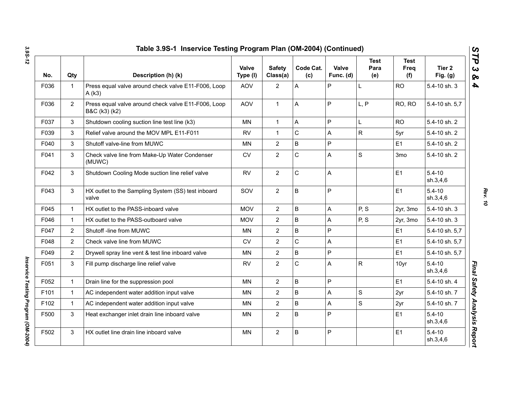|      |                | Table 3.9S-1 Inservice Testing Program Plan (OM-2004) (Continued)    |                          |                           |                  |                    |                            |                            |                        |
|------|----------------|----------------------------------------------------------------------|--------------------------|---------------------------|------------------|--------------------|----------------------------|----------------------------|------------------------|
| No.  | Qty            | Description (h) (k)                                                  | <b>Valve</b><br>Type (I) | <b>Safety</b><br>Class(a) | Code Cat.<br>(c) | Valve<br>Func. (d) | <b>Test</b><br>Para<br>(e) | <b>Test</b><br>Freq<br>(f) | Tier 2<br>Fig. $(g)$   |
| F036 | $\mathbf 1$    | Press equal valve around check valve E11-F006, Loop<br>A(k3)         | <b>AOV</b>               | $\mathbf{2}$              | A                | P                  | L                          | <b>RO</b>                  | 5.4-10 sh. 3           |
| F036 | $\overline{2}$ | Press equal valve around check valve E11-F006, Loop<br>B&C (k3) (k2) | <b>AOV</b>               | $\mathbf{1}$              | A                | $\mathsf{P}$       | L, P                       | RO, RO                     | 5.4-10 sh. 5,7         |
| F037 | 3              | Shutdown cooling suction line test line (k3)                         | ΜN                       | $\mathbf{1}$              | A                | P                  | L                          | <b>RO</b>                  | 5.4-10 sh. 2           |
| F039 | 3              | Relief valve around the MOV MPL E11-F011                             | <b>RV</b>                | $\mathbf{1}$              | $\mathsf C$      | A                  | $\mathsf{R}$               | 5yr                        | 5.4-10 sh. 2           |
| F040 | 3              | Shutoff valve-line from MUWC                                         | MN                       | $\overline{2}$            | $\sf B$          | P                  |                            | E1                         | 5.4-10 sh. 2           |
| F041 | 3              | Check valve line from Make-Up Water Condenser<br>(MUWC)              | CV                       | $\overline{2}$            | $\mathsf{C}$     | Α                  | S                          | 3 <sub>mo</sub>            | 5.4-10 sh. 2           |
| F042 | 3              | Shutdown Cooling Mode suction line relief valve                      | <b>RV</b>                | $\overline{2}$            | $\mathsf C$      | Α                  |                            | E1                         | $5.4 - 10$<br>sh.3,4,6 |
| F043 | 3              | HX outlet to the Sampling System (SS) test inboard<br>valve          | SOV                      | $\mathbf{2}$              | B                | P                  |                            | E1                         | $5.4 - 10$<br>sh.3,4,6 |
| F045 | $\mathbf{1}$   | HX outlet to the PASS-inboard valve                                  | <b>MOV</b>               | $\mathbf{2}$              | $\sf B$          | A                  | P, S                       | 2yr, 3mo                   | 5.4-10 sh. 3           |
| F046 | $\mathbf{1}$   | HX outlet to the PASS-outboard valve                                 | <b>MOV</b>               | $\mathbf{2}$              | $\sf B$          | A                  | P, S                       | 2yr, 3mo                   | 5.4-10 sh. 3           |
| F047 | $\overline{2}$ | Shutoff -line from MUWC                                              | MN                       | $\overline{2}$            | $\sf B$          | P                  |                            | E1                         | 5.4-10 sh. 5,7         |
| F048 | $\overline{2}$ | Check valve line from MUWC                                           | ${\sf CV}$               | $\overline{2}$            | $\mathsf C$      | A                  |                            | E1                         | 5.4-10 sh. 5,7         |
| F049 | $\overline{2}$ | Drywell spray line vent & test line inboard valve                    | <b>MN</b>                | $\overline{2}$            | $\sf B$          | P                  |                            | E1                         | 5.4-10 sh. 5,7         |
| F051 | 3              | Fill pump discharge line relief valve                                | <b>RV</b>                | $\overline{2}$            | $\mathsf{C}$     | A                  | $\mathsf{R}$               | 10yr                       | $5.4 - 10$<br>sh.3,4,6 |
| F052 | $\mathbf{1}$   | Drain line for the suppression pool                                  | <b>MN</b>                | $\overline{2}$            | $\sf B$          | P                  |                            | E1                         | 5.4-10 sh. 4           |
| F101 | $\mathbf{1}$   | AC independent water addition input valve                            | MN                       | $\overline{2}$            | $\sf B$          | Α                  | $\mathbf S$                | 2yr                        | 5.4-10 sh. 7           |
| F102 | $\mathbf{1}$   | AC independent water addition input valve                            | <b>MN</b>                | $\overline{2}$            | $\sf B$          | A                  | S                          | 2yr                        | 5.4-10 sh. 7           |
| F500 | 3              | Heat exchanger inlet drain line inboard valve                        | <b>MN</b>                | $\overline{2}$            | $\sf B$          | P                  |                            | E1                         | $5.4 - 10$<br>sh.3,4,6 |
| F502 | 3              | HX outlet line drain line inboard valve                              | <b>MN</b>                | $\overline{2}$            | B                | P                  |                            | E1                         | $5.4 - 10$<br>sh.3,4,6 |
|      |                |                                                                      |                          |                           |                  |                    |                            |                            |                        |

*Rev. 10*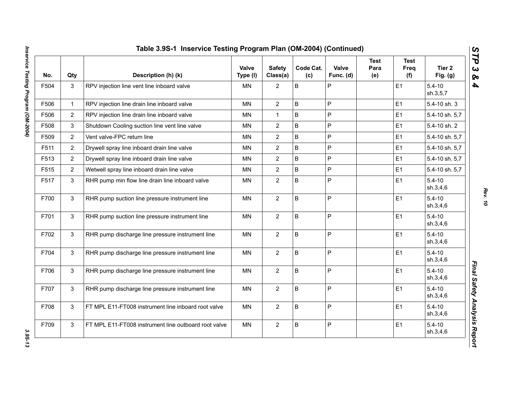| No.  | Qty            | Description (h) (k)                                  | Valve<br>Type (I) | <b>Safety</b><br>Class(a) | Code Cat.<br>(c) | Valve<br>Func. (d) | <b>Test</b><br>Para<br>(e) | <b>Test</b><br>Freq<br>(f) | Tier <sub>2</sub><br>Fig. $(g)$ |
|------|----------------|------------------------------------------------------|-------------------|---------------------------|------------------|--------------------|----------------------------|----------------------------|---------------------------------|
| F504 | 3              | RPV injection line vent line inboard valve           | <b>MN</b>         | 2                         | B                | P                  |                            | E1                         | $5.4 - 10$<br>sh.3,5,7          |
| F506 | $\mathbf{1}$   | RPV injection line drain line inboard valve          | <b>MN</b>         | $\overline{2}$            | B                | P                  |                            | E1                         | 5.4-10 sh. 3                    |
| F506 | $\overline{2}$ | RPV injection line drain line inboard valve          | MN                | $\mathbf{1}$              | B                | P                  |                            | E1                         | 5.4-10 sh. 5,7                  |
| F508 | 3              | Shutdown Cooling suction line vent line valve        | MN                | $\overline{2}$            | B                | P                  |                            | E1                         | 5.4-10 sh. 2                    |
| F509 | $\overline{2}$ | Vent valve-FPC return line                           | <b>MN</b>         | $\overline{2}$            | B                | P                  |                            | E1                         | 5.4-10 sh. 5,7                  |
| F511 | $\overline{2}$ | Drywell spray line inboard drain line valve          | MN                | $\overline{2}$            | B                | P                  |                            | E1                         | 5.4-10 sh. 5,7                  |
| F513 | $\overline{2}$ | Drywell spray line inboard drain line valve          | MN                | $\overline{2}$            | B                | P                  |                            | E1                         | 5.4-10 sh. 5,7                  |
| F515 | $\overline{2}$ | Wetwell spray line inboard drain line valve          | <b>MN</b>         | $\overline{2}$            | B                | P                  |                            | E1                         | 5.4-10 sh. 5,7                  |
| F517 | 3              | RHR pump min flow line drain line inboard valve      | MN                | $\overline{2}$            | B                | P                  |                            | E1                         | $5.4 - 10$<br>sh.3,4,6          |
| F700 | $\mathbf{3}$   | RHR pump suction line pressure instrument line       | <b>MN</b>         | $\overline{2}$            | B                | P                  |                            | E1                         | $5.4 - 10$<br>sh.3,4,6          |
| F701 | 3              | RHR pump suction line pressure instrument line       | <b>MN</b>         | $\overline{2}$            | B                | P                  |                            | E1                         | $5.4 - 10$<br>sh.3,4,6          |
| F702 | 3              | RHR pump discharge line pressure instrument line     | <b>MN</b>         | $\overline{2}$            | B                | P                  |                            | E1                         | $5.4 - 10$<br>sh.3,4,6          |
| F704 | 3              | RHR pump discharge line pressure instrument line     | MN                | $\overline{2}$            | B                | P                  |                            | E1                         | $5.4 - 10$<br>sh.3,4,6          |
| F706 | 3              | RHR pump discharge line pressure instrument line     | MN                | $\overline{2}$            | B                | P                  |                            | E1                         | $5.4 - 10$<br>sh.3,4,6          |
| F707 | $\mathbf{3}$   | RHR pump discharge line pressure instrument line     | <b>MN</b>         | $\overline{2}$            | B                | P                  |                            | E1                         | $5.4 - 10$<br>sh.3,4,6          |
| F708 | 3              | FT MPL E11-FT008 instrument line inboard root valve  | <b>MN</b>         | $\overline{2}$            | B                | P                  |                            | E1                         | $5.4 - 10$<br>sh.3,4,6          |
| F709 | $\mathsf 3$    | FT MPL E11-FT008 instrument line outboard root valve | <b>MN</b>         | $\overline{2}$            | B                | P                  |                            | E1                         | $5.4 - 10$<br>sh.3,4,6          |

*Rev. 10*

3.95-13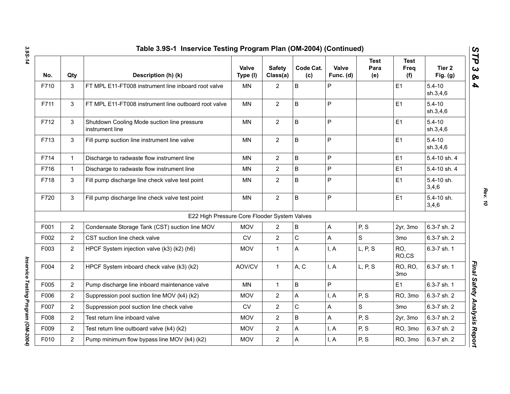|      |                | Table 3.9S-1 Inservice Testing Program Plan (OM-2004) (Continued) |                   |                           |                  |                    |                            |                                   |                                 |
|------|----------------|-------------------------------------------------------------------|-------------------|---------------------------|------------------|--------------------|----------------------------|-----------------------------------|---------------------------------|
| No.  | Qty            | Description (h) (k)                                               | Valve<br>Type (I) | <b>Safety</b><br>Class(a) | Code Cat.<br>(c) | Valve<br>Func. (d) | <b>Test</b><br>Para<br>(e) | <b>Test</b><br>Freq<br>(f)        | Tier <sub>2</sub><br>Fig. $(g)$ |
| F710 | 3              | FT MPL E11-FT008 instrument line inboard root valve               | <b>MN</b>         | $\overline{2}$            | B                | P                  |                            | E <sub>1</sub>                    | $5.4 - 10$<br>sh.3,4,6          |
| F711 | 3              | FT MPL E11-FT008 instrument line outboard root valve              | <b>MN</b>         | $\overline{2}$            | B                | $\mathsf{P}$       |                            | E1                                | $5.4 - 10$<br>sh.3,4,6          |
| F712 | 3              | Shutdown Cooling Mode suction line pressure<br>instrument line    | <b>MN</b>         | $\overline{2}$            | $\mathsf B$      | P                  |                            | E1                                | $5.4 - 10$<br>sh.3,4,6          |
| F713 | 3              | Fill pump suction line instrument line valve                      | <b>MN</b>         | $\overline{2}$            | B                | $\mathsf{P}$       |                            | E1                                | $5.4 - 10$<br>sh.3,4,6          |
| F714 | $\mathbf{1}$   | Discharge to radwaste flow instrument line                        | <b>MN</b>         | $\overline{2}$            | $\mathsf B$      | P                  |                            | E1                                | 5.4-10 sh. 4                    |
| F716 | $\mathbf{1}$   | Discharge to radwaste flow instrument line                        | MN                | $\overline{2}$            | $\sf B$          | P                  |                            | E1                                | 5.4-10 sh. 4                    |
| F718 | 3              | Fill pump discharge line check valve test point                   | <b>MN</b>         | $\overline{2}$            | B                | P                  |                            | E <sub>1</sub>                    | 5.4-10 sh.<br>3,4,6             |
| F720 | 3              | Fill pump discharge line check valve test point                   | <b>MN</b>         | $\overline{2}$            | $\sf B$          | P                  |                            | E1                                | 5.4-10 sh.<br>3,4,6             |
|      |                | E22 High Pressure Core Flooder System Valves                      |                   |                           |                  |                    |                            |                                   |                                 |
| F001 | $\overline{2}$ | Condensate Storage Tank (CST) suction line MOV                    | <b>MOV</b>        | $\overline{2}$            | $\sf B$          | A                  | P, S                       | 2yr, 3mo                          | 6.3-7 sh. 2                     |
| F002 | $\overline{2}$ | CST suction line check valve                                      | <b>CV</b>         | $\overline{2}$            | $\mathbf C$      | Α                  | $\mathbf S$                | 3 <sub>mo</sub>                   | 6.3-7 sh. 2                     |
| F003 | $\overline{2}$ | HPCF System injection valve (k3) (k2) (h6)                        | <b>MOV</b>        | $\mathbf{1}$              | A                | I, A               | L, P, S                    | RO,<br>RO,CS                      | 6.3-7 sh. 1                     |
| F004 | $\overline{2}$ | HPCF System inboard check valve (k3) (k2)                         | AOV/CV            | $\mathbf{1}$              | A, C             | I, A               | L, P, S                    | <b>RO, RO,</b><br>3 <sub>mo</sub> | 6.3-7 sh. 1                     |
| F005 | $\overline{2}$ | Pump discharge line inboard maintenance valve                     | <b>MN</b>         | $\mathbf{1}$              | B                | P                  |                            | E1                                | 6.3-7 sh. 1                     |
| F006 | $\overline{2}$ | Suppression pool suction line MOV (k4) (k2)                       | <b>MOV</b>        | $\overline{2}$            | A                | I, A               | P, S                       | RO, 3mo                           | 6.3-7 sh. 2                     |
| F007 | $\overline{2}$ | Suppression pool suction line check valve                         | CV                | $\overline{2}$            | ${\bf C}$        | Α                  | S                          | 3 <sub>mo</sub>                   | 6.3-7 sh. 2                     |
| F008 | $\overline{2}$ | Test return line inboard valve                                    | <b>MOV</b>        | $\overline{2}$            | $\sf B$          | A                  | P, S                       | 2yr, 3mo                          | 6.3-7 sh. 2                     |
| F009 | $\overline{2}$ | Test return line outboard valve (k4) (k2)                         | <b>MOV</b>        | $\overline{2}$            | A                | I, A               | P, S                       | RO, 3mo                           | 6.3-7 sh. 2                     |
| F010 | $\overline{2}$ | Pump minimum flow bypass line MOV (k4) (k2)                       | <b>MOV</b>        | $\overline{2}$            | Α                | I, A               | P, S                       | RO, 3mo                           | 6.3-7 sh. 2                     |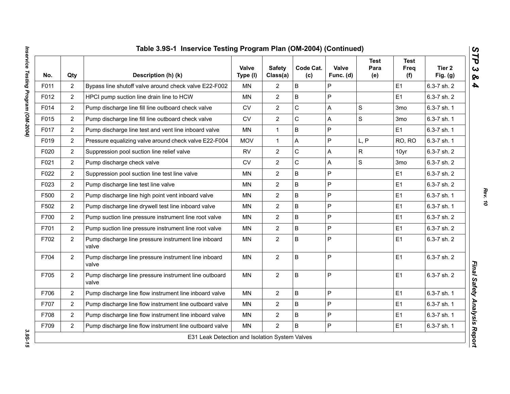| Table 3.9S-1 Inservice Testing Program Plan (OM-2004) (Continued)<br>$\boldsymbol{\omega}$<br>ΤΡ |                |                                                                |                   |                           |                  |                    |                            |                            |                      |  |  |  |
|--------------------------------------------------------------------------------------------------|----------------|----------------------------------------------------------------|-------------------|---------------------------|------------------|--------------------|----------------------------|----------------------------|----------------------|--|--|--|
| No.                                                                                              | Qty            | Description (h) (k)                                            | Valve<br>Type (I) | <b>Safety</b><br>Class(a) | Code Cat.<br>(c) | Valve<br>Func. (d) | <b>Test</b><br>Para<br>(e) | <b>Test</b><br>Freq<br>(f) | Tier 2<br>Fig. $(g)$ |  |  |  |
| F011                                                                                             | $\overline{c}$ | Bypass line shutoff valve around check valve E22-F002          | <b>MN</b>         | $\overline{2}$            | B                | P                  |                            | E1                         | 6.3-7 sh. 2          |  |  |  |
| F012                                                                                             | $\overline{2}$ | HPCI pump suction line drain line to HCW                       | <b>MN</b>         | $\overline{2}$            | B                | P                  |                            | E1                         | 6.3-7 sh. 2          |  |  |  |
| F014                                                                                             | $\overline{2}$ | Pump discharge line fill line outboard check valve             | ${\sf CV}$        | $\overline{2}$            | C                | A                  | $\mathbf S$                | 3 <sub>mo</sub>            | 6.3-7 sh. 1          |  |  |  |
| F015                                                                                             | $\overline{c}$ | Pump discharge line fill line outboard check valve             | CV                | $\overline{c}$            | С                | Α                  | ${\mathsf S}$              | 3 <sub>mo</sub>            | 6.3-7 sh. 1          |  |  |  |
| F017                                                                                             | $\overline{2}$ | Pump discharge line test and vent line inboard valve           | MN                | $\mathbf{1}$              | B                | P                  |                            | E1                         | 6.3-7 sh. 1          |  |  |  |
| F019                                                                                             | $\overline{2}$ | Pressure equalizing valve around check valve E22-F004          | <b>MOV</b>        | $\mathbf{1}$              | A                | P                  | L, P                       | RO, RO                     | 6.3-7 sh. 1          |  |  |  |
| F020                                                                                             | $\overline{2}$ | Suppression pool suction line relief valve                     | <b>RV</b>         | $\overline{2}$            | C                | A                  | $\mathsf{R}$               | 10yr                       | 6.3-7 sh. 2          |  |  |  |
| F021                                                                                             | $\overline{2}$ | Pump discharge check valve                                     | <b>CV</b>         | $\overline{2}$            | C                | A                  | $\mathsf{s}$               | 3 <sub>mo</sub>            | 6.3-7 sh. 2          |  |  |  |
| F022                                                                                             | $\overline{2}$ | Suppression pool suction line test line valve                  | <b>MN</b>         | $\overline{2}$            | B                | P                  |                            | E1                         | 6.3-7 sh. 2          |  |  |  |
| F023                                                                                             | $\overline{2}$ | Pump discharge line test line valve                            | <b>MN</b>         | $\overline{2}$            | B                | P                  |                            | E1                         | 6.3-7 sh. 2          |  |  |  |
| F500                                                                                             | $\overline{2}$ | Pump discharge line high point vent inboard valve              | <b>MN</b>         | $\overline{2}$            | B                | P                  |                            | E1                         | 6.3-7 sh. 1          |  |  |  |
| F502                                                                                             | $\overline{2}$ | Pump discharge line drywell test line inboard valve            | <b>MN</b>         | $\overline{2}$            | B                | P                  |                            | E1                         | 6.3-7 sh. 1          |  |  |  |
| F700                                                                                             | $\overline{2}$ | Pump suction line pressure instrument line root valve          | <b>MN</b>         | $\overline{2}$            | B                | P                  |                            | E1                         | 6.3-7 sh. 2          |  |  |  |
| F701                                                                                             | $\overline{2}$ | Pump suction line pressure instrument line root valve          | MN                | $\overline{2}$            | B                | P                  |                            | E <sub>1</sub>             | 6.3-7 sh. 2          |  |  |  |
| F702                                                                                             | $\overline{2}$ | Pump discharge line pressure instrument line inboard<br>valve  | <b>MN</b>         | $\overline{2}$            | B                | P                  |                            | E1                         | 6.3-7 sh. 2          |  |  |  |
| F704                                                                                             | $\overline{2}$ | Pump discharge line pressure instrument line inboard<br>valve  | <b>MN</b>         | $\overline{2}$            | B                | P                  |                            | E1                         | 6.3-7 sh. 2          |  |  |  |
| F705                                                                                             | $\overline{2}$ | Pump discharge line pressure instrument line outboard<br>valve | <b>MN</b>         | $\overline{2}$            | B                | P                  |                            | E1                         | 6.3-7 sh. 2          |  |  |  |
| F706                                                                                             | $\overline{2}$ | Pump discharge line flow instrument line inboard valve         | <b>MN</b>         | $\overline{2}$            | B                | P                  |                            | E1                         | 6.3-7 sh. 1          |  |  |  |
| F707                                                                                             | $\overline{2}$ | Pump discharge line flow instrument line outboard valve        | MN                | $\overline{2}$            | B                | P                  |                            | E1                         | 6.3-7 sh. 1          |  |  |  |
| F708                                                                                             | $\overline{2}$ | Pump discharge line flow instrument line inboard valve         | <b>MN</b>         | $\overline{2}$            | B                | P                  |                            | E1                         | 6.3-7 sh. 1          |  |  |  |
| F709                                                                                             | $\overline{2}$ | Pump discharge line flow instrument line outboard valve        | MN                | $\overline{2}$            | B                | P                  |                            | E1                         | 6.3-7 sh. 1          |  |  |  |

3.95-15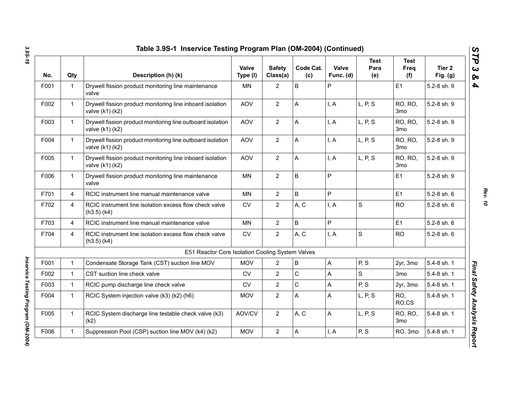| No.  | Qty            | Description (h) (k)                                                              | Valve<br>Type (I) | <b>Safety</b><br>Class(a) | Code Cat.<br>(c) | Valve<br>Func. (d) | <b>Test</b><br>Para<br>(e) | <b>Test</b><br>Freq<br>(f) | Tier <sub>2</sub><br>Fig. $(g)$ |
|------|----------------|----------------------------------------------------------------------------------|-------------------|---------------------------|------------------|--------------------|----------------------------|----------------------------|---------------------------------|
| F001 | $\mathbf{1}$   | Drywell fission product monitoring line maintenance<br>valve                     | <b>MN</b>         | $\overline{2}$            | B                | P                  |                            | E1                         | 5.2-8 sh. 9                     |
| F002 | $\mathbf{1}$   | Drywell fission product monitoring line inboard isolation<br>valve (k1) (k2)     | <b>AOV</b>        | $\overline{2}$            | А                | I, A               | L, P, S                    | RO, RO,<br>3 <sub>mo</sub> | 5.2-8 sh. 9                     |
| F003 | $\mathbf{1}$   | Drywell fission product monitoring line outboard isolation<br>valve (k1) (k2)    | <b>AOV</b>        | $\overline{2}$            | A                | I, A               | L, P, S                    | RO, RO,<br>3 <sub>mo</sub> | 5.2-8 sh. 9                     |
| F004 | $\mathbf 1$    | Drywell fission product monitoring line outboard isolation<br>valve (k1) (k2)    | <b>AOV</b>        | $\overline{2}$            | A                | I, A               | L, P, S                    | RO, RO,<br>3 <sub>mo</sub> | 5.2-8 sh. 9                     |
| F005 | $\mathbf{1}$   | Drywell fission product monitoring line inboard isolation<br>valve $(k1)$ $(k2)$ | <b>AOV</b>        | $\overline{2}$            | A                | I, A               | L, P, S                    | RO, RO,<br>3 <sub>mo</sub> | 5.2-8 sh. 9                     |
| F006 | $\mathbf 1$    | Drywell fission product monitoring line maintenance<br>valve                     | <b>MN</b>         | $\overline{2}$            | B                | P                  |                            | E1                         | 5.2-8 sh. 9                     |
| F701 | $\overline{4}$ | RCIC instrument line manual maintenance valve                                    | <b>MN</b>         | $\overline{2}$            | B                | P                  |                            | E1                         | 5.2-8 sh. 6                     |
| F702 | $\overline{4}$ | RCIC instrument line isolation excess flow check valve<br>$(h3.5)$ (k4)          | <b>CV</b>         | $\overline{2}$            | A, C             | I, A               | $\mathbf S$                | <b>RO</b>                  | 5.2-8 sh. 6                     |
| F703 | $\overline{4}$ | RCIC instrument line manual maintenance valve                                    | <b>MN</b>         | $\overline{2}$            | B                | P                  |                            | E1                         | 5.2-8 sh. 6                     |
| F704 | $\overline{4}$ | RCIC instrument line isolation excess flow check valve<br>$(h3.5)$ $(k4)$        | CV                | $\overline{2}$            | A, C             | I, A               | $\mathbf S$                | <b>RO</b>                  | 5.2-8 sh. 6                     |
|      |                | E51 Reactor Core Isolation Cooling System Valves                                 |                   |                           |                  |                    |                            |                            |                                 |
| F001 | $\mathbf{1}$   | Condensate Storage Tank (CST) suction line MOV                                   | <b>MOV</b>        | $\overline{2}$            | B                | A                  | P, S                       | 2yr, 3mo                   | 5.4-8 sh. 1                     |
| F002 | $\mathbf{1}$   | CST suction line check valve                                                     | <b>CV</b>         | $\overline{2}$            | C                | A                  | S                          | 3mo                        | 5.4-8 sh. 1                     |
| F003 | $\mathbf 1$    | RCIC pump discharge line check valve                                             | <b>CV</b>         | $\overline{2}$            | С                | А                  | P, S                       | 2yr, 3mo                   | 5.4-8 sh. 1                     |
| F004 | 1              | RCIC System injection valve (k3) (k2) (h6)                                       | <b>MOV</b>        | $\overline{2}$            | A                | A                  | L, P, S                    | RO,<br>RO,CS               | 5.4-8 sh. 1                     |
| F005 | $\mathbf{1}$   | RCIC System discharge line testable check valve (k3)<br>(k2)                     | AOV/CV            | $\overline{2}$            | A, C             | A                  | L, P, S                    | RO, RO,<br>3 <sub>mo</sub> | 5.4-8 sh. 1                     |
| F006 | $\mathbf 1$    | Suppression Pool (CSP) suction line MOV (k4) (k2)                                | <b>MOV</b>        | $\overline{2}$            | A                | I, A               | P, S                       | RO, 3mo                    | 5.4-8 sh. 1                     |

*Inservice Testing Program (OM-2004)* 

Inservice Testing Program (OM-2004)

*Rev. 10*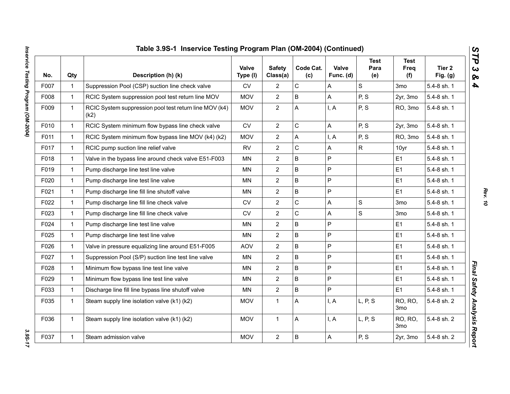|      |              | Table 3.9S-1 Inservice Testing Program Plan (OM-2004) (Continued) |                          |                           |                  |                           |                            |                            |                      |
|------|--------------|-------------------------------------------------------------------|--------------------------|---------------------------|------------------|---------------------------|----------------------------|----------------------------|----------------------|
| No.  | Qty          | Description (h) (k)                                               | <b>Valve</b><br>Type (I) | <b>Safety</b><br>Class(a) | Code Cat.<br>(c) | <b>Valve</b><br>Func. (d) | <b>Test</b><br>Para<br>(e) | <b>Test</b><br>Freq<br>(f) | Tier 2<br>Fig. $(g)$ |
| F007 | $\mathbf{1}$ | Suppression Pool (CSP) suction line check valve                   | <b>CV</b>                | $\overline{2}$            | C                | A                         | S                          | 3 <sub>mo</sub>            | 5.4-8 sh. 1          |
| F008 | $\mathbf{1}$ | RCIC System suppression pool test return line MOV                 | <b>MOV</b>               | $\overline{2}$            | B                | A                         | P, S                       | 2yr, 3mo                   | 5.4-8 sh. 1          |
| F009 | $\mathbf{1}$ | RCIC System suppression pool test return line MOV (k4)<br>(k2)    | <b>MOV</b>               | $\overline{2}$            | A                | I, A                      | P, S                       | RO, 3mo                    | 5.4-8 sh. 1          |
| F010 | $\mathbf{1}$ | RCIC System minimum flow bypass line check valve                  | <b>CV</b>                | $\mathbf{2}$              | C                | A                         | P, S                       | 2yr, 3mo                   | 5.4-8 sh. 1          |
| F011 | $\mathbf{1}$ | RCIC System minimum flow bypass line MOV (k4) (k2)                | <b>MOV</b>               | $\overline{2}$            | A                | I, A                      | P, S                       | RO, 3mo                    | 5.4-8 sh. 1          |
| F017 | $\mathbf{1}$ | RCIC pump suction line relief valve                               | <b>RV</b>                | $\overline{2}$            | C                | A                         | $\mathsf{R}$               | 10yr                       | 5.4-8 sh. 1          |
| F018 | $\mathbf{1}$ | Valve in the bypass line around check valve E51-F003              | <b>MN</b>                | $\boldsymbol{2}$          | B                | $\mathsf P$               |                            | E <sub>1</sub>             | 5.4-8 sh. 1          |
| F019 | $\mathbf{1}$ | Pump discharge line test line valve                               | MN                       | $\overline{2}$            | B                | P                         |                            | E <sub>1</sub>             | 5.4-8 sh. 1          |
| F020 | $\mathbf{1}$ | Pump discharge line test line valve                               | MN                       | $\overline{2}$            | B                | P                         |                            | E <sub>1</sub>             | 5.4-8 sh. 1          |
| F021 | $\mathbf{1}$ | Pump discharge line fill line shutoff valve                       | MN                       | $\overline{2}$            | B                | P                         |                            | E <sub>1</sub>             | 5.4-8 sh. 1          |
| F022 | $\mathbf{1}$ | Pump discharge line fill line check valve                         | <b>CV</b>                | $\overline{2}$            | $\mathsf{C}$     | A                         | $\mathbf S$                | 3 <sub>mo</sub>            | 5.4-8 sh. 1          |
| F023 | $\mathbf{1}$ | Pump discharge line fill line check valve                         | <b>CV</b>                | $\overline{2}$            | $\mathsf{C}$     | A                         | S                          | 3 <sub>mo</sub>            | 5.4-8 sh. 1          |
| F024 | $\mathbf{1}$ | Pump discharge line test line valve                               | <b>MN</b>                | $\overline{2}$            | B                | P                         |                            | E <sub>1</sub>             | 5.4-8 sh. 1          |
| F025 | $\mathbf{1}$ | Pump discharge line test line valve                               | MN                       | $\mathbf{2}$              | B                | P                         |                            | E1                         | 5.4-8 sh. 1          |
| F026 | $\mathbf{1}$ | Valve in pressure equalizing line around E51-F005                 | <b>AOV</b>               | $\mathbf{2}$              | B                | P                         |                            | E <sub>1</sub>             | 5.4-8 sh. 1          |
| F027 | $\mathbf{1}$ | Suppression Pool (S/P) suction line test line valve               | MN                       | $\mathbf{2}$              | B                | $\mathsf P$               |                            | E <sub>1</sub>             | 5.4-8 sh. 1          |
| F028 | $\mathbf{1}$ | Minimum flow bypass line test line valve                          | ΜN                       | $\mathbf{2}$              | B                | P                         |                            | E1                         | 5.4-8 sh. 1          |
| F029 | $\mathbf{1}$ | Minimum flow bypass line test line valve                          | MN                       | $\overline{2}$            | B                | P                         |                            | E <sub>1</sub>             | 5.4-8 sh. 1          |
| F033 | $\mathbf{1}$ | Discharge line fill line bypass line shutoff valve                | <b>MN</b>                | $\overline{2}$            | B                | P                         |                            | E1                         | 5.4-8 sh. 1          |
| F035 | $\mathbf{1}$ | Steam supply line isolation valve (k1) (k2)                       | <b>MOV</b>               | $\mathbf{1}$              | A                | I, A                      | L, P, S                    | RO, RO,<br>3 <sub>mo</sub> | 5.4-8 sh. 2          |
| F036 | $\mathbf{1}$ | Steam supply line isolation valve (k1) (k2)                       | <b>MOV</b>               | $\mathbf{1}$              | А                | I, A                      | L, P, S                    | RO, RO,<br>3 <sub>mo</sub> | 5.4-8 sh. 2          |
| F037 | $\mathbf{1}$ | Steam admission valve                                             | <b>MOV</b>               | $\mathbf{2}$              | B                | $\mathsf{A}$              | P, S                       | 2yr, 3mo                   | 5.4-8 sh. 2          |

*Rev. 10*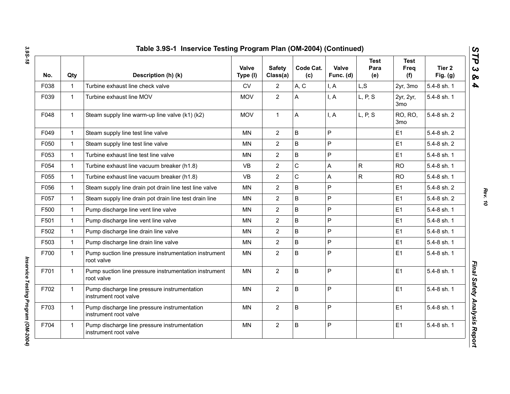| No.  | Qty          | Description (h) (k)                                                   | Valve<br>Type (I) | <b>Safety</b><br>Class(a) | Code Cat.<br>(c) | Valve<br>Func. (d) | <b>Test</b><br>Para<br>(e) | <b>Test</b><br><b>Freq</b><br>(f) | Tier 2<br>Fig. $(g)$ |
|------|--------------|-----------------------------------------------------------------------|-------------------|---------------------------|------------------|--------------------|----------------------------|-----------------------------------|----------------------|
| F038 | $\mathbf{1}$ | Turbine exhaust line check valve                                      | <b>CV</b>         | 2                         | A, C             | I, A               | L, S                       | 2yr, 3mo                          | 5.4-8 sh. 1          |
| F039 | $\mathbf{1}$ | Turbine exhaust line MOV                                              | <b>MOV</b>        | $\overline{2}$            | A                | I, A               | L, P, S                    | 2yr, 2yr,<br>3 <sub>mo</sub>      | 5.4-8 sh. 1          |
| F048 | $\mathbf{1}$ | Steam supply line warm-up line valve (k1) (k2)                        | <b>MOV</b>        | $\mathbf{1}$              | Α                | I, A               | L, P, S                    | RO, RO,<br>3mo                    | 5.4-8 sh. 2          |
| F049 | $\mathbf{1}$ | Steam supply line test line valve                                     | <b>MN</b>         | $\overline{2}$            | B                | P                  |                            | E1                                | 5.4-8 sh. 2          |
| F050 | $\mathbf{1}$ | Steam supply line test line valve                                     | MN                | $\overline{2}$            | B                | P                  |                            | E1                                | 5.4-8 sh. 2          |
| F053 | $\mathbf{1}$ | Turbine exhaust line test line valve                                  | ΜN                | $\overline{2}$            | B                | P                  |                            | E <sub>1</sub>                    | 5.4-8 sh. 1          |
| F054 | $\mathbf{1}$ | Turbine exhaust line vacuum breaker (h1.8)                            | <b>VB</b>         | $\overline{2}$            | C                | A                  | ${\sf R}$                  | <b>RO</b>                         | 5.4-8 sh. 1          |
| F055 | $\mathbf{1}$ | Turbine exhaust line vacuum breaker (h1.8)                            | <b>VB</b>         | $\overline{2}$            | C                | Α                  | $\mathsf{R}$               | <b>RO</b>                         | 5.4-8 sh. 1          |
| F056 | $\mathbf{1}$ | Steam supply line drain pot drain line test line valve                | ΜN                | $\overline{2}$            | B                | P                  |                            | E <sub>1</sub>                    | 5.4-8 sh. 2          |
| F057 | $\mathbf{1}$ | Steam supply line drain pot drain line test drain line                | <b>MN</b>         | $\overline{2}$            | B                | P                  |                            | E1                                | 5.4-8 sh. 2          |
| F500 | $\mathbf{1}$ | Pump discharge line vent line valve                                   | MN                | $\overline{2}$            | B                | P                  |                            | E1                                | 5.4-8 sh. 1          |
| F501 | $\mathbf{1}$ | Pump discharge line vent line valve                                   | <b>MN</b>         | $\overline{2}$            | B                | P                  |                            | E1                                | 5.4-8 sh. 1          |
| F502 | $\mathbf{1}$ | Pump discharge line drain line valve                                  | <b>MN</b>         | $\overline{2}$            | B                | P                  |                            | E1                                | 5.4-8 sh. 1          |
| F503 | $\mathbf{1}$ | Pump discharge line drain line valve                                  | MN                | $\overline{2}$            | B                | P                  |                            | E1                                | 5.4-8 sh. 1          |
| F700 | $\mathbf{1}$ | Pump suction line pressure instrumentation instrument<br>root valve   | <b>MN</b>         | $\overline{2}$            | B                | P                  |                            | E1                                | 5.4-8 sh. 1          |
| F701 | $\mathbf{1}$ | Pump suction line pressure instrumentation instrument<br>root valve   | MN                | $\overline{2}$            | B                | P                  |                            | E1                                | 5.4-8 sh. 1          |
| F702 | $\mathbf{1}$ | Pump discharge line pressure instrumentation<br>instrument root valve | <b>MN</b>         | $\overline{2}$            | B                | P                  |                            | E1                                | 5.4-8 sh. 1          |
| F703 | $\mathbf{1}$ | Pump discharge line pressure instrumentation<br>instrument root valve | <b>MN</b>         | $\overline{2}$            | B                | P                  |                            | E <sub>1</sub>                    | 5.4-8 sh. 1          |
| F704 | $\mathbf{1}$ | Pump discharge line pressure instrumentation<br>instrument root valve | MN                | $\overline{2}$            | B                | P                  |                            | E <sub>1</sub>                    | 5.4-8 sh. 1          |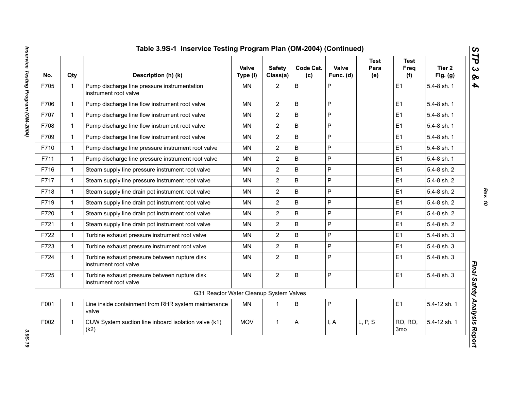| No.  | Qty          | Description (h) (k)                                                    | Valve<br>Type (I) | <b>Safety</b><br>Class(a) | Code Cat.<br>(c) | Valve<br>Func. (d) | <b>Test</b><br>Para<br>(e) | <b>Test</b><br>Freq<br>(f) | Tier 2<br>Fig. $(g)$ |
|------|--------------|------------------------------------------------------------------------|-------------------|---------------------------|------------------|--------------------|----------------------------|----------------------------|----------------------|
| F705 | $\mathbf{1}$ | Pump discharge line pressure instrumentation<br>instrument root valve  | <b>MN</b>         | $\overline{2}$            | B                | P                  |                            | E1                         | 5.4-8 sh. 1          |
| F706 | $\mathbf{1}$ | Pump discharge line flow instrument root valve                         | <b>MN</b>         | $\overline{2}$            | B                | P                  |                            | E1                         | 5.4-8 sh. 1          |
| F707 | $\mathbf{1}$ | Pump discharge line flow instrument root valve                         | MN                | $\overline{2}$            | B                | P                  |                            | E1                         | 5.4-8 sh. 1          |
| F708 | $\mathbf{1}$ | Pump discharge line flow instrument root valve                         | <b>MN</b>         | $\overline{2}$            | B                | P                  |                            | E1                         | 5.4-8 sh. 1          |
| F709 | $\mathbf{1}$ | Pump discharge line flow instrument root valve                         | <b>MN</b>         | $\overline{2}$            | B                | P                  |                            | E1                         | 5.4-8 sh. 1          |
| F710 | $\mathbf{1}$ | Pump discharge line pressure instrument root valve                     | MN                | $\overline{2}$            | B                | P                  |                            | E1                         | 5.4-8 sh. 1          |
| F711 | $\mathbf{1}$ | Pump discharge line pressure instrument root valve                     | <b>MN</b>         | $\overline{2}$            | B                | P                  |                            | E1                         | 5.4-8 sh. 1          |
| F716 | $\mathbf{1}$ | Steam supply line pressure instrument root valve                       | <b>MN</b>         | $\overline{2}$            | B                | P                  |                            | E1                         | 5.4-8 sh. 2          |
| F717 | $\mathbf{1}$ | Steam supply line pressure instrument root valve                       | MN                | $\overline{2}$            | B                | P                  |                            | E1                         | 5.4-8 sh. 2          |
| F718 | $\mathbf{1}$ | Steam supply line drain pot instrument root valve                      | MN                | $\overline{2}$            | B                | P                  |                            | E1                         | 5.4-8 sh. 2          |
| F719 | $\mathbf{1}$ | Steam supply line drain pot instrument root valve                      | <b>MN</b>         | $\overline{2}$            | B                | P                  |                            | E1                         | 5.4-8 sh. 2          |
| F720 | $\mathbf{1}$ | Steam supply line drain pot instrument root valve                      | <b>MN</b>         | $\overline{2}$            | B                | P                  |                            | E1                         | 5.4-8 sh. 2          |
| F721 | $\mathbf{1}$ | Steam supply line drain pot instrument root valve                      | <b>MN</b>         | $\overline{2}$            | B                | P                  |                            | E1                         | 5.4-8 sh. 2          |
| F722 | $\mathbf{1}$ | Turbine exhaust pressure instrument root valve                         | <b>MN</b>         | $\overline{2}$            | B                | P                  |                            | E1                         | 5.4-8 sh. 3          |
| F723 | $\mathbf{1}$ | Turbine exhaust pressure instrument root valve                         | <b>MN</b>         | $\overline{2}$            | B                | P                  |                            | E1                         | 5.4-8 sh. 3          |
| F724 | $\mathbf{1}$ | Turbine exhaust pressure between rupture disk<br>instrument root valve | <b>MN</b>         | $\overline{2}$            | B                | P                  |                            | E1                         | 5.4-8 sh. 3          |
| F725 | $\mathbf{1}$ | Turbine exhaust pressure between rupture disk<br>instrument root valve | <b>MN</b>         | $\overline{2}$            | B                | P                  |                            | E1                         | 5.4-8 sh. 3          |
|      |              | G31 Reactor Water Cleanup System Valves                                |                   |                           |                  |                    |                            |                            |                      |
| F001 | $\mathbf{1}$ | Line inside containment from RHR system maintenance<br>valve           | MN                | $\mathbf 1$               | B                | P                  |                            | E1                         | 5.4-12 sh. 1         |
| F002 | $\mathbf{1}$ | CUW System suction line inboard isolation valve (k1)<br>(k2)           | <b>MOV</b>        | $\mathbf{1}$              | A                | I, A               | L, P, S                    | RO, RO,<br>3 <sub>mo</sub> | 5.4-12 sh. 1         |

3.95-19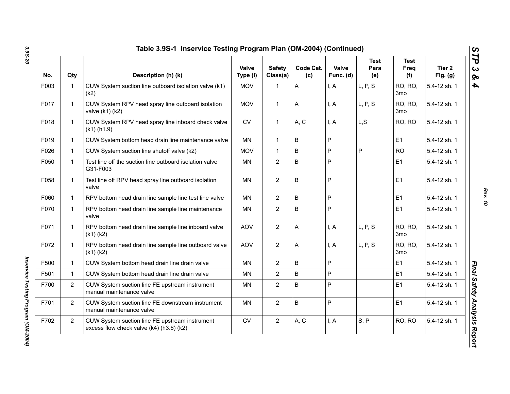| No.  | Qty            | Description (h) (k)                                                                        | Valve<br>Type (I) | <b>Safety</b><br>Class(a) | Code Cat.<br>(c) | Valve<br>Func. (d) | <b>Test</b><br>Para<br>(e) | <b>Test</b><br>Freq<br>(f)        | Tier 2<br>Fig. $(g)$ |
|------|----------------|--------------------------------------------------------------------------------------------|-------------------|---------------------------|------------------|--------------------|----------------------------|-----------------------------------|----------------------|
| F003 | $\mathbf{1}$   | CUW System suction line outboard isolation valve (k1)<br>(k2)                              | <b>MOV</b>        | 1                         | A                | I, A               | L, P, S                    | RO, RO,<br>3 <sub>mo</sub>        | 5.4-12 sh. 1         |
| F017 | $\mathbf 1$    | CUW System RPV head spray line outboard isolation<br>valve (k1) (k2)                       | <b>MOV</b>        | $\mathbf{1}$              | A                | I, A               | L, P, S                    | RO, RO,<br>3 <sub>mo</sub>        | 5.4-12 sh. 1         |
| F018 | $\mathbf{1}$   | CUW System RPV head spray line inboard check valve<br>$(k1)$ (h1.9)                        | <b>CV</b>         | $\mathbf{1}$              | A, C             | I, A               | L, S                       | RO, RO                            | 5.4-12 sh. 1         |
| F019 | $\mathbf{1}$   | CUW System bottom head drain line maintenance valve                                        | MN                | $\mathbf{1}$              | B                | P                  |                            | E1                                | 5.4-12 sh. 1         |
| F026 | $\mathbf{1}$   | CUW System suction line shutoff valve (k2)                                                 | <b>MOV</b>        | $\mathbf{1}$              | $\mathsf B$      | P                  | P                          | <b>RO</b>                         | 5.4-12 sh. 1         |
| F050 | $\mathbf{1}$   | Test line off the suction line outboard isolation valve<br>G31-F003                        | MN                | $\overline{2}$            | B                | P                  |                            | E1                                | 5.4-12 sh. 1         |
| F058 | $\mathbf{1}$   | Test line off RPV head spray line outboard isolation<br>valve                              | <b>MN</b>         | $\overline{2}$            | $\mathsf B$      | P                  |                            | E1                                | 5.4-12 sh. 1         |
| F060 | $\mathbf{1}$   | RPV bottom head drain line sample line test line valve                                     | <b>MN</b>         | $\overline{2}$            | $\mathsf B$      | P                  |                            | E1                                | 5.4-12 sh. 1         |
| F070 | $\mathbf{1}$   | RPV bottom head drain line sample line maintenance<br>valve                                | MN                | $\overline{2}$            | B                | $\mathsf{P}$       |                            | E1                                | 5.4-12 sh. 1         |
| F071 | $\mathbf{1}$   | RPV bottom head drain line sample line inboard valve<br>$(k1)$ $(k2)$                      | <b>AOV</b>        | $\overline{2}$            | A                | I, A               | L, P, S                    | RO, RO,<br>3 <sub>mo</sub>        | 5.4-12 sh. 1         |
| F072 | $\mathbf{1}$   | RPV bottom head drain line sample line outboard valve<br>$(k1)$ $(k2)$                     | <b>AOV</b>        | $\overline{2}$            | A                | I, A               | L, P, S                    | <b>RO, RO,</b><br>3 <sub>mo</sub> | 5.4-12 sh. 1         |
| F500 | $\mathbf{1}$   | CUW System bottom head drain line drain valve                                              | <b>MN</b>         | $\overline{2}$            | B                | P                  |                            | E1                                | 5.4-12 sh. 1         |
| F501 | $\mathbf{1}$   | CUW System bottom head drain line drain valve                                              | <b>MN</b>         | $\overline{2}$            | B                | P                  |                            | E <sub>1</sub>                    | 5.4-12 sh. 1         |
| F700 | $\overline{2}$ | CUW System suction line FE upstream instrument<br>manual maintenance valve                 | MN                | $\overline{2}$            | B                | P                  |                            | E1                                | 5.4-12 sh. 1         |
| F701 | $\overline{2}$ | CUW System suction line FE downstream instrument<br>manual maintenance valve               | MN                | $\overline{2}$            | $\sf B$          | P                  |                            | E1                                | 5.4-12 sh. 1         |
| F702 | $\overline{2}$ | CUW System suction line FE upstream instrument<br>excess flow check valve (k4) (h3.6) (k2) | ${\sf CV}$        | $\overline{2}$            | A, C             | I, A               | S, P                       | RO, RO                            | 5.4-12 sh. 1         |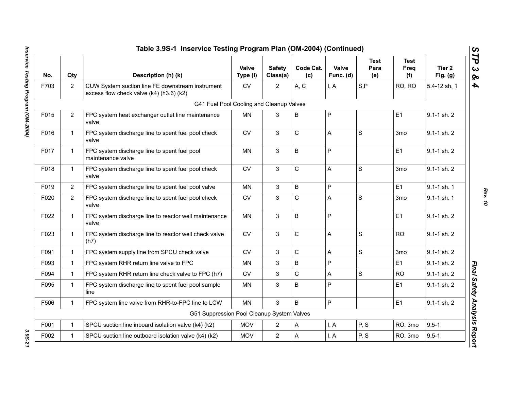|      |                | Table 3.9S-1 Inservice Testing Program Plan (OM-2004) (Continued)                            |                   |                           |                  |                    |                            |                            |                      |
|------|----------------|----------------------------------------------------------------------------------------------|-------------------|---------------------------|------------------|--------------------|----------------------------|----------------------------|----------------------|
| No.  | Qty            | Description (h) (k)                                                                          | Valve<br>Type (I) | <b>Safety</b><br>Class(a) | Code Cat.<br>(c) | Valve<br>Func. (d) | <b>Test</b><br>Para<br>(e) | <b>Test</b><br>Freq<br>(f) | Tier 2<br>Fig. $(g)$ |
| F703 | $\overline{2}$ | CUW System suction line FE downstream instrument<br>excess flow check valve (k4) (h3.6) (k2) | <b>CV</b>         | $\overline{2}$            | A, C             | I, A               | S, P                       | RO, RO                     | 5.4-12 sh. 1         |
|      |                | G41 Fuel Pool Cooling and Cleanup Valves                                                     |                   |                           |                  |                    |                            |                            |                      |
| F015 | $\overline{2}$ | FPC system heat exchanger outlet line maintenance<br>valve                                   | MN                | 3                         | B                | P                  |                            | E1                         | 9.1-1 sh. 2          |
| F016 | $\mathbf{1}$   | FPC system discharge line to spent fuel pool check<br>valve                                  | <b>CV</b>         | 3                         | C                | A                  | $\mathbf S$                | 3 <sub>mo</sub>            | $9.1 - 1$ sh. $2$    |
| F017 | $\mathbf{1}$   | FPC system discharge line to spent fuel pool<br>maintenance valve                            | MN                | 3                         | B                | P                  |                            | E1                         | 9.1-1 sh. 2          |
| F018 | $\mathbf{1}$   | FPC system discharge line to spent fuel pool check<br>valve                                  | <b>CV</b>         | 3                         | C                | A                  | S                          | 3 <sub>mo</sub>            | 9.1-1 sh. 2          |
| F019 | $\overline{2}$ | FPC system discharge line to spent fuel pool valve                                           | <b>MN</b>         | 3                         | B                | P                  |                            | E1                         | 9.1-1 sh. 1          |
| F020 | $\overline{2}$ | FPC system discharge line to spent fuel pool check<br>valve                                  | ${\sf CV}$        | $\mathfrak{S}$            | C                | A                  | S                          | 3 <sub>mo</sub>            | $9.1 - 1$ sh. 1      |
| F022 | $\mathbf 1$    | FPC system discharge line to reactor well maintenance<br>valve                               | <b>MN</b>         | 3                         | B                | P                  |                            | E1                         | 9.1-1 sh. 2          |
| F023 | $\mathbf{1}$   | FPC system discharge line to reactor well check valve<br>(h7)                                | ${\sf CV}$        | 3                         | C                | A                  | $\mathbf S$                | <b>RO</b>                  | $9.1 - 1$ sh. $2$    |
| F091 | $\mathbf{1}$   | FPC system supply line from SPCU check valve                                                 | <b>CV</b>         | 3                         | C                | A                  | S                          | 3 <sub>mo</sub>            | 9.1-1 sh. 2          |
| F093 | $\mathbf{1}$   | FPC system RHR return line valve to FPC                                                      | <b>MN</b>         | 3                         | B                | P                  |                            | E1                         | $9.1 - 1$ sh. $2$    |
| F094 | $\mathbf{1}$   | FPC system RHR return line check valve to FPC (h7)                                           | <b>CV</b>         | 3                         | C                | A                  | S                          | <b>RO</b>                  | $9.1 - 1$ sh. $2$    |
| F095 | 1.             | FPC system discharge line to spent fuel pool sample<br>line                                  | <b>MN</b>         | 3                         | B                | P                  |                            | E1                         | 9.1-1 sh. 2          |
| F506 | $\mathbf{1}$   | FPC system line valve from RHR-to-FPC line to LCW                                            | <b>MN</b>         | 3                         | B                | P                  |                            | E1                         | 9.1-1 sh. 2          |
|      |                | G51 Suppression Pool Cleanup System Valves                                                   |                   |                           |                  |                    |                            |                            |                      |
| F001 | $\mathbf{1}$   | SPCU suction line inboard isolation valve (k4) (k2)                                          | <b>MOV</b>        | $\overline{2}$            | А                | I, A               | P, S                       | RO, 3mo                    | $9.5 - 1$            |
| F002 | $\mathbf{1}$   | SPCU suction line outboard isolation valve (k4) (k2)                                         | <b>MOV</b>        | $\overline{2}$            | A                | I, A               | P, S                       | RO, 3mo                    | $9.5 - 1$            |

3.95-21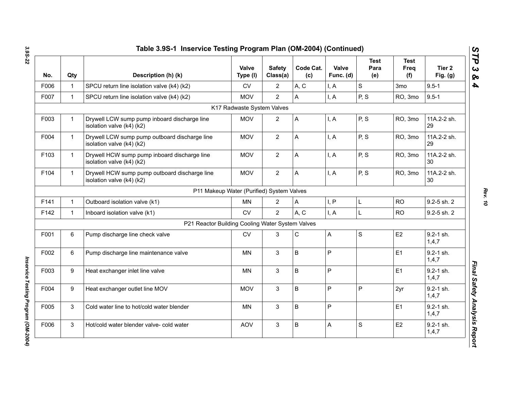| No.  | Qty          | Description (h) (k)                                                        | Valve<br>Type (I)                         | <b>Safety</b><br>Class(a) | Code Cat.<br>(c) | Valve<br>Func. (d) | <b>Test</b><br>Para<br>(e) | <b>Test</b><br>Freq<br>(f) | Tier 2<br>Fig. $(g)$   |
|------|--------------|----------------------------------------------------------------------------|-------------------------------------------|---------------------------|------------------|--------------------|----------------------------|----------------------------|------------------------|
| F006 | 1            | SPCU return line isolation valve (k4) (k2)                                 | ${\sf CV}$                                | $\overline{2}$            | A, C             | I, A               | $\mathsf S$                | 3 <sub>mo</sub>            | $9.5 - 1$              |
| F007 | $\mathbf{1}$ | SPCU return line isolation valve (k4) (k2)                                 | <b>MOV</b>                                | $\overline{2}$            | A                | I, A               | P, S                       | RO, 3mo                    | $9.5 - 1$              |
|      |              |                                                                            | K17 Radwaste System Valves                |                           |                  |                    |                            |                            |                        |
| F003 | 1            | Drywell LCW sump pump inboard discharge line<br>isolation valve (k4) (k2)  | <b>MOV</b>                                | $\overline{c}$            | A                | I, A               | P, S                       | RO, 3mo                    | 11A.2-2 sh.<br>29      |
| F004 | $\mathbf{1}$ | Drywell LCW sump pump outboard discharge line<br>isolation valve (k4) (k2) | <b>MOV</b>                                | $\overline{2}$            | A                | I, A               | P, S                       | RO, 3mo                    | 11A.2-2 sh.<br>29      |
| F103 | $\mathbf{1}$ | Drywell HCW sump pump inboard discharge line<br>isolation valve (k4) (k2)  | <b>MOV</b>                                | $\overline{2}$            | A                | I, A               | P, S                       | RO, 3mo                    | 11A.2-2 sh.<br>30      |
| F104 | $\mathbf{1}$ | Drywell HCW sump pump outboard discharge line<br>isolation valve (k4) (k2) | <b>MOV</b>                                | $\overline{2}$            | A                | I, A               | P, S                       | RO, 3mo                    | 11A.2-2 sh.<br>30      |
|      |              |                                                                            | P11 Makeup Water (Purified) System Valves |                           |                  |                    |                            |                            |                        |
| F141 | $\mathbf{1}$ | Outboard isolation valve (k1)                                              | <b>MN</b>                                 | $\overline{2}$            | A                | I, P               | Г                          | <b>RO</b>                  | 9.2-5 sh. 2            |
| F142 | $\mathbf{1}$ | Inboard isolation valve (k1)                                               | <b>CV</b>                                 | $\overline{2}$            | A, C             | I, A               | L                          | <b>RO</b>                  | 9.2-5 sh. 2            |
|      |              | P21 Reactor Building Cooling Water System Valves                           |                                           |                           |                  |                    |                            |                            |                        |
| F001 | 6            | Pump discharge line check valve                                            | <b>CV</b>                                 | 3                         | C                | A                  | $\mathbf S$                | E2                         | 9.2-1 sh.<br>1,4,7     |
| F002 | 6            | Pump discharge line maintenance valve                                      | MN                                        | 3                         | B                | P                  |                            | E1                         | $9.2 - 1$ sh.<br>1,4,7 |
| F003 | 9            | Heat exchanger inlet line valve                                            | MN                                        | 3                         | B                | P                  |                            | E1                         | $9.2 - 1$ sh.<br>1,4,7 |
| F004 | 9            | Heat exchanger outlet line MOV                                             | <b>MOV</b>                                | 3                         | B                | P                  | P                          | 2yr                        | 9.2-1 sh.<br>1,4,7     |
| F005 | 3            | Cold water line to hot/cold water blender                                  | MN                                        | 3                         | B                | P                  |                            | E1                         | $9.2 - 1$ sh.<br>1,4,7 |
| F006 | 3            | Hot/cold water blender valve- cold water                                   | <b>AOV</b>                                | 3                         | B                | Α                  | $\mathbf S$                | E <sub>2</sub>             | $9.2 - 1$ sh.<br>1,4,7 |

*Inservice Testing Program (OM-2004)*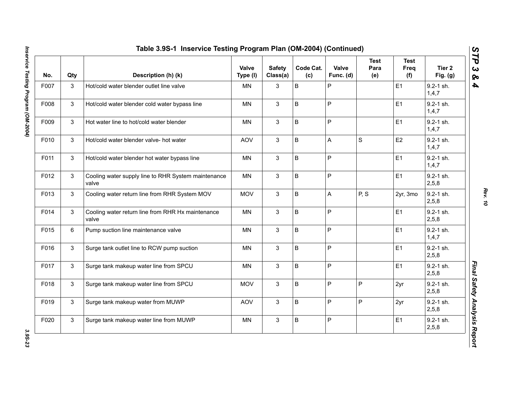| No.  | Qty | Description (h) (k)                                          | Valve<br>Type (I) | <b>Safety</b><br>Class(a) | Code Cat.<br>(c) | Valve<br>Func. (d) | <b>Test</b><br>Para<br>(e) | <b>Test</b><br>Freq<br>(f) | Tier 2<br>Fig. (g)       |
|------|-----|--------------------------------------------------------------|-------------------|---------------------------|------------------|--------------------|----------------------------|----------------------------|--------------------------|
| F007 | 3   | Hot/cold water blender outlet line valve                     | <b>MN</b>         | 3                         | B                | P                  |                            | E1                         | $9.2 - 1$ sh.<br>1, 4, 7 |
| F008 | 3   | Hot/cold water blender cold water bypass line                | <b>MN</b>         | $\mathbf{3}$              | B                | $\mathsf{P}$       |                            | E1                         | 9.2-1 sh.<br>1, 4, 7     |
| F009 | 3   | Hot water line to hot/cold water blender                     | <b>MN</b>         | 3                         | B                | $\mathsf{P}$       |                            | E1                         | 9.2-1 sh.<br>1,4,7       |
| F010 | 3   | Hot/cold water blender valve- hot water                      | <b>AOV</b>        | 3                         | B                | $\overline{A}$     | $\mathbf S$                | E <sub>2</sub>             | $9.2 - 1$ sh.<br>1, 4, 7 |
| F011 | 3   | Hot/cold water blender hot water bypass line                 | <b>MN</b>         | 3                         | B                | $\mathsf{P}$       |                            | E1                         | 9.2-1 sh.<br>1,4,7       |
| F012 | 3   | Cooling water supply line to RHR System maintenance<br>valve | <b>MN</b>         | 3                         | B                | $\mathsf P$        |                            | E1                         | $9.2 - 1$ sh.<br>2,5,8   |
| F013 | 3   | Cooling water return line from RHR System MOV                | <b>MOV</b>        | 3                         | B                | A                  | P, S                       | 2yr, 3mo                   | $9.2 - 1$ sh.<br>2, 5, 8 |
| F014 | 3   | Cooling water return line from RHR Hx maintenance<br>valve   | <b>MN</b>         | 3                         | B                | $\sf P$            |                            | E1                         | 9.2-1 sh.<br>2,5,8       |
| F015 | 6   | Pump suction line maintenance valve                          | MN                | 3                         | B                | P                  |                            | E1                         | $9.2 - 1$ sh.<br>1, 4, 7 |
| F016 | 3   | Surge tank outlet line to RCW pump suction                   | <b>MN</b>         | 3                         | B                | $\mathsf P$        |                            | E1                         | $9.2 - 1$ sh.<br>2,5,8   |
| F017 | 3   | Surge tank makeup water line from SPCU                       | <b>MN</b>         | 3                         | B                | $\mathsf{P}$       |                            | E1                         | $9.2 - 1$ sh.<br>2,5,8   |
| F018 | 3   | Surge tank makeup water line from SPCU                       | <b>MOV</b>        | 3                         | B                | $\mathsf P$        | P                          | 2yr                        | 9.2-1 sh.<br>2,5,8       |
| F019 | 3   | Surge tank makeup water from MUWP                            | AOV               | 3                         | B                | $\mathsf P$        | P                          | 2yr                        | 9.2-1 sh.<br>2,5,8       |
| F020 | 3   | Surge tank makeup water line from MUWP                       | MN                | 3                         | B                | $\sf P$            |                            | E1                         | 9.2-1 sh.<br>2,5,8       |

*Rev. 10*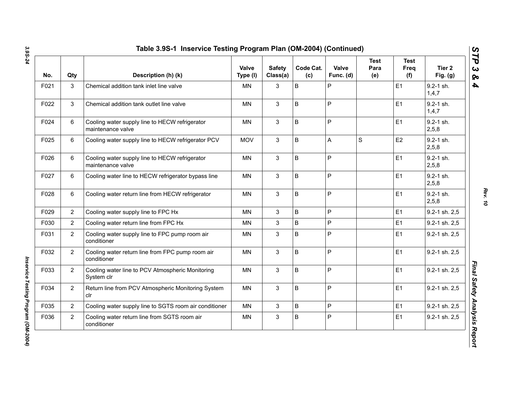| No.  | Qty            | Description (h) (k)                                                 | <b>Valve</b><br>Type (I) | <b>Safety</b><br>Class(a) | Code Cat.<br>(c) | Valve<br>Func. (d) | <b>Test</b><br>Para<br>(e) | <b>Test</b><br>Freq<br>(f) | Tier <sub>2</sub><br>Fig. $(g)$ |
|------|----------------|---------------------------------------------------------------------|--------------------------|---------------------------|------------------|--------------------|----------------------------|----------------------------|---------------------------------|
| F021 | 3              | Chemical addition tank inlet line valve                             | <b>MN</b>                | 3                         | B                | ${\sf P}$          |                            | E <sub>1</sub>             | 9.2-1 sh.<br>1,4,7              |
| F022 | 3              | Chemical addition tank outlet line valve                            | MN                       | 3                         | B                | $\mathsf{P}$       |                            | E1                         | $9.2 - 1$ sh.<br>1,4,7          |
| F024 | 6              | Cooling water supply line to HECW refrigerator<br>maintenance valve | <b>MN</b>                | $\mathbf{3}$              | B                | P                  |                            | E <sub>1</sub>             | $9.2 - 1$ sh.<br>2,5,8          |
| F025 | 6              | Cooling water supply line to HECW refrigerator PCV                  | <b>MOV</b>               | 3                         | B                | A                  | S                          | E <sub>2</sub>             | $9.2 - 1$ sh.<br>2,5,8          |
| F026 | 6              | Cooling water supply line to HECW refrigerator<br>maintenance valve | <b>MN</b>                | $\mathbf{3}$              | B                | P                  |                            | E <sub>1</sub>             | $9.2 - 1$ sh.<br>2,5,8          |
| F027 | 6              | Cooling water line to HECW refrigerator bypass line                 | <b>MN</b>                | 3                         | B                | P                  |                            | E1                         | $9.2 - 1$ sh.<br>2,5,8          |
| F028 | 6              | Cooling water return line from HECW refrigerator                    | <b>MN</b>                | 3                         | B                | $\mathsf{P}$       |                            | E1                         | $9.2 - 1$ sh.<br>2,5,8          |
| F029 | $\overline{2}$ | Cooling water supply line to FPC Hx                                 | <b>MN</b>                | 3                         | B                | $\mathsf{P}$       |                            | E1                         | 9.2-1 sh. 2,5                   |
| F030 | $\overline{2}$ | Cooling water return line from FPC Hx                               | MN                       | 3                         | B                | $\mathsf{P}$       |                            | E1                         | 9.2-1 sh. 2,5                   |
| F031 | $\overline{2}$ | Cooling water supply line to FPC pump room air<br>conditioner       | ΜN                       | $\mathbf{3}$              | B                | P                  |                            | E1                         | 9.2-1 sh. 2,5                   |
| F032 | $\overline{2}$ | Cooling water return line from FPC pump room air<br>conditioner     | <b>MN</b>                | 3                         | B                | $\mathsf{P}$       |                            | E1                         | 9.2-1 sh. 2,5                   |
| F033 | $\overline{2}$ | Cooling water line to PCV Atmospheric Monitoring<br>System clr      | <b>MN</b>                | 3                         | B                | $\mathsf{P}$       |                            | E1                         | 9.2-1 sh. 2,5                   |
| F034 | $\overline{2}$ | Return line from PCV Atmospheric Monitoring System<br>clr           | <b>MN</b>                | 3                         | B                | P                  |                            | E1                         | 9.2-1 sh. 2,5                   |
| F035 | $\overline{2}$ | Cooling water supply line to SGTS room air conditioner              | <b>MN</b>                | 3                         | B                | P                  |                            | E1                         | 9.2-1 sh. 2,5                   |
| F036 | $\overline{2}$ | Cooling water return line from SGTS room air<br>conditioner         | MN                       | 3                         | B                | P                  |                            | E <sub>1</sub>             | 9.2-1 sh. 2,5                   |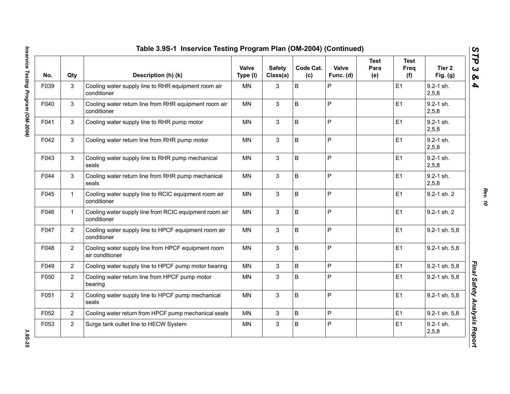| No.  | Qty            | Description (h) (k)                                                   | Valve<br>Type (I) | <b>Safety</b><br>Class(a) | Code Cat.<br>(c) | Valve<br>Func. (d) | Test<br>Para<br>(e) | Test<br>Freq<br>(f) | Tier 2<br>Fig. $(g)$   |
|------|----------------|-----------------------------------------------------------------------|-------------------|---------------------------|------------------|--------------------|---------------------|---------------------|------------------------|
| F039 | 3              | Cooling water supply line to RHR equipment room air<br>conditioner    | <b>MN</b>         | 3                         | B                | P                  |                     | E <sub>1</sub>      | $9.2 - 1$ sh.<br>2,5,8 |
| F040 | 3              | Cooling water return line from RHR equipment room air<br>conditioner  | <b>MN</b>         | 3                         | B                | $\mathsf{P}$       |                     | E1                  | $9.2 - 1$ sh.<br>2,5,8 |
| F041 | 3              | Cooling water supply line to RHR pump motor                           | <b>MN</b>         | 3                         | B                | $\overline{P}$     |                     | E <sub>1</sub>      | 9.2-1 sh.<br>2,5,8     |
| F042 | 3              | Cooling water return line from RHR pump motor                         | MN                | $\mathbf{3}$              | B                | $\sf P$            |                     | E1                  | $9.2 - 1$ sh.<br>2,5,8 |
| F043 | 3              | Cooling water supply line to RHR pump mechanical<br>seals             | MN                | 3                         | B                | $\mathsf P$        |                     | E1                  | $9.2 - 1$ sh.<br>2,5,8 |
| F044 | 3              | Cooling water return line from RHR pump mechanical<br>seals           | <b>MN</b>         | 3                         | B                | $\mathsf P$        |                     | E1                  | $9.2 - 1$ sh.<br>2,5,8 |
| F045 | $\mathbf{1}$   | Cooling water supply line to RCIC equipment room air<br>conditioner   | <b>MN</b>         | 3                         | B                | $\overline{P}$     |                     | E1                  | 9.2-1 sh. 2            |
| F046 | $\mathbf{1}$   | Cooling water supply line from RCIC equipment room air<br>conditioner | <b>MN</b>         | 3                         | B                | $\mathsf{P}$       |                     | E1                  | 9.2-1 sh. 2            |
| F047 | $\overline{2}$ | Cooling water supply line to HPCF equipment room air<br>conditioner   | MN                | 3                         | B                | $\mathsf{P}$       |                     | E1                  | 9.2-1 sh. 5,8          |
| F048 | $\overline{2}$ | Cooling water supply line from HPCF equipment room<br>air conditioner | <b>MN</b>         | 3                         | B                | P                  |                     | E1                  | 9.2-1 sh. 5,8          |
| F049 | $\overline{2}$ | Cooling water supply line to HPCF pump motor bearing                  | <b>MN</b>         | 3                         | B                | P                  |                     | E1                  | 9.2-1 sh. 5,8          |
| F050 | $\overline{2}$ | Cooling water return line from HPCF pump motor<br>bearing             | <b>MN</b>         | 3                         | B                | $\mathsf P$        |                     | E1                  | 9.2-1 sh. 5,8          |
| F051 | $\overline{2}$ | Cooling water supply line to HPCF pump mechanical<br>seals            | <b>MN</b>         | 3                         | B                | $\mathsf P$        |                     | E1                  | 9.2-1 sh. 5,8          |
| F052 | $\overline{2}$ | Cooling water return from HPCF pump mechanical seals                  | MN                | 3                         | B                | $\mathsf P$        |                     | E <sub>1</sub>      | 9.2-1 sh. 5,8          |
| F053 | $\overline{2}$ | Surge tank outlet line to HECW System                                 | MN                | 3                         | B                | $\mathsf{P}$       |                     | E1                  | $9.2 - 1$ sh.<br>2,5,8 |

*Rev. 10*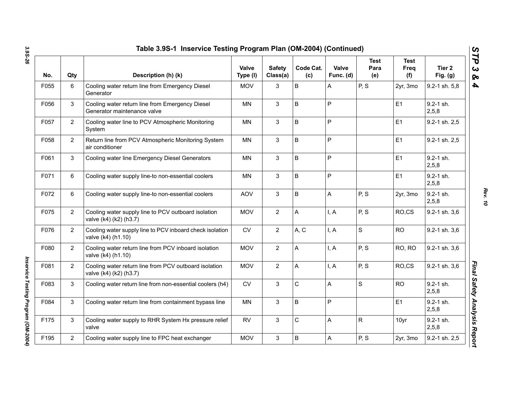| No.  | Qty            | Description (h) (k)                                                             | Valve<br>Type (I) | <b>Safety</b><br>Class(a) | Code Cat.<br>(c) | Valve<br>Func. (d) | <b>Test</b><br>Para<br>(e) | <b>Test</b><br>Freq<br>(f) | Tier 2<br>Fig. $(g)$   |
|------|----------------|---------------------------------------------------------------------------------|-------------------|---------------------------|------------------|--------------------|----------------------------|----------------------------|------------------------|
| F055 | 6              | Cooling water return line from Emergency Diesel<br>Generator                    | <b>MOV</b>        | 3                         | $\sf B$          | Α                  | P, S                       | 2yr, 3mo                   | 9.2-1 sh. 5,8          |
| F056 | 3              | Cooling water return line from Emergency Diesel<br>Generator maintenance valve  | MN                | 3                         | B                | Ρ                  |                            | E1                         | $9.2 - 1$ sh.<br>2,5,8 |
| F057 | $\overline{2}$ | Cooling water line to PCV Atmospheric Monitoring<br>System                      | <b>MN</b>         | 3                         | $\sf B$          | P                  |                            | E1                         | 9.2-1 sh. 2,5          |
| F058 | $\overline{2}$ | Return line from PCV Atmospheric Monitoring System<br>air conditioner           | MN                | 3                         | $\sf B$          | P                  |                            | E1                         | 9.2-1 sh. 2,5          |
| F061 | 3              | Cooling water line Emergency Diesel Generators                                  | MN                | 3                         | $\sf B$          | P                  |                            | E1                         | $9.2 - 1$ sh.<br>2,5,8 |
| F071 | 6              | Cooling water supply line-to non-essential coolers                              | MN                | 3                         | $\sf B$          | Ρ                  |                            | E1                         | $9.2 - 1$ sh.<br>2,5,8 |
| F072 | 6              | Cooling water supply line-to non-essential coolers                              | <b>AOV</b>        | 3                         | B                | A                  | P, S                       | 2yr, 3mo                   | $9.2 - 1$ sh.<br>2,5,8 |
| F075 | $\overline{2}$ | Cooling water supply line to PCV outboard isolation<br>valve (k4) (k2) (h3.7)   | <b>MOV</b>        | $\overline{2}$            | A                | I, A               | P, S                       | RO,CS                      | 9.2-1 sh. 3,6          |
| F076 | $\overline{2}$ | Cooling water supply line to PCV inboard check isolation<br>valve (k4) (h1.10)  | <b>CV</b>         | $\overline{2}$            | A, C             | I, A               | $\mathsf{s}$               | <b>RO</b>                  | 9.2-1 sh. 3,6          |
| F080 | $\overline{2}$ | Cooling water return line from PCV inboard isolation<br>valve (k4) (h1.10)      | <b>MOV</b>        | $\overline{2}$            | A                | I, A               | P, S                       | RO, RO                     | 9.2-1 sh. 3,6          |
| F081 | $\overline{2}$ | Cooling water return line from PCV outboard isolation<br>valve (k4) (k2) (h3.7) | <b>MOV</b>        | $\overline{2}$            | A                | I, A               | P, S                       | RO,CS                      | 9.2-1 sh. 3,6          |
| F083 | 3              | Cooling water return line from non-essential coolers (h4)                       | <b>CV</b>         | 3                         | C                | Α                  | $\mathsf{s}$               | <b>RO</b>                  | $9.2 - 1$ sh.<br>2,5,8 |
| F084 | 3              | Cooling water return line from containment bypass line                          | <b>MN</b>         | 3                         | B                | P                  |                            | E1                         | $9.2 - 1$ sh.<br>2,5,8 |
| F175 | 3              | Cooling water supply to RHR System Hx pressure relief<br>valve                  | <b>RV</b>         | 3                         | C                | Α                  | $\mathsf{R}$               | 10yr                       | 9.2-1 sh.<br>2,5,8     |
| F195 | $\overline{2}$ | Cooling water supply line to FPC heat exchanger                                 | <b>MOV</b>        | 3                         | B                | A                  | P, S                       | 2yr, 3mo                   | 9.2-1 sh. 2,5          |

*Rev. 10*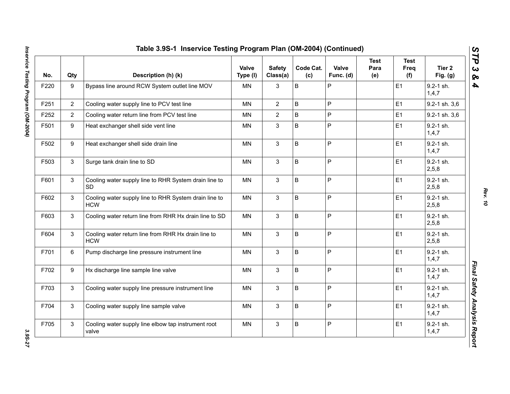| No.  | Qty            | Description (h) (k)                                                 | Valve<br>Type (I) | <b>Safety</b><br>Class(a) | Code Cat.<br>(c) | Valve<br>Func. (d) | <b>Test</b><br>Para<br>(e) | <b>Test</b><br>Freq<br>(f) | Tier 2<br>Fig. $(g)$   |
|------|----------------|---------------------------------------------------------------------|-------------------|---------------------------|------------------|--------------------|----------------------------|----------------------------|------------------------|
| F220 | 9              | Bypass line around RCW System outlet line MOV                       | MN                | 3                         | $\sf B$          | P                  |                            | E1                         | 9.2-1 sh.<br>1,4,7     |
| F251 | $\overline{2}$ | Cooling water supply line to PCV test line                          | <b>MN</b>         | $\overline{2}$            | $\sf B$          | $\overline{P}$     |                            | E1                         | 9.2-1 sh. 3,6          |
| F252 | $\overline{2}$ | Cooling water return line from PCV test line                        | <b>MN</b>         | $\overline{2}$            | B                | $\mathsf{P}$       |                            | E1                         | 9.2-1 sh. 3,6          |
| F501 | 9              | Heat exchanger shell side vent line                                 | MN                | 3                         | $\sf B$          | $\overline{P}$     |                            | E1                         | $9.2 - 1$ sh.<br>1,4,7 |
| F502 | 9              | Heat exchanger shell side drain line                                | <b>MN</b>         | 3                         | $\sf B$          | P                  |                            | E1                         | 9.2-1 sh.<br>1,4,7     |
| F503 | $\mathbf{3}$   | Surge tank drain line to SD                                         | <b>MN</b>         | $\mathbf{3}$              | $\sf B$          | $\overline{P}$     |                            | E1                         | 9.2-1 sh.<br>2,5,8     |
| F601 | 3              | Cooling water supply line to RHR System drain line to<br><b>SD</b>  | <b>MN</b>         | 3                         | B                | P                  |                            | E1                         | 9.2-1 sh.<br>2,5,8     |
| F602 | 3              | Cooling water supply line to RHR System drain line to<br><b>HCW</b> | <b>MN</b>         | $\mathbf{3}$              | $\mathsf B$      | $\mathsf{P}$       |                            | E1                         | $9.2 - 1$ sh.<br>2,5,8 |
| F603 | 3              | Cooling water return line from RHR Hx drain line to SD              | <b>MN</b>         | 3                         | B                | $\mathsf{P}$       |                            | E1                         | 9.2-1 sh.<br>2,5,8     |
| F604 | 3              | Cooling water return line from RHR Hx drain line to<br><b>HCW</b>   | <b>MN</b>         | $\mathbf{3}$              | $\sf B$          | $\mathsf{P}$       |                            | E1                         | 9.2-1 sh.<br>2,5,8     |
| F701 | 6              | Pump discharge line pressure instrument line                        | <b>MN</b>         | $\mathbf{3}$              | $\sf B$          | $\overline{P}$     |                            | E1                         | $9.2 - 1$ sh.<br>1,4,7 |
| F702 | 9              | Hx discharge line sample line valve                                 | <b>MN</b>         | $\mathbf{3}$              | $\sf B$          | $\mathsf{P}$       |                            | E1                         | $9.2 - 1$ sh.<br>1,4,7 |
| F703 | 3              | Cooling water supply line pressure instrument line                  | <b>MN</b>         | 3                         | $\sf B$          | $\overline{P}$     |                            | E1                         | $9.2 - 1$ sh.<br>1,4,7 |
| F704 | 3              | Cooling water supply line sample valve                              | <b>MN</b>         | 3                         | B                | P                  |                            | E1                         | $9.2 - 1$ sh.<br>1,4,7 |
| F705 | 3              | Cooling water supply line elbow tap instrument root<br>valve        | MN                | $\mathbf{3}$              | B                | P                  |                            | E1                         | 9.2-1 sh.<br>1,4,7     |

*Rev. 10*

3.95-27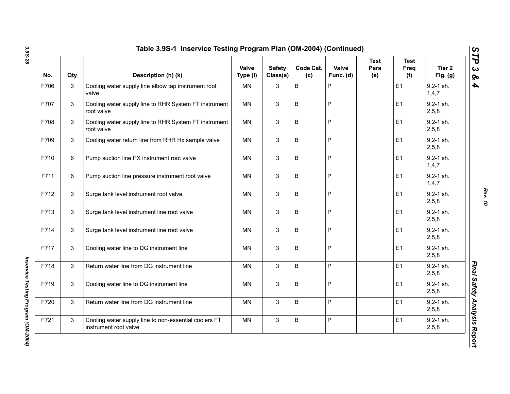| No.  | Qty | Description (h) (k)                                                            | Valve<br>Type (I) | <b>Safety</b><br>Class(a) | Code Cat.<br>(c) | Valve<br>Func. (d) | <b>Test</b><br>Para<br>(e) | <b>Test</b><br><b>Freq</b><br>(f) | Tier <sub>2</sub><br>Fig. $(g)$ |
|------|-----|--------------------------------------------------------------------------------|-------------------|---------------------------|------------------|--------------------|----------------------------|-----------------------------------|---------------------------------|
| F706 | 3   | Cooling water supply line elbow tap instrument root<br>valve                   | MN                | 3                         | B                | P                  |                            | E <sub>1</sub>                    | $9.2 - 1$ sh.<br>1,4,7          |
| F707 | 3   | Cooling water supply line to RHR System FT instrument<br>root valve            | MN                | 3                         | B                | P                  |                            | E1                                | 9.2-1 sh.<br>2,5,8              |
| F708 | 3   | Cooling water supply line to RHR System FT instrument<br>root valve            | MN                | 3                         | B                | P                  |                            | E <sub>1</sub>                    | $9.2 - 1$ sh.<br>2,5,8          |
| F709 | 3   | Cooling water return line from RHR Hx sample valve                             | <b>MN</b>         | $\mathbf{3}$              | B                | P                  |                            | E1                                | $9.2 - 1$ sh.<br>2,5,8          |
| F710 | 6   | Pump suction line PX instrument root valve                                     | <b>MN</b>         | 3                         | B                | P                  |                            | E1                                | $9.2 - 1$ sh.<br>1,4,7          |
| F711 | 6   | Pump suction line pressure instrument root valve                               | MN                | 3                         | B                | P                  |                            | E1                                | $9.2 - 1$ sh.<br>1,4,7          |
| F712 | 3   | Surge tank level instrument root valve                                         | <b>MN</b>         | 3                         | B                | P                  |                            | E1                                | 9.2-1 sh.<br>2,5,8              |
| F713 | 3   | Surge tank level instrument line root valve                                    | <b>MN</b>         | $\mathbf{3}$              | B                | P                  |                            | E1                                | $9.2 - 1$ sh.<br>2,5,8          |
| F714 | 3   | Surge tank level instrument line root valve                                    | <b>MN</b>         | $\mathbf{3}$              | B                | P                  |                            | E1                                | $9.2 - 1$ sh.<br>2,5,8          |
| F717 | 3   | Cooling water line to DG instrument line                                       | <b>MN</b>         | 3                         | B                | P                  |                            | E1                                | $9.2 - 1$ sh.<br>2,5,8          |
| F718 | 3   | Return water line from DG instrument line                                      | <b>MN</b>         | 3                         | B                | P                  |                            | E1                                | 9.2-1 sh.<br>2,5,8              |
| F719 | 3   | Cooling water line to DG instrument line                                       | <b>MN</b>         | $\mathbf{3}$              | B                | P                  |                            | E1                                | $9.2 - 1$ sh.<br>2,5,8          |
| F720 | 3   | Return water line from DG instrument line                                      | <b>MN</b>         | $\mathbf{3}$              | B                | P                  |                            | E1                                | $9.2 - 1$ sh.<br>2, 5, 8        |
| F721 | 3   | Cooling water supply line to non-essential coolers FT<br>instrument root valve | <b>MN</b>         | 3                         | B                | P                  |                            | E <sub>1</sub>                    | $9.2 - 1$ sh.<br>2,5,8          |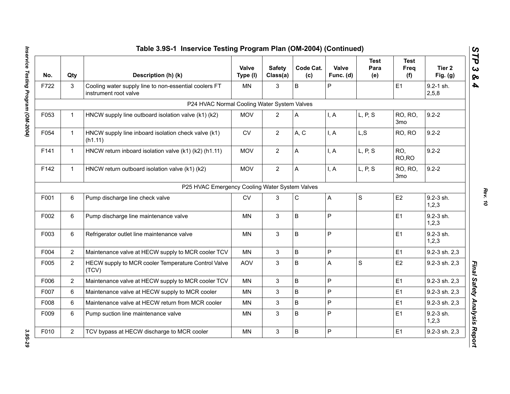| No.  | Qty            | Description (h) (k)                                                            | Valve<br>Type (I) | <b>Safety</b><br>Class(a) | Code Cat.<br>(c) | Valve<br>Func. (d) | <b>Test</b><br>Para<br>(e) | <b>Test</b><br>Freq<br>(f) | Tier 2<br>Fig. $(g)$   |
|------|----------------|--------------------------------------------------------------------------------|-------------------|---------------------------|------------------|--------------------|----------------------------|----------------------------|------------------------|
| F722 | 3              | Cooling water supply line to non-essential coolers FT<br>instrument root valve | <b>MN</b>         | 3                         | B                | P                  |                            | E <sub>1</sub>             | $9.2 - 1$ sh.<br>2,5,8 |
|      |                | P24 HVAC Normal Cooling Water System Valves                                    |                   |                           |                  |                    |                            |                            |                        |
| F053 | $\mathbf 1$    | HNCW supply line outboard isolation valve (k1) (k2)                            | <b>MOV</b>        | $\overline{2}$            | A                | I, A               | L, P, S                    | RO, RO,<br>3 <sub>mo</sub> | $9.2 - 2$              |
| F054 | $\mathbf{1}$   | HNCW supply line inboard isolation check valve (k1)<br>(h1.11)                 | <b>CV</b>         | $\overline{2}$            | A, C             | I, A               | L, S                       | RO, RO                     | $9.2 - 2$              |
| F141 | $\mathbf{1}$   | HNCW return inboard isolation valve (k1) (k2) (h1.11)                          | <b>MOV</b>        | $\overline{2}$            | A                | I, A               | L, P, S                    | RO,<br>RO, RO              | $9.2 - 2$              |
| F142 | $\mathbf{1}$   | HNCW return outboard isolation valve (k1) (k2)                                 | <b>MOV</b>        | $\overline{2}$            | A                | I, A               | L, P, S                    | RO, RO,<br>3 <sub>mo</sub> | $9.2 - 2$              |
|      |                | P25 HVAC Emergency Cooling Water System Valves                                 |                   |                           |                  |                    |                            |                            |                        |
| F001 | 6              | Pump discharge line check valve                                                | <b>CV</b>         | 3                         | C                | A                  | $\mathbf S$                | E <sub>2</sub>             | 9.2-3 sh.<br>1,2,3     |
| F002 | 6              | Pump discharge line maintenance valve                                          | MN                | $\mathfrak{S}$            | $\sf B$          | P                  |                            | E <sub>1</sub>             | 9.2-3 sh.<br>1,2,3     |
| F003 | 6              | Refrigerator outlet line maintenance valve                                     | <b>MN</b>         | 3                         | $\sf B$          | P                  |                            | E1                         | 9.2-3 sh.<br>1,2,3     |
| F004 | $\overline{2}$ | Maintenance valve at HECW supply to MCR cooler TCV                             | MN                | 3                         | $\sf B$          | P                  |                            | E <sub>1</sub>             | 9.2-3 sh. 2,3          |
| F005 | $\overline{2}$ | HECW supply to MCR cooler Temperature Control Valve<br>(TCV)                   | <b>AOV</b>        | $\mathfrak{S}$            | $\sf B$          | A                  | $\mathsf S$                | E <sub>2</sub>             | 9.2-3 sh. 2,3          |
| F006 | $\overline{2}$ | Maintenance valve at HECW supply to MCR cooler TCV                             | <b>MN</b>         | 3                         | $\sf B$          | P                  |                            | E1                         | 9.2-3 sh. 2,3          |
| F007 | 6              | Maintenance valve at HECW supply to MCR cooler                                 | <b>MN</b>         | 3                         | $\sf B$          | P                  |                            | E1                         | 9.2-3 sh. 2,3          |
| F008 | 6              | Maintenance valve at HECW return from MCR cooler                               | <b>MN</b>         | 3                         | $\sf B$          | P                  |                            | E1                         | 9.2-3 sh. 2,3          |
| F009 | 6              | Pump suction line maintenance valve                                            | ΜN                | 3                         | B                | P                  |                            | E1                         | 9.2-3 sh.<br>1,2,3     |
| F010 | $\overline{2}$ | TCV bypass at HECW discharge to MCR cooler                                     | <b>MN</b>         | $\mathfrak{S}$            | $\sf B$          | P                  |                            | E1                         | 9.2-3 sh. 2,3          |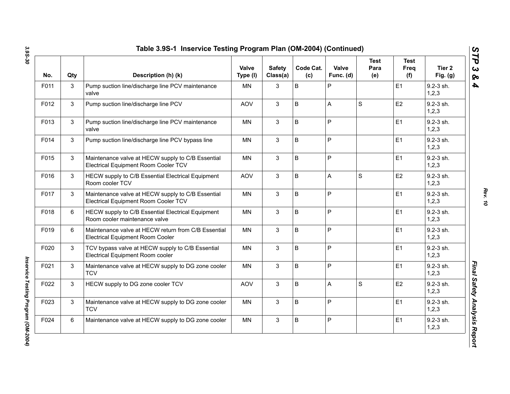| No.  | Qty | Description (h) (k)                                                                            | Valve<br>Type (I) | <b>Safety</b><br>Class(a) | Code Cat.<br>(c) | Valve<br>Func. (d) | <b>Test</b><br>Para<br>(e) | <b>Test</b><br>Freq<br>(f) | Tier 2<br>Fig. $(g)$     |
|------|-----|------------------------------------------------------------------------------------------------|-------------------|---------------------------|------------------|--------------------|----------------------------|----------------------------|--------------------------|
| F011 | 3   | Pump suction line/discharge line PCV maintenance<br>valve                                      | ΜN                | 3                         | B                | P                  |                            | E <sub>1</sub>             | 9.2-3 sh.<br>1, 2, 3     |
| F012 | 3   | Pump suction line/discharge line PCV                                                           | <b>AOV</b>        | 3                         | B                | A                  | S                          | E <sub>2</sub>             | 9.2-3 sh.<br>1, 2, 3     |
| F013 | 3   | Pump suction line/discharge line PCV maintenance<br>valve                                      | MN                | 3                         | B                | P                  |                            | E <sub>1</sub>             | 9.2-3 sh.<br>1, 2, 3     |
| F014 | 3   | Pump suction line/discharge line PCV bypass line                                               | ΜN                | 3                         | B                | P                  |                            | E1                         | 9.2-3 sh.<br>1, 2, 3     |
| F015 | 3   | Maintenance valve at HECW supply to C/B Essential<br>Electrical Equipment Room Cooler TCV      | MN                | 3                         | B                | P                  |                            | E1                         | 9.2-3 sh.<br>1, 2, 3     |
| F016 | 3   | HECW supply to C/B Essential Electrical Equipment<br>Room cooler TCV                           | <b>AOV</b>        | 3                         | B                | A                  | S                          | E2                         | 9.2-3 sh.<br>1, 2, 3     |
| F017 | 3   | Maintenance valve at HECW supply to C/B Essential<br>Electrical Equipment Room Cooler TCV      | <b>MN</b>         | 3                         | B                | P                  |                            | E <sub>1</sub>             | $9.2 - 3$ sh.<br>1,2,3   |
| F018 | 6   | HECW supply to C/B Essential Electrical Equipment<br>Room cooler maintenance valve             | <b>MN</b>         | 3                         | B                | P                  |                            | E <sub>1</sub>             | $9.2 - 3$ sh.<br>1, 2, 3 |
| F019 | 6   | Maintenance valve at HECW return from C/B Essential<br><b>Electrical Equipment Room Cooler</b> | <b>MN</b>         | 3                         | B                | P                  |                            | E1                         | $9.2 - 3$ sh.<br>1,2,3   |
| F020 | 3   | TCV bypass valve at HECW supply to C/B Essential<br>Electrical Equipment Room cooler           | <b>MN</b>         | 3                         | B                | P                  |                            | E1                         | $9.2 - 3$ sh.<br>1,2,3   |
| F021 | 3   | Maintenance valve at HECW supply to DG zone cooler<br><b>TCV</b>                               | <b>MN</b>         | 3                         | B                | P                  |                            | E1                         | $9.2 - 3$ sh.<br>1, 2, 3 |
| F022 | 3   | HECW supply to DG zone cooler TCV                                                              | <b>AOV</b>        | 3                         | B                | A                  | $\mathbf S$                | E <sub>2</sub>             | $9.2 - 3$ sh.<br>1, 2, 3 |
| F023 | 3   | Maintenance valve at HECW supply to DG zone cooler<br><b>TCV</b>                               | <b>MN</b>         | 3                         | B                | P                  |                            | E1                         | $9.2 - 3$ sh.<br>1,2,3   |
| F024 | 6   | Maintenance valve at HECW supply to DG zone cooler                                             | MN                | 3                         | B                | P                  |                            | E <sub>1</sub>             | 9.2-3 sh.<br>1, 2, 3     |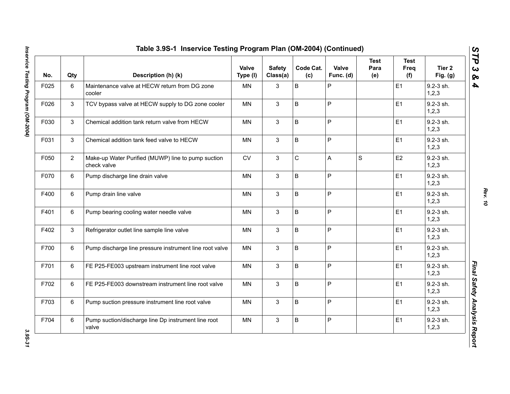| No.  | Qty            | Description (h) (k)                                               | Valve<br>Type (I) | <b>Safety</b><br>Class(a) | Code Cat.<br>(c) | Valve<br>Func. (d) | <b>Test</b><br>Para<br>(e) | <b>Test</b><br>Freq<br>(f) | Tier 2<br>Fig. (g)   |
|------|----------------|-------------------------------------------------------------------|-------------------|---------------------------|------------------|--------------------|----------------------------|----------------------------|----------------------|
| F025 | $\,6\,$        | Maintenance valve at HECW return from DG zone<br>cooler           | MN                | 3                         | B                | $\sf P$            |                            | E1                         | 9.2-3 sh.<br>1, 2, 3 |
| F026 | 3              | TCV bypass valve at HECW supply to DG zone cooler                 | <b>MN</b>         | $\mathbf{3}$              | B                | $\mathsf P$        |                            | E <sub>1</sub>             | 9.2-3 sh.<br>1, 2, 3 |
| F030 | 3              | Chemical addition tank return valve from HECW                     | <b>MN</b>         | 3                         | B                | $\mathsf{P}$       |                            | E1                         | 9.2-3 sh.<br>1, 2, 3 |
| F031 | 3              | Chemical addition tank feed valve to HECW                         | <b>MN</b>         | 3                         | B                | $\mathsf P$        |                            | E1                         | 9.2-3 sh.<br>1, 2, 3 |
| F050 | $\overline{2}$ | Make-up Water Purified (MUWP) line to pump suction<br>check valve | CV                | 3                         | $\mathsf C$      | A                  | S                          | E <sub>2</sub>             | 9.2-3 sh.<br>1,2,3   |
| F070 | 6              | Pump discharge line drain valve                                   | <b>MN</b>         | 3                         | B                | $\mathsf{P}$       |                            | E1                         | 9.2-3 sh.<br>1, 2, 3 |
| F400 | 6              | Pump drain line valve                                             | MN                | 3                         | B                | $\sf P$            |                            | E1                         | 9.2-3 sh.<br>1,2,3   |
| F401 | 6              | Pump bearing cooling water needle valve                           | MN                | 3                         | B                | $\sf P$            |                            | E1                         | 9.2-3 sh.<br>1,2,3   |
| F402 | 3              | Refrigerator outlet line sample line valve                        | <b>MN</b>         | 3                         | B                | $\mathsf P$        |                            | E <sub>1</sub>             | 9.2-3 sh.<br>1,2,3   |
| F700 | 6              | Pump discharge line pressure instrument line root valve           | MN                | 3                         | B                | $\mathsf P$        |                            | E1                         | 9.2-3 sh.<br>1, 2, 3 |
| F701 | 6              | FE P25-FE003 upstream instrument line root valve                  | <b>MN</b>         | 3                         | B                | $\mathsf P$        |                            | E1                         | 9.2-3 sh.<br>1,2,3   |
| F702 | 6              | FE P25-FE003 downstream instrument line root valve                | <b>MN</b>         | 3                         | B                | $\mathsf P$        |                            | E <sub>1</sub>             | 9.2-3 sh.<br>1, 2, 3 |
| F703 | 6              | Pump suction pressure instrument line root valve                  | <b>MN</b>         | $\mathbf{3}$              | B                | $\sf P$            |                            | E1                         | 9.2-3 sh.<br>1, 2, 3 |
| F704 | 6              | Pump suction/discharge line Dp instrument line root<br>valve      | <b>MN</b>         | 3                         | B                | $\sf P$            |                            | E1                         | 9.2-3 sh.<br>1, 2, 3 |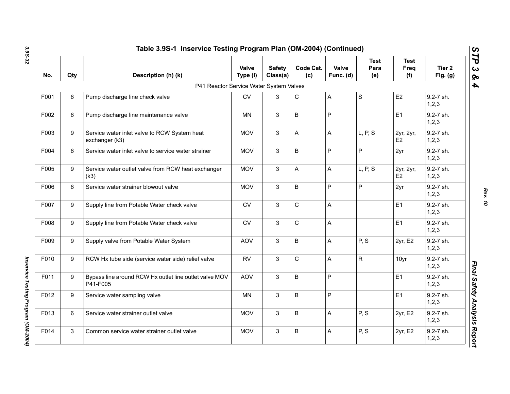| No.  | Qty | Description (h) (k)                                                | Valve<br>Type (I) | <b>Safety</b><br>Class(a) | Code Cat.<br>(c) | Valve<br>Func. (d) | <b>Test</b><br>Para<br>(e) | <b>Test</b><br>Freq<br>(f)  | Tier <sub>2</sub><br>Fig. (g) |
|------|-----|--------------------------------------------------------------------|-------------------|---------------------------|------------------|--------------------|----------------------------|-----------------------------|-------------------------------|
|      |     | P41 Reactor Service Water System Valves                            |                   |                           |                  |                    |                            |                             |                               |
| F001 | 6   | Pump discharge line check valve                                    | <b>CV</b>         | 3                         | $\mathsf C$      | Α                  | $\mathbf S$                | E2                          | 9.2-7 sh.<br>1, 2, 3          |
| F002 | 6   | Pump discharge line maintenance valve                              | MN                | 3                         | B                | P                  |                            | E1                          | 9.2-7 sh.<br>1,2,3            |
| F003 | 9   | Service water inlet valve to RCW System heat<br>exchanger (k3)     | <b>MOV</b>        | 3                         | A                | A                  | L, P, S                    | 2yr, 2yr,<br>E <sub>2</sub> | 9.2-7 sh.<br>1,2,3            |
| F004 | 6   | Service water inlet valve to service water strainer                | <b>MOV</b>        | $\mathbf{3}$              | $\sf B$          | P                  | P                          | 2yr                         | 9.2-7 sh.<br>1, 2, 3          |
| F005 | 9   | Service water outlet valve from RCW heat exchanger<br>(k3)         | <b>MOV</b>        | 3                         | A                | A                  | L, P, S                    | 2yr, 2yr,<br>E <sub>2</sub> | 9.2-7 sh.<br>1,2,3            |
| F006 | 6   | Service water strainer blowout valve                               | <b>MOV</b>        | 3                         | B                | P                  | P                          | 2yr                         | 9.2-7 sh.<br>1, 2, 3          |
| F007 | 9   | Supply line from Potable Water check valve                         | <b>CV</b>         | $\mathbf{3}$              | $\mathbf C$      | Α                  |                            | E <sub>1</sub>              | 9.2-7 sh.<br>1, 2, 3          |
| F008 | 9   | Supply line from Potable Water check valve                         | CV                | 3                         | $\mathsf C$      | A                  |                            | E1                          | 9.2-7 sh.<br>1, 2, 3          |
| F009 | 9   | Supply valve from Potable Water System                             | <b>AOV</b>        | 3                         | $\sf B$          | A                  | P, S                       | 2yr, E2                     | 9.2-7 sh.<br>1, 2, 3          |
| F010 | 9   | RCW Hx tube side (service water side) relief valve                 | <b>RV</b>         | 3                         | $\mathbf C$      | A                  | $\mathsf{R}$               | 10yr                        | 9.2-7 sh.<br>1,2,3            |
| F011 | 9   | Bypass line around RCW Hx outlet line outlet valve MOV<br>P41-F005 | <b>AOV</b>        | 3                         | $\sf B$          | P                  |                            | E1                          | 9.2-7 sh.<br>1, 2, 3          |
| F012 | 9   | Service water sampling valve                                       | <b>MN</b>         | 3                         | B                | $\mathsf P$        |                            | E <sub>1</sub>              | 9.2-7 sh.<br>1,2,3            |
| F013 | 6   | Service water strainer outlet valve                                | <b>MOV</b>        | 3                         | B                | Α                  | P, S                       | 2yr, E2                     | 9.2-7 sh.<br>1,2,3            |
| F014 | 3   | Common service water strainer outlet valve                         | <b>MOV</b>        | 3                         | B                | Α                  | P, S                       | 2yr, E2                     | 9.2-7 sh.<br>1,2,3            |

*Rev. 10*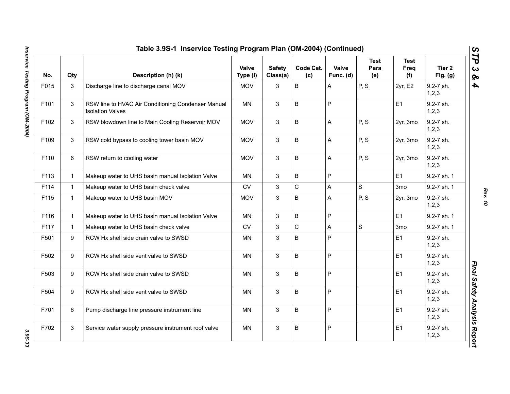| No.  | Qty          | Description (h) (k)                                                           | Valve<br>Type (I) | <b>Safety</b><br>Class(a) | Code Cat.<br>(c) | Valve<br>Func. (d) | <b>Test</b><br>Para<br>(e) | <b>Test</b><br>Freq<br>(f) | Tier 2<br>Fig. (g)   |
|------|--------------|-------------------------------------------------------------------------------|-------------------|---------------------------|------------------|--------------------|----------------------------|----------------------------|----------------------|
| F015 | 3            | Discharge line to discharge canal MOV                                         | <b>MOV</b>        | 3                         | B                | A                  | P, S                       | 2yr, E2                    | 9.2-7 sh.<br>1, 2, 3 |
| F101 | 3            | RSW line to HVAC Air Conditioning Condenser Manual<br><b>Isolation Valves</b> | <b>MN</b>         | $\mathbf{3}$              | B                | $\mathsf P$        |                            | E1                         | 9.2-7 sh.<br>1,2,3   |
| F102 | 3            | RSW blowdown line to Main Cooling Reservoir MOV                               | <b>MOV</b>        | 3                         | B                | $\mathsf{A}$       | P, S                       | 2yr, 3mo                   | 9.2-7 sh.<br>1,2,3   |
| F109 | 3            | RSW cold bypass to cooling tower basin MOV                                    | <b>MOV</b>        | 3                         | B                | A                  | P, S                       | 2yr, 3mo                   | 9.2-7 sh.<br>1, 2, 3 |
| F110 | 6            | RSW return to cooling water                                                   | <b>MOV</b>        | $\mathbf{3}$              | B                | A                  | P, S                       | 2yr, 3mo                   | 9.2-7 sh.<br>1,2,3   |
| F113 | $\mathbf{1}$ | Makeup water to UHS basin manual Isolation Valve                              | <b>MN</b>         | 3                         | B                | $\mathsf{P}$       |                            | E1                         | 9.2-7 sh. 1          |
| F114 | $\mathbf{1}$ | Makeup water to UHS basin check valve                                         | <b>CV</b>         | $\mathbf{3}$              | $\mathsf{C}$     | $\mathsf{A}$       | $\mathsf{S}$               | 3 <sub>mo</sub>            | 9.2-7 sh. 1          |
| F115 | $\mathbf{1}$ | Makeup water to UHS basin MOV                                                 | <b>MOV</b>        | 3                         | B                | $\mathsf{A}$       | P, S                       | 2yr, 3mo                   | 9.2-7 sh.<br>1, 2, 3 |
| F116 | $\mathbf{1}$ | Makeup water to UHS basin manual Isolation Valve                              | MN                | 3                         | B                | $\mathsf P$        |                            | E1                         | 9.2-7 sh. 1          |
| F117 | $\mathbf{1}$ | Makeup water to UHS basin check valve                                         | <b>CV</b>         | 3                         | $\mathsf C$      | A                  | $\mathsf{S}$               | 3 <sub>mo</sub>            | 9.2-7 sh. 1          |
| F501 | 9            | RCW Hx shell side drain valve to SWSD                                         | <b>MN</b>         | 3                         | B                | $\mathsf P$        |                            | E1                         | 9.2-7 sh.<br>1,2,3   |
| F502 | 9            | RCW Hx shell side vent valve to SWSD                                          | <b>MN</b>         | 3                         | B                | $\mathsf P$        |                            | E1                         | 9.2-7 sh.<br>1, 2, 3 |
| F503 | 9            | RCW Hx shell side drain valve to SWSD                                         | <b>MN</b>         | $\mathbf{3}$              | B                | $\mathsf P$        |                            | E1                         | 9.2-7 sh.<br>1, 2, 3 |
| F504 | 9            | RCW Hx shell side vent valve to SWSD                                          | <b>MN</b>         | 3                         | B                | $\sf P$            |                            | E1                         | 9.2-7 sh.<br>1, 2, 3 |
| F701 | 6            | Pump discharge line pressure instrument line                                  | <b>MN</b>         | 3                         | B                | ${\sf P}$          |                            | E1                         | 9.2-7 sh.<br>1, 2, 3 |
| F702 | 3            | Service water supply pressure instrument root valve                           | <b>MN</b>         | 3                         | B                | $\mathsf{P}$       |                            | E1                         | 9.2-7 sh.<br>1,2,3   |

*Rev. 10*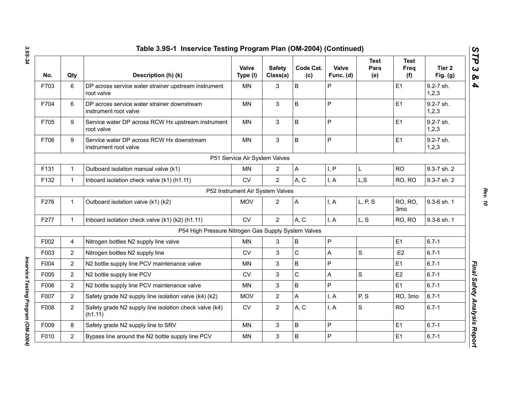| No.  | Qty            | Description (h) (k)                                                  | <b>Valve</b><br>Type (I)         | <b>Safety</b><br>Class(a) | Code Cat.<br>(c) | Valve<br>Func. (d) | <b>Test</b><br>Para<br>(e) | <b>Test</b><br>Freq<br>(f)        | Tier <sub>2</sub><br>Fig. $(g)$ |
|------|----------------|----------------------------------------------------------------------|----------------------------------|---------------------------|------------------|--------------------|----------------------------|-----------------------------------|---------------------------------|
| F703 | 6              | DP across service water strainer upstream instrument<br>root valve   | MN                               | 3                         | $\mathsf B$      | P                  |                            | E <sub>1</sub>                    | 9.2-7 sh.<br>1, 2, 3            |
| F704 | 6              | DP across service water strainer downstream<br>instrument root valve | MN                               | 3                         | B                | P                  |                            | E1                                | 9.2-7 sh.<br>1, 2, 3            |
| F705 | 9              | Service water DP across RCW Hx upstream instrument<br>root valve     | <b>MN</b>                        | $\mathbf{3}$              | $\mathsf B$      | P                  |                            | E1                                | 9.2-7 sh.<br>1, 2, 3            |
| F706 | 9              | Service water DP across RCW Hx downstream<br>instrument root valve   | <b>MN</b>                        | 3                         | $\mathsf B$      | P                  |                            | E1                                | 9.2-7 sh.<br>1, 2, 3            |
|      |                |                                                                      | P51 Service Air System Valves    |                           |                  |                    |                            |                                   |                                 |
| F131 | $\mathbf{1}$   | Outboard isolation manual valve (k1)                                 | <b>MN</b>                        | $\overline{2}$            | $\mathsf{A}$     | I, P               | L                          | <b>RO</b>                         | 9.3-7 sh. 2                     |
| F132 | $\mathbf{1}$   | Inboard isolation check valve (k1) (h1.11)                           | <b>CV</b>                        | $\overline{2}$            | A, C             | I, A               | L, S                       | RO, RO                            | 9.3-7 sh. 2                     |
|      |                |                                                                      | P52 Instrument Air System Valves |                           |                  |                    |                            |                                   |                                 |
| F276 | $\mathbf{1}$   | Outboard isolation valve (k1) (k2)                                   | <b>MOV</b>                       | $\overline{2}$            | A                | I, A               | L, P, S                    | <b>RO, RO,</b><br>3 <sub>mo</sub> | 9.3-6 sh. 1                     |
| F277 | $\mathbf{1}$   | Inboard isolation check valve (k1) (k2) (h1.11)                      | <b>CV</b>                        | $\overline{2}$            | A, C             | I, A               | L, S                       | RO, RO                            | 9.3-6 sh. 1                     |
|      |                | P54 High Pressure Nitrogen Gas Supply System Valves                  |                                  |                           |                  |                    |                            |                                   |                                 |
| F002 | 4              | Nitrogen bottles N2 supply line valve                                | <b>MN</b>                        | 3                         | $\mathsf B$      | P                  |                            | E1                                | $6.7 - 1$                       |
| F003 | $\overline{2}$ | Nitrogen bottles N2 supply line                                      | CV                               | 3                         | $\mathsf C$      | A                  | $\mathbf S$                | E <sub>2</sub>                    | $6.7 - 1$                       |
| F004 | $\overline{2}$ | N2 bottle supply line PCV maintenance valve                          | MN                               | 3                         | $\sf B$          | P                  |                            | E1                                | $6.7 - 1$                       |
| F005 | $\overline{2}$ | N2 bottle supply line PCV                                            | <b>CV</b>                        | 3                         | $\mathsf C$      | A                  | $\mathbf S$                | E <sub>2</sub>                    | $6.7 - 1$                       |
| F006 | $\overline{2}$ | N2 bottle supply line PCV maintenance valve                          | MN                               | 3                         | $\sf B$          | P                  |                            | E <sub>1</sub>                    | $6.7 - 1$                       |
| F007 | $\overline{2}$ | Safety grade N2 supply line isolation valve (k4) (k2)                | <b>MOV</b>                       | $\overline{2}$            | A                | I, A               | P, S                       | RO, 3mo                           | $6.7 - 1$                       |
| F008 | $\overline{2}$ | Safety grade N2 supply line isolation check valve (k4)<br>(h1.11)    | <b>CV</b>                        | $\overline{2}$            | A, C             | I, A               | S                          | <b>RO</b>                         | $6.7 - 1$                       |
| F009 | 8              | Safety grade N2 supply line to SRV                                   | <b>MN</b>                        | 3                         | B                | $\mathsf{P}$       |                            | E <sub>1</sub>                    | $6.7 - 1$                       |
| F010 | $\overline{2}$ | Bypass line around the N2 bottle supply line PCV                     | <b>MN</b>                        | 3                         | B                | P                  |                            | E <sub>1</sub>                    | $6.7 - 1$                       |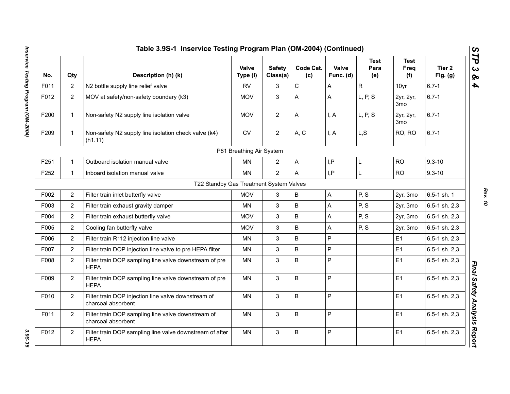|      |                | Table 3.9S-1 Inservice Testing Program Plan (OM-2004) (Continued)         |                          |                           |                  |                           |                            |                            |                      |
|------|----------------|---------------------------------------------------------------------------|--------------------------|---------------------------|------------------|---------------------------|----------------------------|----------------------------|----------------------|
| No.  | Qty            | Description (h) (k)                                                       | Valve<br>Type (I)        | <b>Safety</b><br>Class(a) | Code Cat.<br>(c) | Valve<br>Func. (d)        | <b>Test</b><br>Para<br>(e) | <b>Test</b><br>Freq<br>(f) | Tier 2<br>Fig. $(g)$ |
| F011 | $\overline{2}$ | N2 bottle supply line relief valve                                        | <b>RV</b>                | 3                         | $\mathsf C$      | A                         | $\mathsf{R}$               | 10yr                       | $6.7 - 1$            |
| F012 | $\overline{2}$ | MOV at safety/non-safety boundary (k3)                                    | <b>MOV</b>               | 3                         | A                | A                         | L, P, S                    | 2yr, 2yr,<br>3mo           | $6.7 - 1$            |
| F200 | $\mathbf{1}$   | Non-safety N2 supply line isolation valve                                 | <b>MOV</b>               | $\overline{2}$            | A                | I, A                      | L, P, S                    | 2yr, 2yr,<br>3mo           | $6.7 - 1$            |
| F209 | $\mathbf{1}$   | Non-safety N2 supply line isolation check valve (k4)<br>(h1.11)           | ${\sf CV}$               | $\overline{2}$            | A, C             | I, A                      | L, S                       | RO, RO                     | $6.7 - 1$            |
|      |                |                                                                           | P81 Breathing Air System |                           |                  |                           |                            |                            |                      |
| F251 | $\mathbf{1}$   | Outboard isolation manual valve                                           | MN                       | $\overline{2}$            | A                | I, P                      | L                          | <b>RO</b>                  | $9.3 - 10$           |
| F252 | $\mathbf{1}$   | Inboard isolation manual valve                                            | <b>MN</b>                | $\overline{2}$            | A                | I,P                       | L                          | <b>RO</b>                  | $9.3 - 10$           |
|      |                | T22 Standby Gas Treatment System Valves                                   |                          |                           |                  |                           |                            |                            |                      |
| F002 | $\overline{2}$ | Filter train inlet butterfly valve                                        | <b>MOV</b>               | 3                         | B                | $\mathsf A$               | P, S                       | 2yr, 3mo                   | 6.5-1 sh. 1          |
| F003 | $\overline{2}$ | Filter train exhaust gravity damper                                       | <b>MN</b>                | 3                         | B                | A                         | P, S                       | 2yr, 3mo                   | 6.5-1 sh. 2,3        |
| F004 | $\overline{2}$ | Filter train exhaust butterfly valve                                      | <b>MOV</b>               | 3                         | B                | A                         | P, S                       | 2yr, 3mo                   | 6.5-1 sh. 2,3        |
| F005 | $\overline{2}$ | Cooling fan butterfly valve                                               | <b>MOV</b>               | 3                         | B                | $\boldsymbol{\mathsf{A}}$ | P, S                       | 2yr, 3mo                   | 6.5-1 sh. 2,3        |
| F006 | $\overline{2}$ | Filter train R112 injection line valve                                    | MN                       | 3                         | B                | $\overline{P}$            |                            | E1                         | 6.5-1 sh. 2,3        |
| F007 | $\overline{2}$ | Filter train DOP injection line valve to pre HEPA filter                  | MN                       | 3                         | B                | P                         |                            | E1                         | 6.5-1 sh. 2,3        |
| F008 | $\overline{2}$ | Filter train DOP sampling line valve downstream of pre<br><b>HEPA</b>     | <b>MN</b>                | 3                         | B                | $\overline{P}$            |                            | E1                         | 6.5-1 sh. 2,3        |
| F009 | $\overline{2}$ | Filter train DOP sampling line valve downstream of pre<br><b>HEPA</b>     | MN                       | $\mathfrak{S}$            | B                | P                         |                            | E1                         | 6.5-1 sh. 2,3        |
| F010 | $\overline{2}$ | Filter train DOP injection line valve downstream of<br>charcoal absorbent | MN                       | 3                         | B                | P                         |                            | E1                         | 6.5-1 sh. 2,3        |
| F011 | $\overline{2}$ | Filter train DOP sampling line valve downstream of<br>charcoal absorbent  | <b>MN</b>                | 3                         | B                | P                         |                            | E1                         | 6.5-1 sh. 2,3        |
| F012 | $\overline{2}$ | Filter train DOP sampling line valve downstream of after<br><b>HEPA</b>   | <b>MN</b>                | $\mathfrak{S}$            | B                | P                         |                            | E1                         | 6.5-1 sh. 2,3        |
|      |                |                                                                           |                          |                           |                  |                           |                            |                            |                      |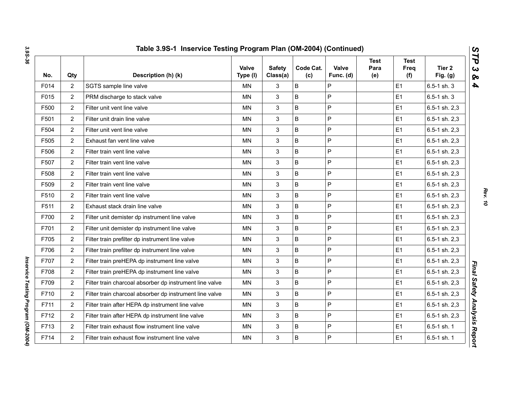| No.  | Qty            | Description (h) (k)                                     | Valve<br>Type (I) | <b>Safety</b><br>Class(a) | Code Cat.<br>(c) | Valve<br>Func. (d) | Test<br>Para<br>(e) | <b>Test</b><br>Freq<br>(f) | Tier <sub>2</sub><br>Fig. $(g)$ |
|------|----------------|---------------------------------------------------------|-------------------|---------------------------|------------------|--------------------|---------------------|----------------------------|---------------------------------|
| F014 | $\overline{2}$ | SGTS sample line valve                                  | MN.               | 3                         | B                | P                  |                     | E1                         | 6.5-1 sh. 3                     |
| F015 | $\overline{2}$ | PRM discharge to stack valve                            | <b>MN</b>         | 3                         | B                | $\mathsf{P}$       |                     | E1                         | $6.5 - 1$ sh. 3                 |
| F500 | $\overline{2}$ | Filter unit vent line valve                             | MN                | 3                         | B                | $\mathsf{P}$       |                     | E <sub>1</sub>             | 6.5-1 sh. 2,3                   |
| F501 | $\overline{2}$ | Filter unit drain line valve                            | MN                | 3                         | B                | $\mathsf{P}$       |                     | E1                         | 6.5-1 sh. 2,3                   |
| F504 | $\overline{2}$ | Filter unit vent line valve                             | ΜN                | 3                         | B                | $\mathsf{P}$       |                     | E <sub>1</sub>             | 6.5-1 sh. 2,3                   |
| F505 | $\overline{2}$ | Exhaust fan vent line valve                             | MN                | 3                         | B                | P                  |                     | E1                         | 6.5-1 sh. 2,3                   |
| F506 | $\overline{2}$ | Filter train vent line valve                            | ΜN                | 3                         | B                | P                  |                     | E <sub>1</sub>             | 6.5-1 sh. 2,3                   |
| F507 | $\overline{2}$ | Filter train vent line valve                            | MN                | 3                         | B                | P                  |                     | E1                         | 6.5-1 sh. 2,3                   |
| F508 | $\overline{2}$ | Filter train vent line valve                            | <b>MN</b>         | 3                         | B                | $\mathsf{P}$       |                     | E1                         | 6.5-1 sh. 2,3                   |
| F509 | $\overline{2}$ | Filter train vent line valve                            | <b>MN</b>         | 3                         | B                | $\mathsf{P}$       |                     | E1                         | 6.5-1 sh. 2,3                   |
| F510 | $\overline{2}$ | Filter train vent line valve                            | <b>MN</b>         | 3                         | B                | P                  |                     | E1                         | 6.5-1 sh. 2,3                   |
| F511 | $\overline{2}$ | Exhaust stack drain line valve                          | MN                | 3                         | B                | $\mathsf{P}$       |                     | E1                         | 6.5-1 sh. 2,3                   |
| F700 | $\overline{2}$ | Filter unit demister dp instrument line valve           | MN                | 3                         | B                | P                  |                     | E1                         | 6.5-1 sh. 2,3                   |
| F701 | $\overline{2}$ | Filter unit demister dp instrument line valve           | ΜN                | 3                         | B                | $\mathsf{P}$       |                     | E <sub>1</sub>             | 6.5-1 sh. 2,3                   |
| F705 | $\overline{2}$ | Filter train prefilter dp instrument line valve         | <b>MN</b>         | 3                         | B                | $\overline{P}$     |                     | E <sub>1</sub>             | 6.5-1 sh. 2,3                   |
| F706 | $\overline{2}$ | Filter train prefilter dp instrument line valve         | <b>MN</b>         | 3                         | B                | $\mathsf{P}$       |                     | E1                         | 6.5-1 sh. 2,3                   |
| F707 | $\overline{2}$ | Filter train preHEPA dp instrument line valve           | ΜN                | 3                         | B                | $\mathsf{P}$       |                     | E <sub>1</sub>             | 6.5-1 sh. 2,3                   |
| F708 | $\overline{2}$ | Filter train preHEPA dp instrument line valve           | <b>MN</b>         | 3                         | B                | $\mathsf{P}$       |                     | E1                         | 6.5-1 sh. 2,3                   |
| F709 | $\overline{2}$ | Filter train charcoal absorber dp instrument line valve | ΜN                | 3                         | B                | P                  |                     | E <sub>1</sub>             | 6.5-1 sh. 2,3                   |
| F710 | $\overline{2}$ | Filter train charcoal absorber dp instrument line valve | MN                | 3                         | B                | P                  |                     | E <sub>1</sub>             | 6.5-1 sh. 2,3                   |
| F711 | $\overline{2}$ | Filter train after HEPA dp instrument line valve        | MN.               | 3                         | B                | P                  |                     | E <sub>1</sub>             | $6.5 - 1$ sh. $2,3$             |
| F712 | $\overline{2}$ | Filter train after HEPA dp instrument line valve        | <b>MN</b>         | 3                         | B                | $\overline{P}$     |                     | E <sub>1</sub>             | 6.5-1 sh. 2,3                   |
| F713 | $\overline{2}$ | Filter train exhaust flow instrument line valve         | <b>MN</b>         | 3                         | B                | $\mathsf{P}$       |                     | E1                         | 6.5-1 sh. 1                     |
| F714 | $\overline{2}$ | Filter train exhaust flow instrument line valve         | MN                | 3                         | $\sf B$          | $\mathsf P$        |                     | E <sub>1</sub>             | 6.5-1 sh. 1                     |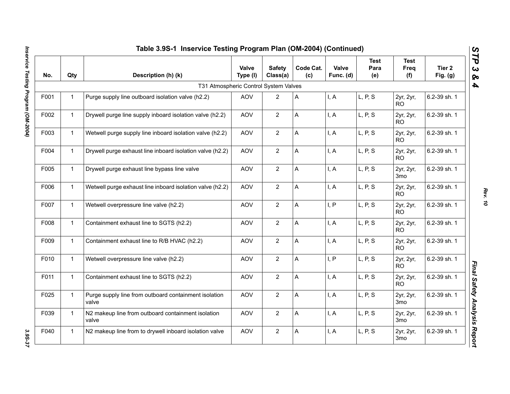|      | Table 3.9S-1 Inservice Testing Program Plan (OM-2004) (Continued) |                                                                |                   |                           |                  |                    |                            |                              |                                 |
|------|-------------------------------------------------------------------|----------------------------------------------------------------|-------------------|---------------------------|------------------|--------------------|----------------------------|------------------------------|---------------------------------|
| No.  | Qty                                                               | Description (h) (k)                                            | Valve<br>Type (I) | <b>Safety</b><br>Class(a) | Code Cat.<br>(c) | Valve<br>Func. (d) | <b>Test</b><br>Para<br>(e) | <b>Test</b><br>Freq<br>(f)   | Tier <sub>2</sub><br>Fig. $(g)$ |
|      |                                                                   | T31 Atmospheric Control System Valves                          |                   |                           |                  |                    |                            |                              |                                 |
| F001 | $\mathbf{1}$                                                      | Purge supply line outboard isolation valve (h2.2)              | <b>AOV</b>        | $\overline{2}$            | A                | I, A               | L, P, S                    | 2yr, 2yr,<br>RO.             | 6.2-39 sh. 1                    |
| F002 | $\mathbf{1}$                                                      | Drywell purge line supply inboard isolation valve (h2.2)       | <b>AOV</b>        | $\overline{2}$            | A                | I, A               | L, P, S                    | 2yr, 2yr,<br><b>RO</b>       | 6.2-39 sh. 1                    |
| F003 | $\mathbf{1}$                                                      | Wetwell purge supply line inboard isolation valve (h2.2)       | <b>AOV</b>        | $\overline{2}$            | A                | I, A               | L, P, S                    | 2yr, 2yr,<br><b>RO</b>       | 6.2-39 sh. 1                    |
| F004 | $\mathbf{1}$                                                      | Drywell purge exhaust line inboard isolation valve (h2.2)      | <b>AOV</b>        | $\overline{2}$            | A                | I, A               | L, P, S                    | 2yr, 2yr,<br><b>RO</b>       | 6.2-39 sh. 1                    |
| F005 | $\mathbf{1}$                                                      | Drywell purge exhaust line bypass line valve                   | <b>AOV</b>        | $\overline{2}$            | A                | I, A               | L, P, S                    | 2yr, 2yr,<br>3 <sub>mo</sub> | 6.2-39 sh. 1                    |
| F006 | $\mathbf{1}$                                                      | Wetwell purge exhaust line inboard isolation valve (h2.2)      | <b>AOV</b>        | $\overline{2}$            | A                | I, A               | L, P, S                    | 2yr, 2yr,<br><b>RO</b>       | 6.2-39 sh. 1                    |
| F007 | $\mathbf{1}$                                                      | Wetwell overpressure line valve (h2.2)                         | <b>AOV</b>        | $\overline{2}$            | A                | I, P               | L, P, S                    | 2yr, 2yr,<br>RO.             | 6.2-39 sh. 1                    |
| F008 | $\mathbf{1}$                                                      | Containment exhaust line to SGTS (h2.2)                        | <b>AOV</b>        | $\overline{2}$            | A                | I, A               | L, P, S                    | 2yr, 2yr,<br><b>RO</b>       | 6.2-39 sh. 1                    |
| F009 | $\mathbf{1}$                                                      | Containment exhaust line to R/B HVAC (h2.2)                    | <b>AOV</b>        | $\overline{2}$            | A                | I, A               | L, P, S                    | 2yr, 2yr,<br>RO.             | 6.2-39 sh. 1                    |
| F010 | $\mathbf{1}$                                                      | Wetwell overpressure line valve (h2.2)                         | <b>AOV</b>        | $\overline{2}$            | A                | I, P               | L, P, S                    | 2yr, 2yr,<br>R <sub>O</sub>  | 6.2-39 sh. 1                    |
| F011 | $\mathbf{1}$                                                      | Containment exhaust line to SGTS (h2.2)                        | <b>AOV</b>        | $\overline{2}$            | A                | I, A               | L, P, S                    | 2yr, 2yr,<br>RO.             | 6.2-39 sh. 1                    |
| F025 | $\mathbf{1}$                                                      | Purge supply line from outboard containment isolation<br>valve | <b>AOV</b>        | $\overline{2}$            | A                | I, A               | L, P, S                    | 2yr, 2yr,<br>3mo             | 6.2-39 sh. 1                    |
| F039 | $\mathbf{1}$                                                      | N2 makeup line from outboard containment isolation<br>valve    | <b>AOV</b>        | 2                         | Α                | I, A               | L, P, S                    | 2yr, 2yr,<br>3 <sub>mo</sub> | 6.2-39 sh. 1                    |
| F040 | $\mathbf{1}$                                                      | N2 makeup line from to drywell inboard isolation valve         | <b>AOV</b>        | $\overline{2}$            | A                | I, A               | L, P, S                    | 2yr, 2yr,<br>3 <sub>mo</sub> | 6.2-39 sh. 1                    |

*Rev. 10*

3.95-37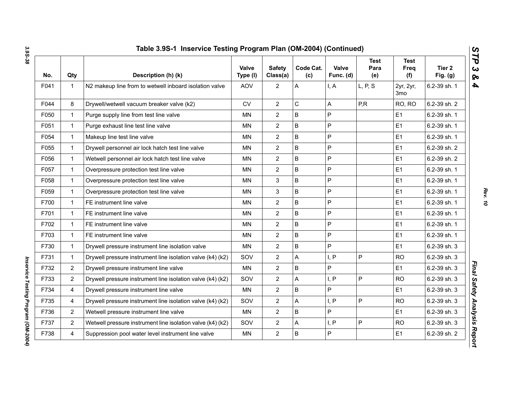| No.  | Qty            | Description (h) (k)                                        | Valve<br>Type (I) | <b>Safety</b><br>Class(a) | Code Cat.<br>(c) | Valve<br>Func. (d) | <b>Test</b><br>Para<br>(e) | <b>Test</b><br>Freq<br>(f) | Tier 2<br>Fig. $(g)$ |
|------|----------------|------------------------------------------------------------|-------------------|---------------------------|------------------|--------------------|----------------------------|----------------------------|----------------------|
| F041 | 1              | N2 makeup line from to wetwell inboard isolation valve     | <b>AOV</b>        | $\overline{2}$            | А                | I, A               | L, P, S                    | 2yr, 2yr,<br>3mo           | 6.2-39 sh. 1         |
| F044 | 8              | Drywell/wetwell vacuum breaker valve (k2)                  | <b>CV</b>         | $\overline{2}$            | $\mathsf C$      | A                  | P, R                       | RO, RO                     | 6.2-39 sh. 2         |
| F050 | $\mathbf 1$    | Purge supply line from test line valve                     | <b>MN</b>         | $\overline{2}$            | B                | $\overline{P}$     |                            | E1                         | 6.2-39 sh. 1         |
| F051 | $\mathbf{1}$   | Purge exhaust line test line valve                         | <b>MN</b>         | $\overline{2}$            | B                | P                  |                            | E1                         | 6.2-39 sh. 1         |
| F054 | $\mathbf{1}$   | Makeup line test line valve                                | <b>MN</b>         | $\overline{2}$            | B                | P                  |                            | E1                         | 6.2-39 sh. 1         |
| F055 | 1              | Drywell personnel air lock hatch test line valve           | MN                | $\overline{2}$            | $\sf B$          | $\mathsf{P}$       |                            | E <sub>1</sub>             | 6.2-39 sh. 2         |
| F056 | $\mathbf{1}$   | Wetwell personnel air lock hatch test line valve           | <b>MN</b>         | $\overline{2}$            | $\mathsf B$      | $\overline{P}$     |                            | E1                         | 6.2-39 sh. 2         |
| F057 | $\mathbf{1}$   | Overpressure protection test line valve                    | <b>MN</b>         | $\overline{2}$            | B                | P                  |                            | E1                         | 6.2-39 sh. 1         |
| F058 | $\mathbf{1}$   | Overpressure protection test line valve                    | <b>MN</b>         | 3                         | B                | $\mathsf{P}$       |                            | E <sub>1</sub>             | 6.2-39 sh. 1         |
| F059 | $\mathbf{1}$   | Overpressure protection test line valve                    | <b>MN</b>         | 3                         | B                | P                  |                            | E1                         | 6.2-39 sh. 1         |
| F700 | $\mathbf 1$    | FE instrument line valve                                   | <b>MN</b>         | $\overline{2}$            | B                | $\mathsf{P}$       |                            | E1                         | 6.2-39 sh. 1         |
| F701 | $\mathbf{1}$   | FE instrument line valve                                   | <b>MN</b>         | $\overline{2}$            | B                | $\mathsf{P}$       |                            | E <sub>1</sub>             | 6.2-39 sh. 1         |
| F702 | 1              | FE instrument line valve                                   | MN                | $\overline{c}$            | B                | $\mathsf{P}$       |                            | E <sub>1</sub>             | 6.2-39 sh. 1         |
| F703 | 1              | FE instrument line valve                                   | <b>MN</b>         | $\overline{2}$            | $\sf B$          | $\overline{P}$     |                            | E1                         | 6.2-39 sh. 1         |
| F730 | $\mathbf{1}$   | Drywell pressure instrument line isolation valve           | <b>MN</b>         | $\overline{2}$            | B                | P                  |                            | E1                         | 6.2-39 sh. 3         |
| F731 | $\mathbf 1$    | Drywell pressure instrument line isolation valve (k4) (k2) | SOV               | $\overline{\mathbf{c}}$   | A                | I, P               | $\mathsf{P}$               | <b>RO</b>                  | 6.2-39 sh. 3         |
| F732 | 2              | Drywell pressure instrument line valve                     | MN                | $\overline{c}$            | B                | P                  |                            | E1                         | 6.2-39 sh. 3         |
| F733 | 2              | Drywell pressure instrument line isolation valve (k4) (k2) | SOV               | $\overline{c}$            | A                | I, P               | P                          | <b>RO</b>                  | 6.2-39 sh. 3         |
| F734 | 4              | Drywell pressure instrument line valve                     | MN                | $\overline{2}$            | B                | P                  |                            | E <sub>1</sub>             | 6.2-39 sh. 3         |
| F735 | 4              | Drywell pressure instrument line isolation valve (k4) (k2) | SOV               | $\overline{c}$            | A                | I, P               | P                          | <b>RO</b>                  | 6.2-39 sh. 3         |
| F736 | $\overline{2}$ | Wetwell pressure instrument line valve                     | MN                | $\overline{2}$            | B                | $\overline{P}$     |                            | E1                         | 6.2-39 sh. 3         |
| F737 | $\overline{2}$ | Wetwell pressure instrument line isolation valve (k4) (k2) | SOV               | $\overline{2}$            | A                | I, P               | P                          | <b>RO</b>                  | 6.2-39 sh. 3         |
| F738 | 4              | Suppression pool water level instrument line valve         | <b>MN</b>         | $\overline{c}$            | B                | $\sf P$            |                            | E1                         | 6.2-39 sh. 2         |

*Inservice Testing Program (OM-2004)*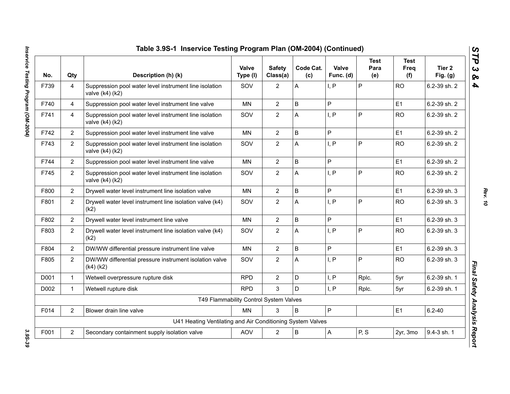| No.  | Qty            | Description (h) (k)                                                           | Valve<br>Type (I) | <b>Safety</b><br>Class(a) | Code Cat.<br>(c) | Valve<br>Func. (d) | <b>Test</b><br>Para<br>(e) | <b>Test</b><br>Freq<br>(f) | Tier 2<br>Fig. $(g)$ |
|------|----------------|-------------------------------------------------------------------------------|-------------------|---------------------------|------------------|--------------------|----------------------------|----------------------------|----------------------|
| F739 | 4              | Suppression pool water level instrument line isolation<br>valve $(k4)(k2)$    | SOV               | $\overline{2}$            | Α                | I, P               | P                          | <b>RO</b>                  | 6.2-39 sh. 2         |
| F740 | 4              | Suppression pool water level instrument line valve                            | <b>MN</b>         | $\overline{2}$            | B                | P                  |                            | E1                         | 6.2-39 sh. 2         |
| F741 | 4              | Suppression pool water level instrument line isolation<br>valve $(k4)$ $(k2)$ | SOV               | $\overline{2}$            | A                | I, P               | P                          | <b>RO</b>                  | 6.2-39 sh. 2         |
| F742 | $\overline{2}$ | Suppression pool water level instrument line valve                            | <b>MN</b>         | $\overline{2}$            | B                | P                  |                            | E1                         | 6.2-39 sh. 2         |
| F743 | $\overline{2}$ | Suppression pool water level instrument line isolation<br>valve (k4) (k2)     | SOV               | $\overline{2}$            | A                | I, P               | P                          | <b>RO</b>                  | 6.2-39 sh. 2         |
| F744 | $\overline{2}$ | Suppression pool water level instrument line valve                            | <b>MN</b>         | $\overline{2}$            | B                | P                  |                            | E1                         | 6.2-39 sh. 2         |
| F745 | $\overline{2}$ | Suppression pool water level instrument line isolation<br>valve (k4) (k2)     | SOV               | $\overline{2}$            | А                | I, P               | P                          | <b>RO</b>                  | 6.2-39 sh. 2         |
| F800 | $\overline{2}$ | Drywell water level instrument line isolation valve                           | <b>MN</b>         | $\overline{2}$            | $\overline{B}$   | P                  |                            | E1                         | 6.2-39 sh. 3         |
| F801 | $\overline{2}$ | Drywell water level instrument line isolation valve (k4)<br>(k2)              | SOV               | $\overline{2}$            | A                | I, P               | P                          | <b>RO</b>                  | 6.2-39 sh. 3         |
| F802 | $\overline{2}$ | Drywell water level instrument line valve                                     | <b>MN</b>         | $\overline{2}$            | B                | P                  |                            | E1                         | 6.2-39 sh. 3         |
| F803 | $\overline{2}$ | Drywell water level instrument line isolation valve (k4)<br>(k2)              | SOV               | $\overline{2}$            | A                | I, P               | P                          | <b>RO</b>                  | 6.2-39 sh. 3         |
| F804 | $\overline{2}$ | DW/WW differential pressure instrument line valve                             | <b>MN</b>         | $\overline{2}$            | B                | P                  |                            | E1                         | 6.2-39 sh. 3         |
| F805 | $\overline{2}$ | DW/WW differential pressure instrument isolation valve<br>$(k4)$ $(k2)$       | SOV               | $\overline{2}$            | Α                | I, P               | P                          | <b>RO</b>                  | 6.2-39 sh. 3         |
| D001 | $\mathbf{1}$   | Wetwell overpressure rupture disk                                             | <b>RPD</b>        | $\overline{2}$            | D                | I, P               | Rplc.                      | 5yr                        | 6.2-39 sh. 1         |
| D002 | $\mathbf 1$    | Wetwell rupture disk                                                          | <b>RPD</b>        | 3                         | D.               | I, P               | Rplc.                      | 5yr                        | 6.2-39 sh. 1         |
|      |                | T49 Flammability Control System Valves                                        |                   |                           |                  |                    |                            |                            |                      |
| F014 | $\overline{2}$ | Blower drain line valve                                                       | MN                | 3                         | B                | $\mathsf{P}$       |                            | E1                         | $6.2 - 40$           |
|      |                | U41 Heating Ventilating and Air Conditioning System Valves                    |                   |                           |                  |                    |                            |                            |                      |
| F001 | $\overline{2}$ | Secondary containment supply isolation valve                                  | AOV               | $\overline{2}$            | $\sf B$          | $\overline{A}$     | P, S                       | 2yr, 3mo                   | 9.4-3 sh. 1          |

Inservice Testing Program (OM-2004) *Inservice Testing Program (OM-2004) 3.9S-39*

*Rev. 10*

3.9S-39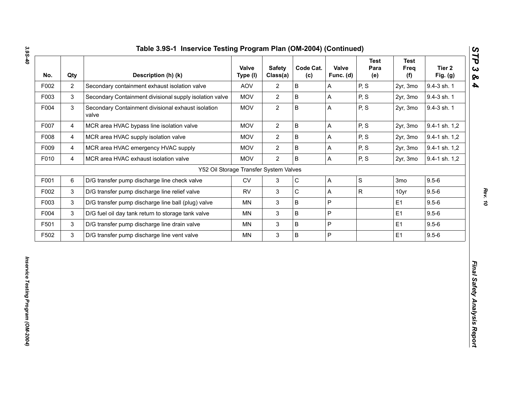| No.  | Qty                     | Description (h) (k)                                         | Valve<br>Type (I) | <b>Safety</b><br>Class(a) | Code Cat.<br>(c) | Valve<br>Func. (d) | <b>Test</b><br>Para<br>(e) | <b>Test</b><br>Freq<br>(f) | Tier <sub>2</sub><br>Fig. (g) |
|------|-------------------------|-------------------------------------------------------------|-------------------|---------------------------|------------------|--------------------|----------------------------|----------------------------|-------------------------------|
| F002 | $\overline{2}$          | Secondary containment exhaust isolation valve               | AOV               | $\mathbf{2}$              | $\sf B$          | A                  | P, S                       | 2yr, 3mo                   | 9.4-3 sh. 1                   |
| F003 | $\mathfrak{S}$          | Secondary Containment divisional supply isolation valve     | <b>MOV</b>        | $\overline{2}$            | $\sf B$          | A                  | P, S                       | 2yr, 3mo                   | 9.4-3 sh. 1                   |
| F004 | $\mathsf 3$             | Secondary Containment divisional exhaust isolation<br>valve | <b>MOV</b>        | $\overline{2}$            | $\sf B$          | A                  | P, S                       | 2yr, 3mo                   | 9.4-3 sh. 1                   |
| F007 | $\overline{4}$          | MCR area HVAC bypass line isolation valve                   | <b>MOV</b>        | $\overline{2}$            | $\mathsf B$      | A                  | P, S                       | 2yr, 3mo                   | 9.4-1 sh. 1,2                 |
| F008 | $\overline{\mathbf{4}}$ | MCR area HVAC supply isolation valve                        | <b>MOV</b>        | $\overline{2}$            | $\sf B$          | A                  | P, S                       | 2yr, 3mo                   | 9.4-1 sh. 1,2                 |
| F009 | 4                       | MCR area HVAC emergency HVAC supply                         | <b>MOV</b>        | $\overline{2}$            | $\sf B$          | А                  | P, S                       | 2yr, 3mo                   | 9.4-1 sh. 1,2                 |
| F010 | $\overline{4}$          | MCR area HVAC exhaust isolation valve                       | <b>MOV</b>        | $\overline{2}$            | $\overline{B}$   | A                  | P, S                       | 2yr, 3mo                   | 9.4-1 sh. 1,2                 |
|      |                         | Y52 Oil Storage Transfer System Valves                      |                   |                           |                  |                    |                            |                            |                               |
| F001 | 6                       | D/G transfer pump discharge line check valve                | <b>CV</b>         | $\mathfrak{S}$            | $\mathsf C$      | A                  | $\mathbf S$                | 3mo                        | $9.5 - 6$                     |
| F002 | 3                       | D/G transfer pump discharge line relief valve               | <b>RV</b>         | $\ensuremath{\mathsf{3}}$ | $\mathsf C$      | A                  | $\mathsf{R}$               | 10yr                       | $9.5 - 6$                     |
| F003 | $\mathfrak{S}$          | D/G transfer pump discharge line ball (plug) valve          | MN                | $\ensuremath{\mathsf{3}}$ | $\sf B$          | P                  |                            | E1                         | $9.5 - 6$                     |
| F004 | $\mathfrak{S}$          | D/G fuel oil day tank return to storage tank valve          | MN                | $\mathbf{3}$              | $\sf B$          | P                  |                            | E1                         | $9.5 - 6$                     |
| F501 | 3                       | D/G transfer pump discharge line drain valve                | MN                | $\ensuremath{\mathsf{3}}$ | $\sf B$          | P                  |                            | E1                         | $9.5 - 6$                     |
| F502 | $\mathfrak{S}$          | D/G transfer pump discharge line vent valve                 | MN                | $\mathbf{3}$              | $\, {\bf B}$     | P                  |                            | E1                         | $9.5 - 6$                     |

# *Rev. 10*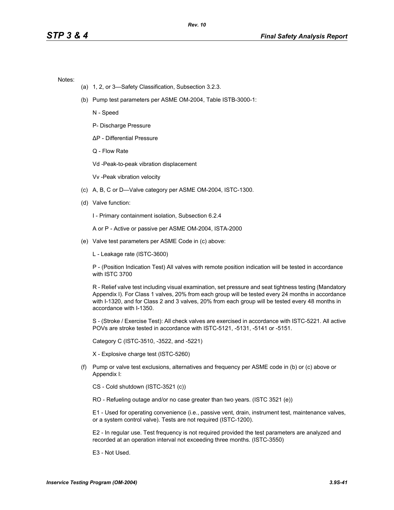Notes:

- (a) 1, 2, or 3—Safety Classification, Subsection 3.2.3.
- (b) Pump test parameters per ASME OM-2004, Table ISTB-3000-1:

N - Speed

P- Discharge Pressure

∆P - Differential Pressure

Q - Flow Rate

Vd -Peak-to-peak vibration displacement

Vv -Peak vibration velocity

- (c) A, B, C or D—Valve category per ASME OM-2004, ISTC-1300.
- (d) Valve function:

I - Primary containment isolation, Subsection 6.2.4

A or P - Active or passive per ASME OM-2004, ISTA-2000

(e) Valve test parameters per ASME Code in (c) above:

L - Leakage rate (ISTC-3600)

P - (Position Indication Test) All valves with remote position indication will be tested in accordance with ISTC 3700

R - Relief valve test including visual examination, set pressure and seat tightness testing (Mandatory Appendix I). For Class 1 valves, 20% from each group will be tested every 24 months in accordance with I-1320, and for Class 2 and 3 valves, 20% from each group will be tested every 48 months in accordance with I-1350.

S - (Stroke / Exercise Test): All check valves are exercised in accordance with ISTC-5221. All active POVs are stroke tested in accordance with ISTC-5121, -5131, -5141 or -5151.

Category C (ISTC-3510, -3522, and -5221)

X - Explosive charge test (ISTC-5260)

(f) Pump or valve test exclusions, alternatives and frequency per ASME code in (b) or (c) above or Appendix I:

CS - Cold shutdown (ISTC-3521 (c))

RO - Refueling outage and/or no case greater than two years. (ISTC 3521 (e))

E1 - Used for operating convenience (i.e., passive vent, drain, instrument test, maintenance valves, or a system control valve). Tests are not required (ISTC-1200).

E2 - In regular use. Test frequency is not required provided the test parameters are analyzed and recorded at an operation interval not exceeding three months. (ISTC-3550)

E3 - Not Used.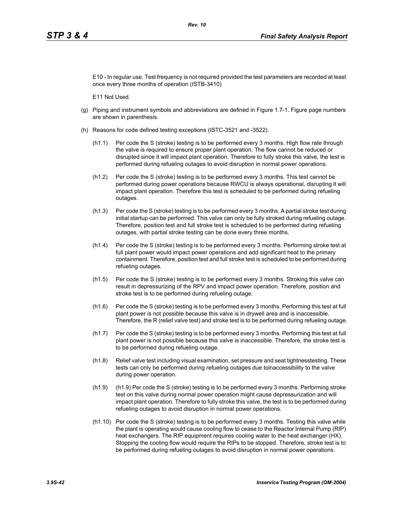E10 - In regular use. Test frequency is not required provided the test parameters are recorded at least once every three months of operation (ISTB-3410)

E11 Not Used.

- (g) Piping and instrument symbols and abbreviations are defined in Figure 1.7-1. Figure page numbers are shown in parenthesis.
- (h) Reasons for code defined testing exceptions (ISTC-3521 and -3522).
	- (h1.1) Per code the S (stroke) testing is to be performed every 3 months. High flow rate through the valve is required to ensure proper plant operation. The flow cannot be reduced or disrupted since it will impact plant operation. Therefore to fully stroke this valve, the test is performed during refueling outages to avoid disruption in normal power operations.
	- (h1.2) Per code the S (stroke) testing is to be performed every 3 months. This test cannot be performed during power operations because RWCU is always operational, disrupting it will impact plant operation. Therefore this test is scheduled to be performed during refueling outages.
	- (h1.3) Per code the S (stroke) testing is to be performed every 3 months. A partial stroke test during initial startup can be performed. This valve can only be fully stroked during refueling outage. Therefore, position test and full stroke test is scheduled to be performed during refueling outages, with partial stroke testing can be done every three months.
	- (h1.4) Per code the S (stroke) testing is to be performed every 3 months. Performing stroke test at full plant power would impact power operations and add significant heat to the primary containment. Therefore, position test and full stroke test is scheduled to be performed during refueling outages.
	- (h1.5) Per code the S (stroke) testing is to be performed every 3 months. Stroking this valve can result in depressurizing of the RPV and impact power operation. Therefore, position and stroke test is to be performed during refueling outage.
	- (h1.6) Per code the S (stroke) testing is to be performed every 3 months. Performing this test at full plant power is not possible because this valve is in drywell area and is inaccessible. Therefore, the R (relief valve test) and stroke test is to be performed during refueling outage.
	- (h1.7) Per code the S (stroke) testing is to be performed every 3 months. Performing this test at full plant power is not possible because this valve is inaccessible. Therefore, the stroke test is to be performed during refueling outage.
	- (h1.8) Relief valve test including visual examination, set pressure and seat tightnesstesting. These tests can only be performed during refueling outages due toinaccessibility to the valve during power operation.
	- (h1.9) (h1.9) Per code the S (stroke) testing is to be performed every 3 months. Performing stroke test on this valve during normal power operation might cause depressurization and will impact plant operation. Therefore to fully stroke this valve, the test is to be performed during refueling outages to avoid disruption in normal power operations.
	- (h1.10) Per code the S (stroke) testing is to be performed every 3 months. Testing this valve while the plant is operating would cause cooling flow to cease to the Reactor Internal Pump (RIP) heat exchangers. The RIP equipment requires cooling water to the heat exchanger (HX). Stopping the cooling flow would require the RIPs to be stopped. Therefore, stroke test is to be performed during refueling outages to avoid disruption in normal power operations.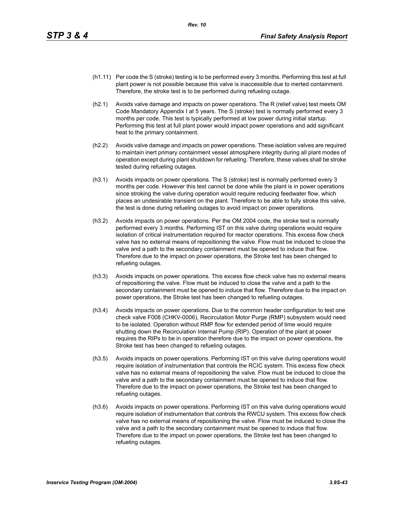- (h1.11) Per code the S (stroke) testing is to be performed every 3 months. Performing this test at full plant power is not possible because this valve is inaccessible due to inerted containment. Therefore, the stroke test is to be performed during refueling outage.
- (h2.1) Avoids valve damage and impacts on power operations. The R (relief valve) test meets OM Code Mandatory Appendix I at 5 years. The S (stroke) test is normally performed every 3 months per code. This test is typically performed at low power during initial startup. Performing this test at full plant power would impact power operations and add significant heat to the primary containment.
- (h2.2) Avoids valve damage and impacts on power operations. These isolation valves are required to maintain inert primary containment vessel atmosphere integrity during all plant modes of operation except during plant shutdown for refueling. Therefore, these valves shall be stroke tested during refueling outages.
- (h3.1) Avoids impacts on power operations. The S (stroke) test is normally performed every 3 months per code. However this test cannot be done while the plant is in power operations since stroking the valve during operation would require reducing feedwater flow, which places an undesirable transient on the plant. Therefore to be able to fully stroke this valve, the test is done during refueling outages to avoid impact on power operations.
- (h3.2) Avoids impacts on power operations. Per the OM 2004 code, the stroke test is normally performed every 3 months. Performing IST on this valve during operations would require isolation of critical instrumentation required for reactor operations. This excess flow check valve has no external means of repositioning the valve. Flow must be induced to close the valve and a path to the secondary containment must be opened to induce that flow. Therefore due to the impact on power operations, the Stroke test has been changed to refueling outages.
- (h3.3) Avoids impacts on power operations. This excess flow check valve has no external means of repositioning the valve. Flow must be induced to close the valve and a path to the secondary containment must be opened to induce that flow. Therefore due to the impact on power operations, the Stroke test has been changed to refueling outages.
- (h3.4) Avoids impacts on power operations. Due to the common header configuration to test one check valve F008 (CHKV-0006), Recirculation Motor Purge (RMP) subsystem would need to be isolated. Operation without RMP flow for extended period of time would require shutting down the Recirculation Internal Pump (RIP). Operation of the plant at power requires the RIPs to be in operation therefore due to the impact on power operations, the Stroke test has been changed to refueling outages.
- (h3.5) Avoids impacts on power operations. Performing IST on this valve during operations would require isolation of instrumentation that controls the RCIC system. This excess flow check valve has no external means of repositioning the valve. Flow must be induced to close the valve and a path to the secondary containment must be opened to induce that flow. Therefore due to the impact on power operations, the Stroke test has been changed to refueling outages.
- (h3.6) Avoids impacts on power operations. Performing IST on this valve during operations would require isolation of instrumentation that controls the RWCU system. This excess flow check valve has no external means of repositioning the valve. Flow must be induced to close the valve and a path to the secondary containment must be opened to induce that flow. Therefore due to the impact on power operations, the Stroke test has been changed to refueling outages.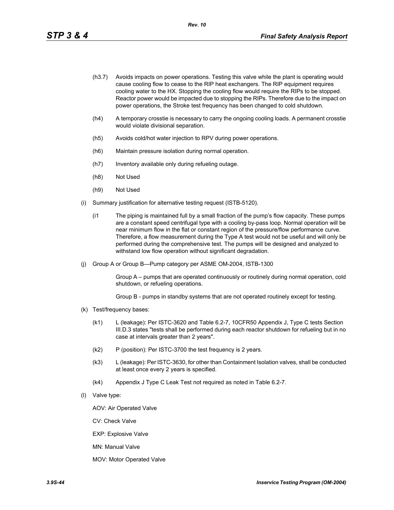- (h3.7) Avoids impacts on power operations. Testing this valve while the plant is operating would cause cooling flow to cease to the RIP heat exchangers. The RIP equipment requires cooling water to the HX. Stopping the cooling flow would require the RIPs to be stopped. Reactor power would be impacted due to stopping the RIPs. Therefore due to the impact on power operations, the Stroke test frequency has been changed to cold shutdown.
- (h4) A temporary crosstie is necessary to carry the ongoing cooling loads. A permanent crosstie would violate divisional separation.
- (h5) Avoids cold/hot water injection to RPV during power operations.
- (h6) Maintain pressure isolation during normal operation.
- (h7) Inventory available only during refueling outage.
- (h8) Not Used
- (h9) Not Used
- (i) Summary justification for alternative testing request (ISTB-5120).
	- (i1 The piping is maintained full by a small fraction of the pump's flow capacity. These pumps are a constant speed centrifugal type with a cooling by-pass loop. Normal operation will be near minimum flow in the flat or constant region of the pressure/flow performance curve. Therefore, a flow measurement during the Type A test would not be useful and will only be performed during the comprehensive test. The pumps will be designed and analyzed to withstand low flow operation without significant degradation.
- (j) Group A or Group B—Pump category per ASME OM-2004, ISTB-1300

Group A – pumps that are operated continuously or routinely during normal operation, cold shutdown, or refueling operations.

Group B - pumps in standby systems that are not operated routinely except for testing.

- (k) Test/frequency bases:
	- (k1) L (leakage): Per ISTC-3620 and Table 6.2-7, 10CFR50 Appendix J, Type C tests Section III.D.3 states "tests shall be performed during each reactor shutdown for refueling but in no case at intervals greater than 2 years".
	- (k2) P (position): Per ISTC-3700 the test frequency is 2 years.
	- (k3) L (leakage): Per ISTC-3630, for other than Containment Isolation valves, shall be conducted at least once every 2 years is specified.
	- (k4) Appendix J Type C Leak Test not required as noted in Table 6.2-7.
- (l) Valve type:

AOV: Air Operated Valve

CV: Check Valve

EXP: Explosive Valve

MN: Manual Valve

MOV: Motor Operated Valve